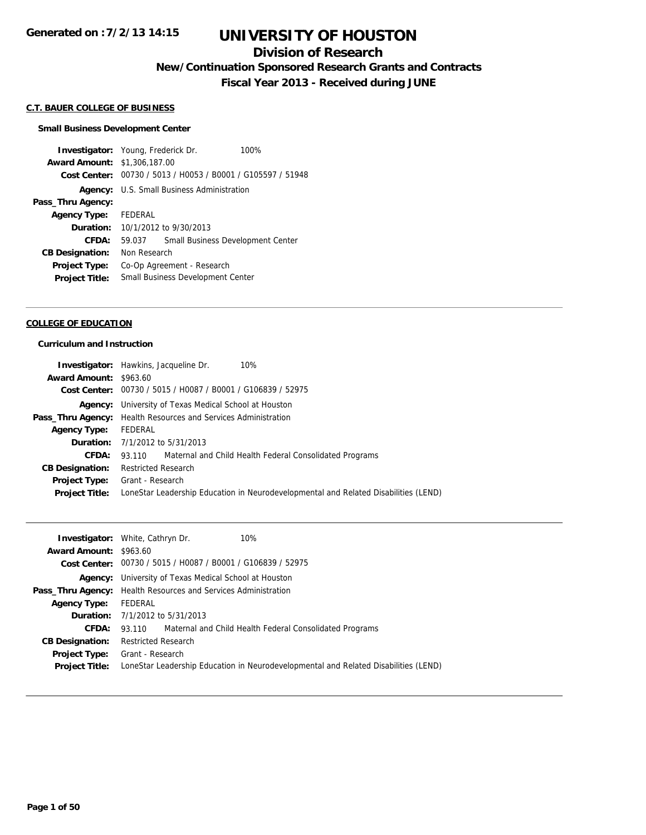## **Division of Research**

**New/Continuation Sponsored Research Grants and Contracts**

**Fiscal Year 2013 - Received during JUNE**

#### **C.T. BAUER COLLEGE OF BUSINESS**

#### **Small Business Development Center**

**Investigator:** Young, Frederick Dr. 100% **Award Amount:** \$1,306,187.00 **Cost Center:** 00730 / 5013 / H0053 / B0001 / G105597 / 51948 **Agency:** U.S. Small Business Administration **Pass\_Thru Agency: Agency Type:** FEDERAL **Duration:** 10/1/2012 to 9/30/2013 **CFDA:** 59.037 Small Business Development Center **CB Designation:** Non Research **Project Type:** Co-Op Agreement - Research **Project Title:** Small Business Development Center

#### **COLLEGE OF EDUCATION**

#### **Curriculum and Instruction**

|                               | 10%<br><b>Investigator:</b> Hawkins, Jacqueline Dr.                                 |  |
|-------------------------------|-------------------------------------------------------------------------------------|--|
| <b>Award Amount: \$963.60</b> |                                                                                     |  |
|                               | Cost Center: 00730 / 5015 / H0087 / B0001 / G106839 / 52975                         |  |
|                               | <b>Agency:</b> University of Texas Medical School at Houston                        |  |
|                               | <b>Pass_Thru Agency:</b> Health Resources and Services Administration               |  |
| <b>Agency Type:</b>           | FEDERAL                                                                             |  |
|                               | <b>Duration:</b> 7/1/2012 to 5/31/2013                                              |  |
| CFDA:                         | 93.110 Maternal and Child Health Federal Consolidated Programs                      |  |
| <b>CB Designation:</b>        | <b>Restricted Research</b>                                                          |  |
|                               | <b>Project Type:</b> Grant - Research                                               |  |
| <b>Project Title:</b>         | LoneStar Leadership Education in Neurodevelopmental and Related Disabilities (LEND) |  |
|                               |                                                                                     |  |

|                               | 10%<br><b>Investigator:</b> White, Cathryn Dr.                                      |
|-------------------------------|-------------------------------------------------------------------------------------|
| <b>Award Amount: \$963.60</b> |                                                                                     |
|                               | <b>Cost Center:</b> $00730 / 5015 / 10087 / 80001 / 6106839 / 52975$                |
|                               | <b>Agency:</b> University of Texas Medical School at Houston                        |
|                               | <b>Pass_Thru Agency:</b> Health Resources and Services Administration               |
| <b>Agency Type:</b>           | FEDERAL                                                                             |
|                               | <b>Duration:</b> 7/1/2012 to 5/31/2013                                              |
| <b>CFDA:</b>                  | 93.110 Maternal and Child Health Federal Consolidated Programs                      |
| <b>CB Designation:</b>        | <b>Restricted Research</b>                                                          |
| <b>Project Type:</b>          | Grant - Research                                                                    |
| <b>Project Title:</b>         | LoneStar Leadership Education in Neurodevelopmental and Related Disabilities (LEND) |
|                               |                                                                                     |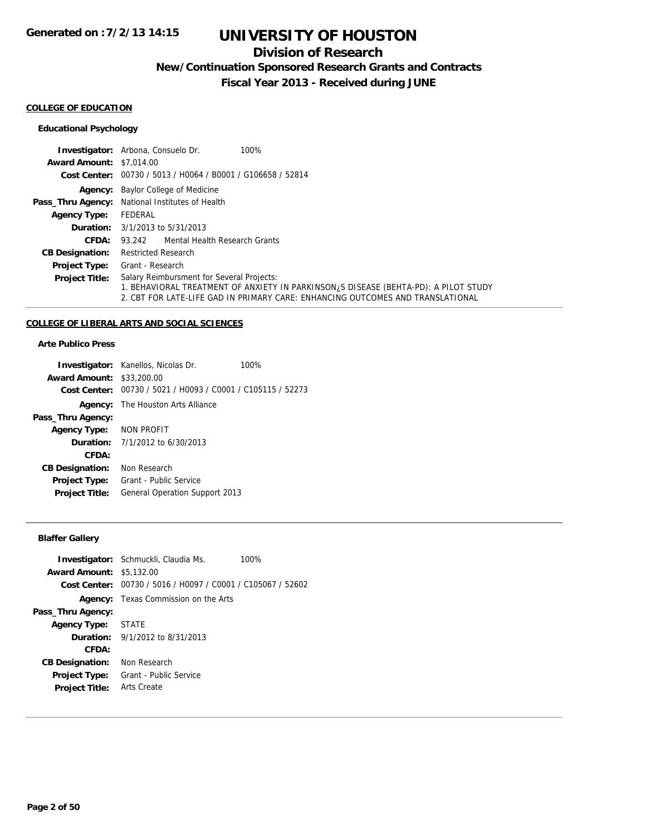## **Division of Research**

**New/Continuation Sponsored Research Grants and Contracts**

**Fiscal Year 2013 - Received during JUNE**

#### **COLLEGE OF EDUCATION**

### **Educational Psychology**

|                                 | <b>Investigator:</b> Arbona, Consuelo Dr.<br>100%                                                                                                                                                                   |  |
|---------------------------------|---------------------------------------------------------------------------------------------------------------------------------------------------------------------------------------------------------------------|--|
| <b>Award Amount: \$7,014.00</b> |                                                                                                                                                                                                                     |  |
|                                 | Cost Center: 00730 / 5013 / H0064 / B0001 / G106658 / 52814                                                                                                                                                         |  |
|                                 | <b>Agency:</b> Baylor College of Medicine                                                                                                                                                                           |  |
|                                 | Pass_Thru Agency: National Institutes of Health                                                                                                                                                                     |  |
| <b>Agency Type:</b>             | FEDERAL                                                                                                                                                                                                             |  |
|                                 | <b>Duration:</b> $3/1/2013$ to $5/31/2013$                                                                                                                                                                          |  |
| CFDA:                           | 93.242 Mental Health Research Grants                                                                                                                                                                                |  |
| <b>CB Designation:</b>          | <b>Restricted Research</b>                                                                                                                                                                                          |  |
| <b>Project Type:</b>            | Grant - Research                                                                                                                                                                                                    |  |
| <b>Project Title:</b>           | Salary Reimbursment for Several Projects:<br>1. BEHAVIORAL TREATMENT OF ANXIETY IN PARKINSON, S DISEASE (BEHTA-PD): A PILOT STUDY<br>2. CBT FOR LATE-LIFE GAD IN PRIMARY CARE: ENHANCING OUTCOMES AND TRANSLATIONAL |  |

### **COLLEGE OF LIBERAL ARTS AND SOCIAL SCIENCES**

### **Arte Publico Press**

|                                  | <b>Investigator:</b> Kanellos, Nicolas Dr.                  | 100% |
|----------------------------------|-------------------------------------------------------------|------|
| <b>Award Amount: \$33,200.00</b> |                                                             |      |
|                                  | Cost Center: 00730 / 5021 / H0093 / C0001 / C105115 / 52273 |      |
|                                  | <b>Agency:</b> The Houston Arts Alliance                    |      |
| Pass_Thru Agency:                |                                                             |      |
| <b>Agency Type:</b>              | NON PROFIT                                                  |      |
|                                  | <b>Duration:</b> 7/1/2012 to 6/30/2013                      |      |
| CFDA:                            |                                                             |      |
| <b>CB Designation:</b>           | Non Research                                                |      |
| <b>Project Type:</b>             | Grant - Public Service                                      |      |
| <b>Project Title:</b>            | <b>General Operation Support 2013</b>                       |      |
|                                  |                                                             |      |

### **Blaffer Gallery**

|                                 | <b>Investigator:</b> Schmuckli, Claudia Ms.<br>100%         |
|---------------------------------|-------------------------------------------------------------|
| <b>Award Amount: \$5,132.00</b> |                                                             |
|                                 | Cost Center: 00730 / 5016 / H0097 / C0001 / C105067 / 52602 |
|                                 | <b>Agency:</b> Texas Commission on the Arts                 |
| Pass_Thru Agency:               |                                                             |
| <b>Agency Type: STATE</b>       |                                                             |
|                                 | <b>Duration:</b> $9/1/2012$ to $8/31/2013$                  |
| CFDA:                           |                                                             |
| <b>CB Designation:</b>          | Non Research                                                |
| <b>Project Type:</b>            | Grant - Public Service                                      |
| <b>Project Title:</b>           | Arts Create                                                 |
|                                 |                                                             |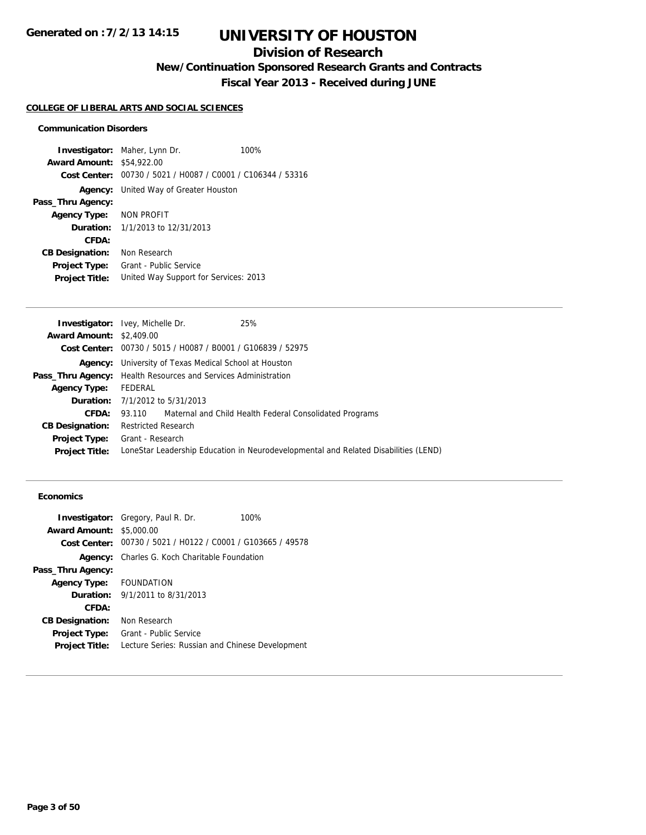## **Division of Research**

**New/Continuation Sponsored Research Grants and Contracts**

**Fiscal Year 2013 - Received during JUNE**

#### **COLLEGE OF LIBERAL ARTS AND SOCIAL SCIENCES**

#### **Communication Disorders**

**Investigator:** Maher, Lynn Dr. 100% **Award Amount:** \$54,922.00 **Cost Center:** 00730 / 5021 / H0087 / C0001 / C106344 / 53316 **Agency:** United Way of Greater Houston **Pass\_Thru Agency: Agency Type:** NON PROFIT **Duration:** 1/1/2013 to 12/31/2013 **CFDA: CB Designation:** Non Research **Project Type:** Grant - Public Service **Project Title:** United Way Support for Services: 2013

|                                 | <b>Investigator:</b> Ivey, Michelle Dr.                               | 25%                                                                                 |
|---------------------------------|-----------------------------------------------------------------------|-------------------------------------------------------------------------------------|
| <b>Award Amount: \$2,409.00</b> |                                                                       |                                                                                     |
|                                 | Cost Center: $00730 / 5015 / 10087 / 80001 / 6106839 / 52975$         |                                                                                     |
|                                 | <b>Agency:</b> University of Texas Medical School at Houston          |                                                                                     |
|                                 | <b>Pass_Thru Agency:</b> Health Resources and Services Administration |                                                                                     |
| <b>Agency Type:</b>             | FEDERAL                                                               |                                                                                     |
|                                 | <b>Duration:</b> 7/1/2012 to 5/31/2013                                |                                                                                     |
| CFDA:                           |                                                                       | 93.110 Maternal and Child Health Federal Consolidated Programs                      |
| <b>CB Designation:</b>          | <b>Restricted Research</b>                                            |                                                                                     |
|                                 | <b>Project Type:</b> Grant - Research                                 |                                                                                     |
| <b>Project Title:</b>           |                                                                       | LoneStar Leadership Education in Neurodevelopmental and Related Disabilities (LEND) |
|                                 |                                                                       |                                                                                     |

#### **Economics**

|                         | <b>Investigator:</b> Gregory, Paul R. Dr.                   | 100% |
|-------------------------|-------------------------------------------------------------|------|
| <b>Award Amount:</b>    | \$5,000.00                                                  |      |
|                         | Cost Center: 00730 / 5021 / H0122 / C0001 / G103665 / 49578 |      |
|                         | <b>Agency:</b> Charles G. Koch Charitable Foundation        |      |
| Pass_Thru Agency:       |                                                             |      |
| Agency Type: FOUNDATION |                                                             |      |
|                         | <b>Duration:</b> 9/1/2011 to 8/31/2013                      |      |
| CFDA:                   |                                                             |      |
| <b>CB Designation:</b>  | Non Research                                                |      |
| Project Type:           | Grant - Public Service                                      |      |
| <b>Project Title:</b>   | Lecture Series: Russian and Chinese Development             |      |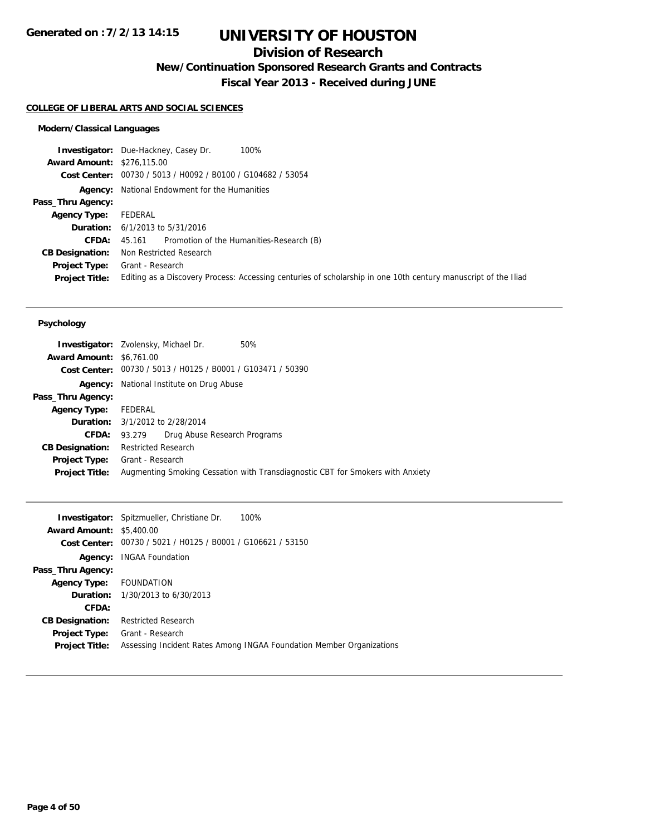## **Division of Research**

**New/Continuation Sponsored Research Grants and Contracts**

**Fiscal Year 2013 - Received during JUNE**

#### **COLLEGE OF LIBERAL ARTS AND SOCIAL SCIENCES**

### **Modern/Classical Languages**

|                                   | 100%<br><b>Investigator:</b> Due-Hackney, Casey Dr.                                                            |
|-----------------------------------|----------------------------------------------------------------------------------------------------------------|
| <b>Award Amount: \$276,115.00</b> |                                                                                                                |
|                                   | Cost Center: 00730 / 5013 / H0092 / B0100 / G104682 / 53054                                                    |
|                                   | <b>Agency:</b> National Endowment for the Humanities                                                           |
| Pass_Thru Agency:                 |                                                                                                                |
| <b>Agency Type:</b>               | FEDERAL                                                                                                        |
|                                   | <b>Duration:</b> $6/1/2013$ to $5/31/2016$                                                                     |
| <b>CFDA:</b>                      | 45.161 Promotion of the Humanities-Research (B)                                                                |
| <b>CB Designation:</b>            | Non Restricted Research                                                                                        |
| <b>Project Type:</b>              | Grant - Research                                                                                               |
| <b>Project Title:</b>             | Editing as a Discovery Process: Accessing centuries of scholarship in one 10th century manuscript of the Iliad |

| 50%<br><b>Investigator:</b> Zvolensky, Michael Dr.                             |
|--------------------------------------------------------------------------------|
| <b>Award Amount: \$6,761.00</b>                                                |
| Cost Center: 00730 / 5013 / H0125 / B0001 / G103471 / 50390                    |
| <b>Agency:</b> National Institute on Drug Abuse                                |
|                                                                                |
| Agency Type: FEDERAL                                                           |
| <b>Duration:</b> 3/1/2012 to 2/28/2014                                         |
| Drug Abuse Research Programs<br>93.279                                         |
| <b>Restricted Research</b>                                                     |
| <b>Project Type:</b> Grant - Research                                          |
| Augmenting Smoking Cessation with Transdiagnostic CBT for Smokers with Anxiety |
|                                                                                |

|                                 | <b>Investigator:</b> Spitzmueller, Christiane Dr.<br>100%            |
|---------------------------------|----------------------------------------------------------------------|
| <b>Award Amount: \$5,400.00</b> |                                                                      |
|                                 | <b>Cost Center:</b> $00730 / 5021 / 10125 / 80001 / 6106621 / 53150$ |
| Agency:                         | <b>INGAA Foundation</b>                                              |
| Pass_Thru Agency:               |                                                                      |
| Agency Type: FOUNDATION         |                                                                      |
|                                 | <b>Duration:</b> 1/30/2013 to 6/30/2013                              |
| CFDA:                           |                                                                      |
| <b>CB Designation:</b>          | <b>Restricted Research</b>                                           |
| <b>Project Type:</b>            | Grant - Research                                                     |
| <b>Project Title:</b>           | Assessing Incident Rates Among INGAA Foundation Member Organizations |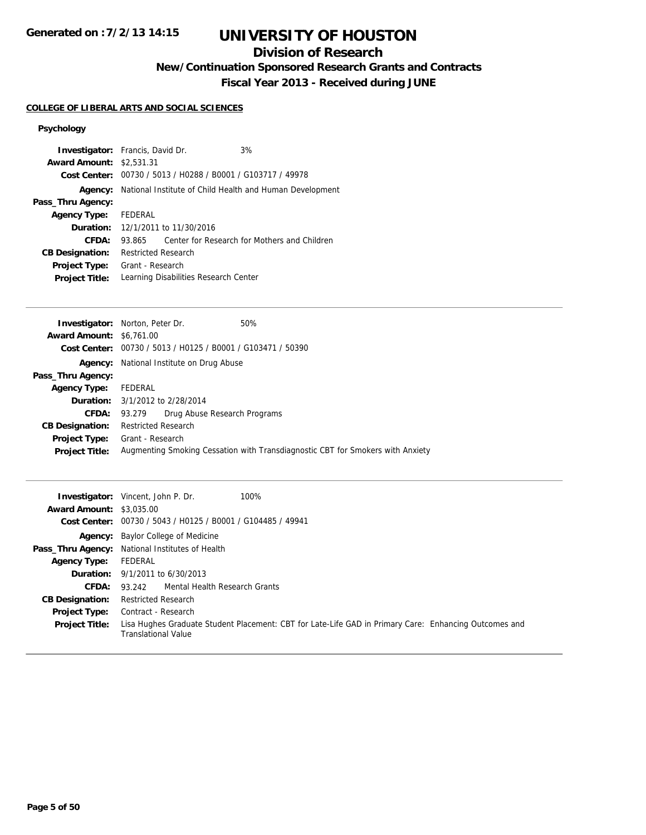# **UNIVERSITY OF HOUSTON**

## **Division of Research**

**New/Continuation Sponsored Research Grants and Contracts**

**Fiscal Year 2013 - Received during JUNE**

#### **COLLEGE OF LIBERAL ARTS AND SOCIAL SCIENCES**

| <b>Investigator:</b> Francis, David Dr.<br>3%<br><b>Award Amount: \$2,531,31</b> |
|----------------------------------------------------------------------------------|
| Cost Center: 00730 / 5013 / H0288 / B0001 / G103717 / 49978                      |
|                                                                                  |
| National Institute of Child Health and Human Development                         |
|                                                                                  |
| FEDERAL                                                                          |
| <b>Duration:</b> 12/1/2011 to 11/30/2016                                         |
| Center for Research for Mothers and Children<br>93.865                           |
| Restricted Research                                                              |
| Grant - Research                                                                 |
| Learning Disabilities Research Center                                            |
|                                                                                  |

|                                 | <b>Investigator:</b> Norton, Peter Dr.<br>50%                                  |
|---------------------------------|--------------------------------------------------------------------------------|
| <b>Award Amount: \$6,761.00</b> |                                                                                |
|                                 | <b>Cost Center:</b> $00730 / 5013 / 40125 / 80001 / 6103471 / 50390$           |
| Agency:                         | National Institute on Drug Abuse                                               |
| Pass_Thru Agency:               |                                                                                |
| <b>Agency Type:</b>             | FEDERAL                                                                        |
|                                 | <b>Duration:</b> 3/1/2012 to 2/28/2014                                         |
| CFDA:                           | Drug Abuse Research Programs<br>93.279                                         |
| <b>CB Designation:</b>          | <b>Restricted Research</b>                                                     |
| Project Type:                   | Grant - Research                                                               |
| <b>Project Title:</b>           | Augmenting Smoking Cessation with Transdiagnostic CBT for Smokers with Anxiety |

| <b>Award Amount: \$3,035,00</b> | <b>Investigator:</b> Vincent, John P. Dr.<br>100%                                                                                   |
|---------------------------------|-------------------------------------------------------------------------------------------------------------------------------------|
|                                 | Cost Center: 00730 / 5043 / H0125 / B0001 / G104485 / 49941                                                                         |
|                                 | <b>Agency:</b> Baylor College of Medicine                                                                                           |
|                                 | Pass_Thru Agency: National Institutes of Health                                                                                     |
| Agency Type:                    | FEDERAL                                                                                                                             |
|                                 | <b>Duration:</b> 9/1/2011 to 6/30/2013                                                                                              |
| CFDA:                           | 93.242 Mental Health Research Grants                                                                                                |
| <b>CB Designation:</b>          | <b>Restricted Research</b>                                                                                                          |
| <b>Project Type:</b>            | Contract - Research                                                                                                                 |
| <b>Project Title:</b>           | Lisa Hughes Graduate Student Placement: CBT for Late-Life GAD in Primary Care: Enhancing Outcomes and<br><b>Translational Value</b> |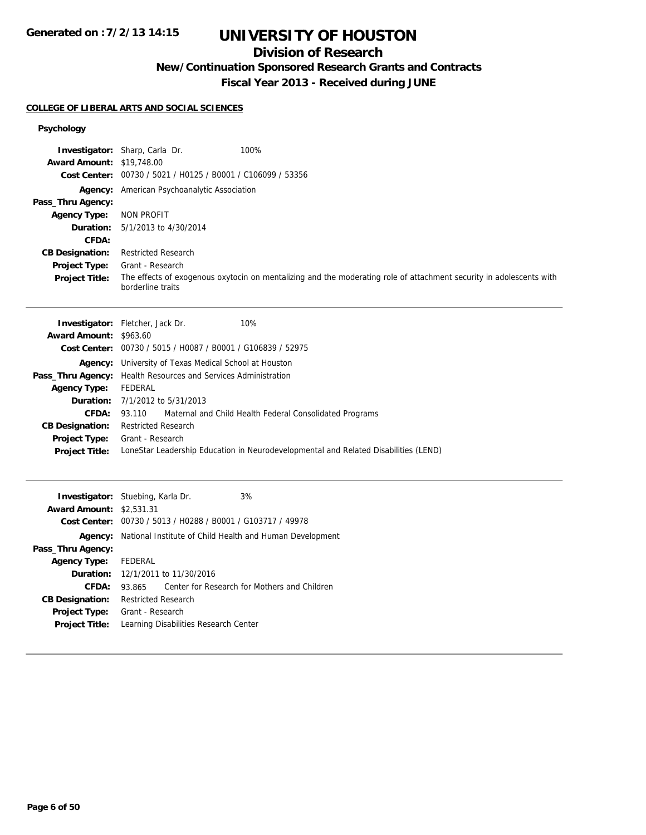# **UNIVERSITY OF HOUSTON**

## **Division of Research**

**New/Continuation Sponsored Research Grants and Contracts**

**Fiscal Year 2013 - Received during JUNE**

#### **COLLEGE OF LIBERAL ARTS AND SOCIAL SCIENCES**

| <b>Award Amount: \$19,748.00</b><br><b>Cost Center:</b><br>Pass_Thru Agency:<br><b>Agency Type:</b><br>Duration:<br>CFDA:<br><b>CB Designation:</b><br>Project Type:<br><b>Project Title:</b> | <b>Investigator:</b> Sharp, Carla Dr.<br>100%<br>00730 / 5021 / H0125 / B0001 / C106099 / 53356<br>Agency: American Psychoanalytic Association<br><b>NON PROFIT</b><br>5/1/2013 to 4/30/2014<br><b>Restricted Research</b><br>Grant - Research<br>The effects of exogenous oxytocin on mentalizing and the moderating role of attachment security in adolescents with<br>borderline traits                                                                                                        |
|-----------------------------------------------------------------------------------------------------------------------------------------------------------------------------------------------|---------------------------------------------------------------------------------------------------------------------------------------------------------------------------------------------------------------------------------------------------------------------------------------------------------------------------------------------------------------------------------------------------------------------------------------------------------------------------------------------------|
| Award Amount: \$963.60<br><b>Agency Type:</b><br>Duration:<br>CFDA:<br><b>CB Designation:</b><br><b>Project Type:</b><br><b>Project Title:</b>                                                | 10%<br><b>Investigator:</b> Fletcher, Jack Dr.<br>Cost Center: 00730 / 5015 / H0087 / B0001 / G106839 / 52975<br>Agency: University of Texas Medical School at Houston<br>Pass_Thru Agency: Health Resources and Services Administration<br><b>FEDERAL</b><br>7/1/2012 to 5/31/2013<br>Maternal and Child Health Federal Consolidated Programs<br>93.110<br><b>Restricted Research</b><br>Grant - Research<br>LoneStar Leadership Education in Neurodevelopmental and Related Disabilities (LEND) |
| <b>Award Amount: \$2,531.31</b><br>Pass_Thru Agency:<br><b>Agency Type:</b><br>Duration:<br>CFDA:<br><b>CB Designation:</b><br>Project Type:<br><b>Project Title:</b>                         | Investigator: Stuebing, Karla Dr.<br>3%<br>Cost Center: 00730 / 5013 / H0288 / B0001 / G103717 / 49978<br><b>Agency:</b> National Institute of Child Health and Human Development<br>FEDERAL<br>12/1/2011 to 11/30/2016<br>93.865<br>Center for Research for Mothers and Children<br><b>Restricted Research</b><br>Grant - Research<br>Learning Disabilities Research Center                                                                                                                      |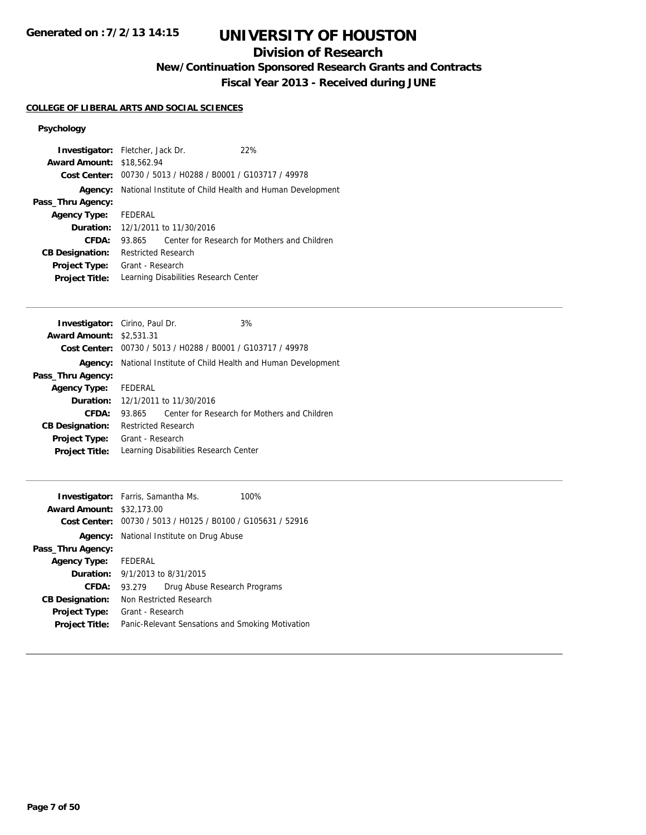# **UNIVERSITY OF HOUSTON**

## **Division of Research**

**New/Continuation Sponsored Research Grants and Contracts**

**Fiscal Year 2013 - Received during JUNE**

#### **COLLEGE OF LIBERAL ARTS AND SOCIAL SCIENCES**

| <b>Investigator:</b> Fletcher, Jack Dr. |                            |                                          | 22%                                                         |                                                          |
|-----------------------------------------|----------------------------|------------------------------------------|-------------------------------------------------------------|----------------------------------------------------------|
| <b>Award Amount: \$18,562.94</b>        |                            |                                          |                                                             |                                                          |
|                                         |                            |                                          | Cost Center: 00730 / 5013 / H0288 / B0001 / G103717 / 49978 |                                                          |
| Agency:                                 |                            |                                          |                                                             | National Institute of Child Health and Human Development |
| Pass_Thru Agency:                       |                            |                                          |                                                             |                                                          |
| <b>Agency Type:</b>                     | FEDERAL                    |                                          |                                                             |                                                          |
|                                         |                            | <b>Duration:</b> 12/1/2011 to 11/30/2016 |                                                             |                                                          |
| CFDA:                                   | 93.865                     |                                          |                                                             | Center for Research for Mothers and Children             |
| <b>CB Designation:</b>                  | <b>Restricted Research</b> |                                          |                                                             |                                                          |
| <b>Project Type:</b>                    | Grant - Research           |                                          |                                                             |                                                          |
| <b>Project Title:</b>                   |                            |                                          | Learning Disabilities Research Center                       |                                                          |
|                                         |                            |                                          |                                                             |                                                          |

| <b>Investigator:</b> Cirino, Paul Dr.    |                            |                                       | 3%                                                          |
|------------------------------------------|----------------------------|---------------------------------------|-------------------------------------------------------------|
| <b>Award Amount: \$2,531,31</b>          |                            |                                       |                                                             |
|                                          |                            |                                       | Cost Center: 00730 / 5013 / H0288 / B0001 / G103717 / 49978 |
| Agency:                                  |                            |                                       | National Institute of Child Health and Human Development    |
| Pass_Thru Agency:                        |                            |                                       |                                                             |
| Agency Type: FEDERAL                     |                            |                                       |                                                             |
| <b>Duration:</b> 12/1/2011 to 11/30/2016 |                            |                                       |                                                             |
| CFDA:                                    | 93.865                     |                                       | Center for Research for Mothers and Children                |
| <b>CB Designation:</b>                   | <b>Restricted Research</b> |                                       |                                                             |
| <b>Project Type:</b>                     | Grant - Research           |                                       |                                                             |
| <b>Project Title:</b>                    |                            | Learning Disabilities Research Center |                                                             |

| <b>Investigator:</b> Farris, Samantha Ms.<br><b>Award Amount: \$32,173.00</b> |                                            |                                                             | 100% |
|-------------------------------------------------------------------------------|--------------------------------------------|-------------------------------------------------------------|------|
|                                                                               |                                            | Cost Center: 00730 / 5013 / H0125 / B0100 / G105631 / 52916 |      |
|                                                                               |                                            | <b>Agency:</b> National Institute on Drug Abuse             |      |
| Pass_Thru Agency:                                                             |                                            |                                                             |      |
| <b>Agency Type:</b>                                                           | FEDERAL                                    |                                                             |      |
|                                                                               | <b>Duration:</b> $9/1/2013$ to $8/31/2015$ |                                                             |      |
| CFDA:                                                                         | 93.279                                     | Drug Abuse Research Programs                                |      |
| <b>CB Designation:</b>                                                        |                                            | Non Restricted Research                                     |      |
| <b>Project Type:</b>                                                          | Grant - Research                           |                                                             |      |
| <b>Project Title:</b>                                                         |                                            | Panic-Relevant Sensations and Smoking Motivation            |      |
|                                                                               |                                            |                                                             |      |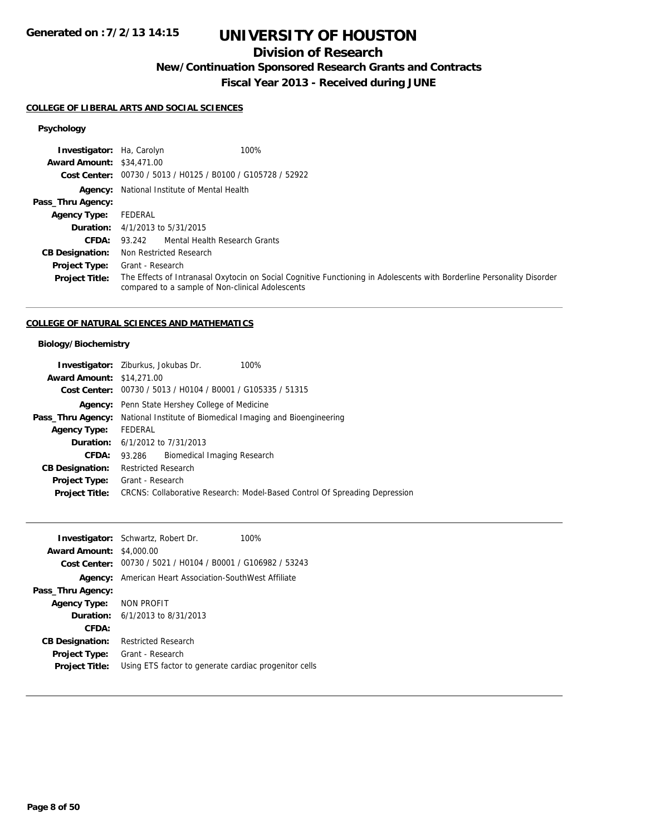## **Division of Research**

**New/Continuation Sponsored Research Grants and Contracts**

**Fiscal Year 2013 - Received during JUNE**

## **COLLEGE OF LIBERAL ARTS AND SOCIAL SCIENCES**

## **Psychology**

| <b>Investigator:</b> Ha, Carolyn | 100%                                                                                                                                                                       |
|----------------------------------|----------------------------------------------------------------------------------------------------------------------------------------------------------------------------|
| <b>Award Amount: \$34,471.00</b> |                                                                                                                                                                            |
|                                  | Cost Center: 00730 / 5013 / H0125 / B0100 / G105728 / 52922                                                                                                                |
|                                  | <b>Agency:</b> National Institute of Mental Health                                                                                                                         |
| Pass_Thru Agency:                |                                                                                                                                                                            |
| <b>Agency Type:</b>              | FEDERAL                                                                                                                                                                    |
|                                  | <b>Duration:</b> 4/1/2013 to 5/31/2015                                                                                                                                     |
| CFDA:                            | 93.242 Mental Health Research Grants                                                                                                                                       |
| <b>CB Designation:</b>           | Non Restricted Research                                                                                                                                                    |
| <b>Project Type:</b>             | Grant - Research                                                                                                                                                           |
| <b>Project Title:</b>            | The Effects of Intranasal Oxytocin on Social Cognitive Functioning in Adolescents with Borderline Personality Disorder<br>compared to a sample of Non-clinical Adolescents |

### **COLLEGE OF NATURAL SCIENCES AND MATHEMATICS**

|                                  | 100%<br><b>Investigator:</b> Ziburkus, Jokubas Dr.                                   |
|----------------------------------|--------------------------------------------------------------------------------------|
| <b>Award Amount: \$14,271.00</b> |                                                                                      |
|                                  | Cost Center: 00730 / 5013 / H0104 / B0001 / G105335 / 51315                          |
|                                  | <b>Agency:</b> Penn State Hershey College of Medicine                                |
|                                  | <b>Pass_Thru Agency:</b> National Institute of Biomedical Imaging and Bioengineering |
| <b>Agency Type:</b>              | <b>FEDERAL</b>                                                                       |
|                                  | <b>Duration:</b> 6/1/2012 to 7/31/2013                                               |
| CFDA:                            | Biomedical Imaging Research<br>93.286                                                |
| <b>CB Designation:</b>           | <b>Restricted Research</b>                                                           |
| <b>Project Type:</b>             | Grant - Research                                                                     |
| <b>Project Title:</b>            | CRCNS: Collaborative Research: Model-Based Control Of Spreading Depression           |
|                                  |                                                                                      |

|                         | <b>Investigator:</b> Schwartz, Robert Dr.                     | 100% |
|-------------------------|---------------------------------------------------------------|------|
| <b>Award Amount:</b>    | \$4,000.00                                                    |      |
|                         | Cost Center: 00730 / 5021 / H0104 / B0001 / G106982 / 53243   |      |
|                         | <b>Agency:</b> American Heart Association-SouthWest Affiliate |      |
| Pass_Thru Agency:       |                                                               |      |
| Agency Type: NON PROFIT |                                                               |      |
|                         | <b>Duration:</b> $6/1/2013$ to $8/31/2013$                    |      |
| CFDA:                   |                                                               |      |
| <b>CB Designation:</b>  | <b>Restricted Research</b>                                    |      |
| <b>Project Type:</b>    | Grant - Research                                              |      |
| <b>Project Title:</b>   | Using ETS factor to generate cardiac progenitor cells         |      |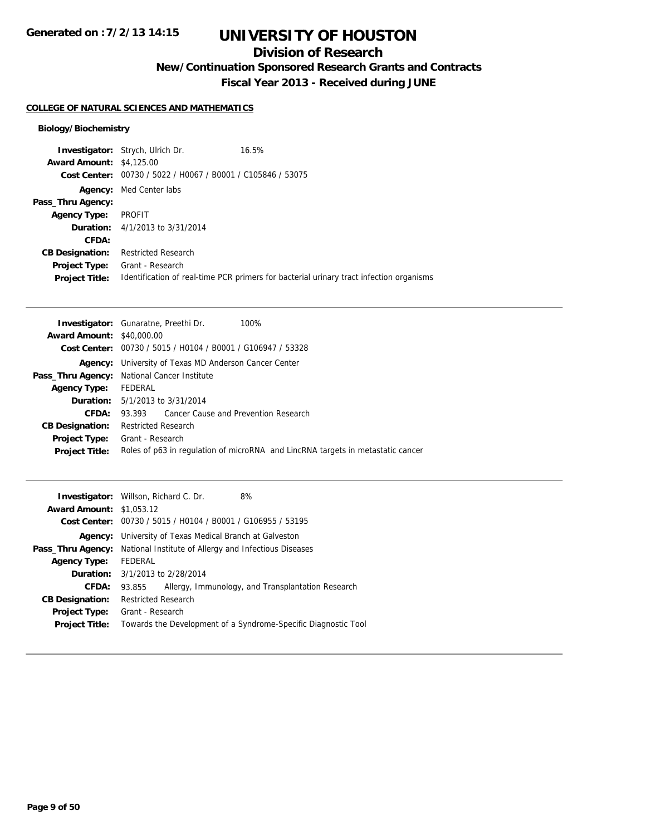## **Division of Research**

**New/Continuation Sponsored Research Grants and Contracts**

**Fiscal Year 2013 - Received during JUNE**

#### **COLLEGE OF NATURAL SCIENCES AND MATHEMATICS**

| <b>Investigator:</b> Strych, Ulrich Dr.                     | 16.5%                                                                                   |
|-------------------------------------------------------------|-----------------------------------------------------------------------------------------|
| <b>Award Amount: \$4,125.00</b>                             |                                                                                         |
| Cost Center: 00730 / 5022 / H0067 / B0001 / C105846 / 53075 |                                                                                         |
| <b>Agency:</b> Med Center labs                              |                                                                                         |
|                                                             |                                                                                         |
| PROFIT                                                      |                                                                                         |
| <b>Duration:</b> $4/1/2013$ to $3/31/2014$                  |                                                                                         |
|                                                             |                                                                                         |
| <b>Restricted Research</b>                                  |                                                                                         |
| Grant - Research                                            |                                                                                         |
|                                                             | Identification of real-time PCR primers for bacterial urinary tract infection organisms |
|                                                             |                                                                                         |

|                                  | <b>Investigator:</b> Gunaratne, Preethi Dr.<br>100%                             |
|----------------------------------|---------------------------------------------------------------------------------|
| <b>Award Amount: \$40,000.00</b> |                                                                                 |
|                                  | <b>Cost Center:</b> $00730 / 5015 / 40104 / 80001 / 6106947 / 53328$            |
| Agency:                          | University of Texas MD Anderson Cancer Center                                   |
|                                  | Pass_Thru Agency: National Cancer Institute                                     |
| <b>Agency Type:</b>              | FEDERAL                                                                         |
|                                  | <b>Duration:</b> 5/1/2013 to 3/31/2014                                          |
| CFDA:                            | 93.393 Cancer Cause and Prevention Research                                     |
| <b>CB Designation:</b>           | <b>Restricted Research</b>                                                      |
| <b>Project Type:</b>             | Grant - Research                                                                |
| <b>Project Title:</b>            | Roles of p63 in regulation of microRNA and LincRNA targets in metastatic cancer |
|                                  |                                                                                 |

|                                 | <b>Investigator:</b> Willson, Richard C. Dr.<br>8%             |  |
|---------------------------------|----------------------------------------------------------------|--|
| <b>Award Amount: \$1,053.12</b> |                                                                |  |
|                                 | Cost Center: 00730 / 5015 / H0104 / B0001 / G106955 / 53195    |  |
| Agency:                         | University of Texas Medical Branch at Galveston                |  |
| Pass_Thru Agency:               | National Institute of Allergy and Infectious Diseases          |  |
| <b>Agency Type:</b>             | FEDERAL                                                        |  |
|                                 | <b>Duration:</b> 3/1/2013 to 2/28/2014                         |  |
| CFDA:                           | Allergy, Immunology, and Transplantation Research<br>93.855    |  |
| <b>CB Designation:</b>          | <b>Restricted Research</b>                                     |  |
| <b>Project Type:</b>            | Grant - Research                                               |  |
| <b>Project Title:</b>           | Towards the Development of a Syndrome-Specific Diagnostic Tool |  |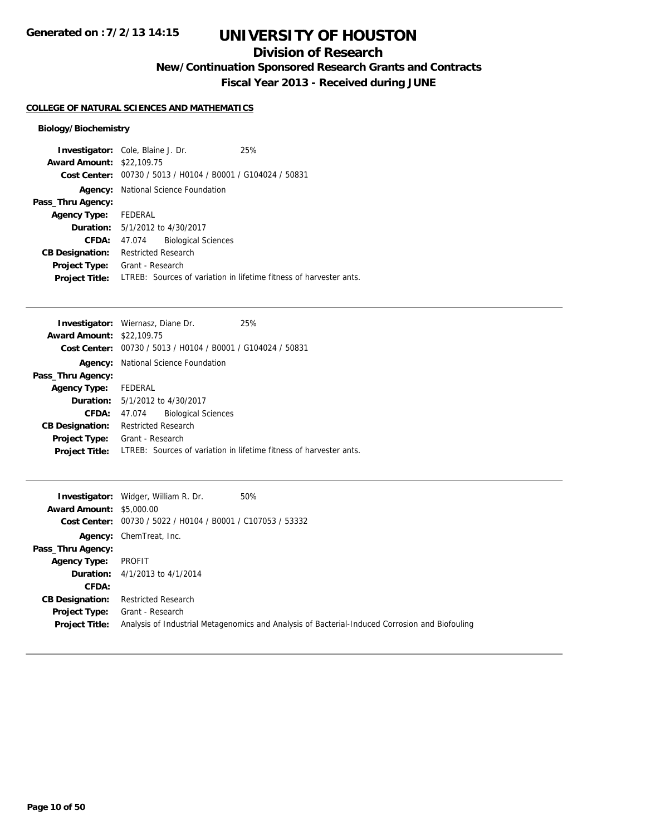## **Division of Research**

**New/Continuation Sponsored Research Grants and Contracts**

**Fiscal Year 2013 - Received during JUNE**

### **COLLEGE OF NATURAL SCIENCES AND MATHEMATICS**

|                                  | <b>Investigator:</b> Cole, Blaine J. Dr.       | 25%                                                                |
|----------------------------------|------------------------------------------------|--------------------------------------------------------------------|
| <b>Award Amount: \$22,109.75</b> |                                                |                                                                    |
| Cost Center:                     | 00730 / 5013 / H0104 / B0001 / G104024 / 50831 |                                                                    |
| Agency:                          | National Science Foundation                    |                                                                    |
| Pass_Thru Agency:                |                                                |                                                                    |
| <b>Agency Type:</b>              | FEDERAL                                        |                                                                    |
|                                  | <b>Duration:</b> 5/1/2012 to 4/30/2017         |                                                                    |
| CFDA:                            | <b>Biological Sciences</b><br>47.074           |                                                                    |
| <b>CB Designation:</b>           | <b>Restricted Research</b>                     |                                                                    |
| Project Type:                    | Grant - Research                               |                                                                    |
| <b>Project Title:</b>            |                                                | LTREB: Sources of variation in lifetime fitness of harvester ants. |

|                                  | <b>Investigator:</b> Wiernasz, Diane Dr.                    | 25%                                                                |
|----------------------------------|-------------------------------------------------------------|--------------------------------------------------------------------|
| <b>Award Amount: \$22,109.75</b> |                                                             |                                                                    |
|                                  | Cost Center: 00730 / 5013 / H0104 / B0001 / G104024 / 50831 |                                                                    |
| Agency:                          | National Science Foundation                                 |                                                                    |
| Pass_Thru Agency:                |                                                             |                                                                    |
| Agency Type: FEDERAL             |                                                             |                                                                    |
|                                  | <b>Duration:</b> $5/1/2012$ to $4/30/2017$                  |                                                                    |
| <b>CFDA:</b>                     | <b>Biological Sciences</b><br>47.074                        |                                                                    |
| <b>CB Designation:</b>           | <b>Restricted Research</b>                                  |                                                                    |
| <b>Project Type:</b>             | Grant - Research                                            |                                                                    |
| <b>Project Title:</b>            |                                                             | LTREB: Sources of variation in lifetime fitness of harvester ants. |
|                                  |                                                             |                                                                    |

|                                 | <b>Investigator:</b> Widger, William R. Dr.                 | 50%                                                                                            |
|---------------------------------|-------------------------------------------------------------|------------------------------------------------------------------------------------------------|
| <b>Award Amount: \$5,000.00</b> |                                                             |                                                                                                |
|                                 | Cost Center: 00730 / 5022 / H0104 / B0001 / C107053 / 53332 |                                                                                                |
|                                 | Agency: ChemTreat, Inc.                                     |                                                                                                |
| Pass_Thru Agency:               |                                                             |                                                                                                |
| <b>Agency Type:</b>             | PROFIT                                                      |                                                                                                |
|                                 | <b>Duration:</b> $4/1/2013$ to $4/1/2014$                   |                                                                                                |
| CFDA:                           |                                                             |                                                                                                |
| <b>CB Designation:</b>          | <b>Restricted Research</b>                                  |                                                                                                |
| Project Type:                   | Grant - Research                                            |                                                                                                |
| <b>Project Title:</b>           |                                                             | Analysis of Industrial Metagenomics and Analysis of Bacterial-Induced Corrosion and Biofouling |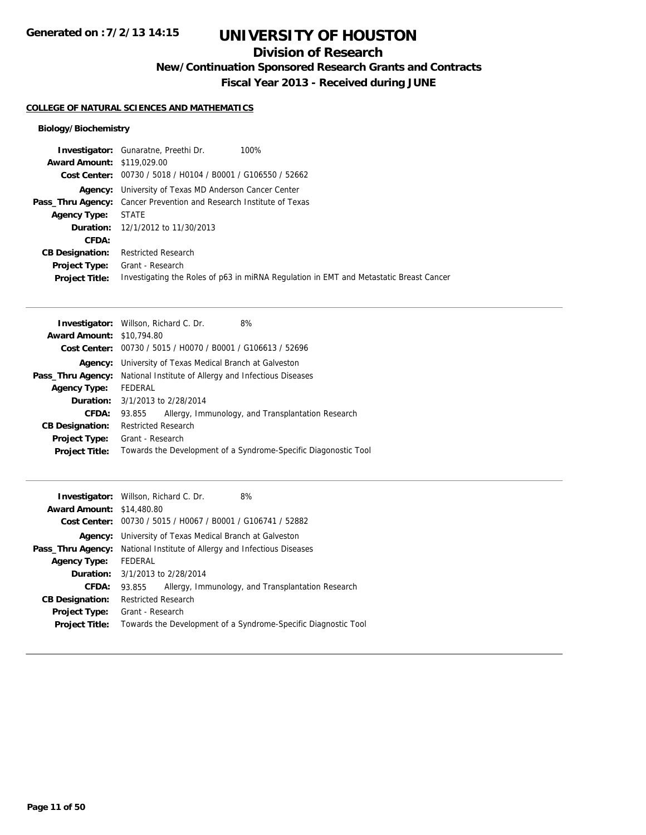## **Division of Research**

**New/Continuation Sponsored Research Grants and Contracts**

**Fiscal Year 2013 - Received during JUNE**

#### **COLLEGE OF NATURAL SCIENCES AND MATHEMATICS**

|                                   | <b>Investigator:</b> Gunaratne, Preethi Dr.<br>100%                                    |
|-----------------------------------|----------------------------------------------------------------------------------------|
| <b>Award Amount: \$119,029.00</b> |                                                                                        |
|                                   | Cost Center: 00730 / 5018 / H0104 / B0001 / G106550 / 52662                            |
|                                   | <b>Agency:</b> University of Texas MD Anderson Cancer Center                           |
|                                   | <b>Pass_Thru Agency:</b> Cancer Prevention and Research Institute of Texas             |
| <b>Agency Type:</b>               | STATE                                                                                  |
|                                   | <b>Duration:</b> 12/1/2012 to 11/30/2013                                               |
| CFDA:                             |                                                                                        |
| <b>CB Designation:</b>            | <b>Restricted Research</b>                                                             |
| Project Type:                     | Grant - Research                                                                       |
| <b>Project Title:</b>             | Investigating the Roles of p63 in miRNA Regulation in EMT and Metastatic Breast Cancer |

|                                  | <b>Investigator:</b> Willson, Richard C. Dr.<br>8%              |  |  |
|----------------------------------|-----------------------------------------------------------------|--|--|
| <b>Award Amount: \$10,794.80</b> |                                                                 |  |  |
|                                  | Cost Center: 00730 / 5015 / H0070 / B0001 / G106613 / 52696     |  |  |
| Agency:                          | University of Texas Medical Branch at Galveston                 |  |  |
| Pass_Thru Agency:                | National Institute of Allergy and Infectious Diseases           |  |  |
| <b>Agency Type:</b>              | FEDERAL                                                         |  |  |
|                                  | <b>Duration:</b> 3/1/2013 to 2/28/2014                          |  |  |
| CFDA:                            | Allergy, Immunology, and Transplantation Research<br>93.855     |  |  |
| <b>CB Designation:</b>           | <b>Restricted Research</b>                                      |  |  |
| <b>Project Type:</b>             | Grant - Research                                                |  |  |
| <b>Project Title:</b>            | Towards the Development of a Syndrome-Specific Diagonostic Tool |  |  |
|                                  |                                                                 |  |  |

|                                  | <b>Investigator:</b> Willson, Richard C. Dr.                | 8%                                                             |  |
|----------------------------------|-------------------------------------------------------------|----------------------------------------------------------------|--|
| <b>Award Amount: \$14,480.80</b> |                                                             |                                                                |  |
|                                  | Cost Center: 00730 / 5015 / H0067 / B0001 / G106741 / 52882 |                                                                |  |
| Agency:                          | University of Texas Medical Branch at Galveston             |                                                                |  |
| Pass_Thru Agency:                | National Institute of Allergy and Infectious Diseases       |                                                                |  |
| <b>Agency Type:</b>              | FEDERAL                                                     |                                                                |  |
|                                  | <b>Duration:</b> 3/1/2013 to 2/28/2014                      |                                                                |  |
| CFDA:                            | 93.855                                                      | Allergy, Immunology, and Transplantation Research              |  |
| <b>CB Designation:</b>           | <b>Restricted Research</b>                                  |                                                                |  |
| Project Type:                    | Grant - Research                                            |                                                                |  |
| <b>Project Title:</b>            |                                                             | Towards the Development of a Syndrome-Specific Diagnostic Tool |  |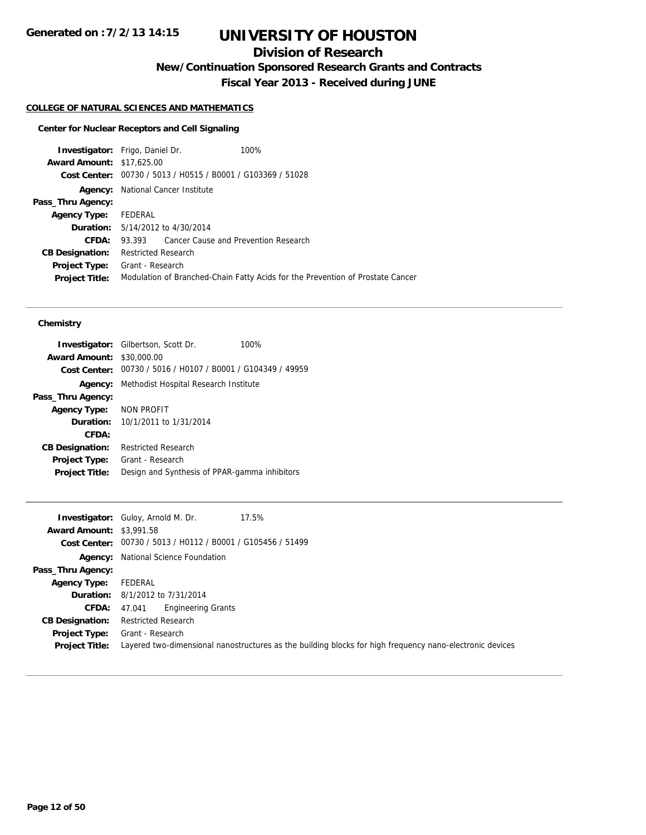## **Division of Research**

**New/Continuation Sponsored Research Grants and Contracts**

**Fiscal Year 2013 - Received during JUNE**

### **COLLEGE OF NATURAL SCIENCES AND MATHEMATICS**

### **Center for Nuclear Receptors and Cell Signaling**

| <b>Investigator:</b> Frigo, Daniel Dr. |                                                             |                                             | 100%                                                                           |
|----------------------------------------|-------------------------------------------------------------|---------------------------------------------|--------------------------------------------------------------------------------|
| <b>Award Amount: \$17,625.00</b>       |                                                             |                                             |                                                                                |
|                                        | Cost Center: 00730 / 5013 / H0515 / B0001 / G103369 / 51028 |                                             |                                                                                |
|                                        | <b>Agency:</b> National Cancer Institute                    |                                             |                                                                                |
| Pass_Thru Agency:                      |                                                             |                                             |                                                                                |
| <b>Agency Type:</b>                    | FEDERAL                                                     |                                             |                                                                                |
|                                        |                                                             | <b>Duration:</b> $5/14/2012$ to $4/30/2014$ |                                                                                |
| CFDA:                                  | 93.393                                                      | Cancer Cause and Prevention Research        |                                                                                |
| <b>CB Designation:</b>                 | <b>Restricted Research</b>                                  |                                             |                                                                                |
| <b>Project Type:</b>                   | Grant - Research                                            |                                             |                                                                                |
| <b>Project Title:</b>                  |                                                             |                                             | Modulation of Branched-Chain Fatty Acids for the Prevention of Prostate Cancer |
|                                        |                                                             |                                             |                                                                                |

#### **Chemistry**

|                        | <b>Investigator:</b> Gilbertson, Scott Dr.<br>100%          |  |
|------------------------|-------------------------------------------------------------|--|
| <b>Award Amount:</b>   | \$30,000.00                                                 |  |
|                        | Cost Center: 00730 / 5016 / H0107 / B0001 / G104349 / 49959 |  |
| Agency:                | Methodist Hospital Research Institute                       |  |
| Pass_Thru Agency:      |                                                             |  |
| <b>Agency Type:</b>    | NON PROFIT                                                  |  |
|                        | <b>Duration:</b> $10/1/2011$ to $1/31/2014$                 |  |
| CFDA:                  |                                                             |  |
| <b>CB Designation:</b> | <b>Restricted Research</b>                                  |  |
| <b>Project Type:</b>   | Grant - Research                                            |  |
| <b>Project Title:</b>  | Design and Synthesis of PPAR-gamma inhibitors               |  |
|                        |                                                             |  |

|                                 | 17.5%<br><b>Investigator:</b> Guloy, Arnold M. Dr.                                                       |
|---------------------------------|----------------------------------------------------------------------------------------------------------|
| <b>Award Amount: \$3,991.58</b> |                                                                                                          |
|                                 | Cost Center: 00730 / 5013 / H0112 / B0001 / G105456 / 51499                                              |
|                                 | <b>Agency:</b> National Science Foundation                                                               |
| Pass_Thru Agency:               |                                                                                                          |
| <b>Agency Type:</b>             | FEDERAL                                                                                                  |
|                                 | <b>Duration:</b> 8/1/2012 to 7/31/2014                                                                   |
| <b>CFDA:</b>                    | <b>Engineering Grants</b><br>47.041                                                                      |
| <b>CB Designation:</b>          | <b>Restricted Research</b>                                                                               |
| Project Type:                   | Grant - Research                                                                                         |
| <b>Project Title:</b>           | Layered two-dimensional nanostructures as the building blocks for high frequency nano-electronic devices |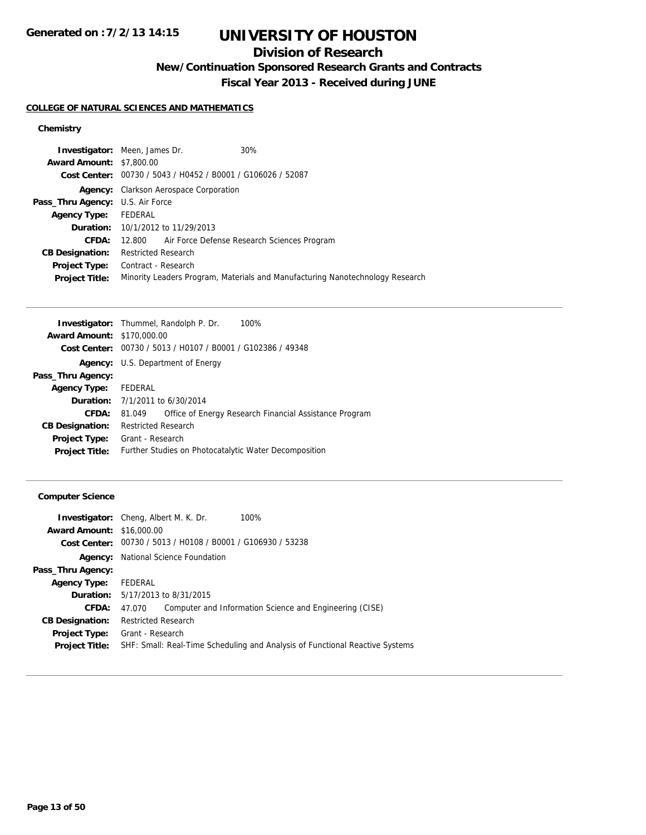# **UNIVERSITY OF HOUSTON**

## **Division of Research**

**New/Continuation Sponsored Research Grants and Contracts**

**Fiscal Year 2013 - Received during JUNE**

#### **COLLEGE OF NATURAL SCIENCES AND MATHEMATICS**

### **Chemistry**

| <b>Investigator:</b> Meen, James Dr.    |                                                                               |  | 30%                                                |
|-----------------------------------------|-------------------------------------------------------------------------------|--|----------------------------------------------------|
| <b>Award Amount: \$7,800.00</b>         |                                                                               |  |                                                    |
|                                         | Cost Center: 00730 / 5043 / H0452 / B0001 / G106026 / 52087                   |  |                                                    |
|                                         | Agency: Clarkson Aerospace Corporation                                        |  |                                                    |
| <b>Pass_Thru Agency:</b> U.S. Air Force |                                                                               |  |                                                    |
| <b>Agency Type:</b>                     | FEDERAL                                                                       |  |                                                    |
|                                         | <b>Duration:</b> 10/1/2012 to 11/29/2013                                      |  |                                                    |
| CFDA:                                   |                                                                               |  | 12.800 Air Force Defense Research Sciences Program |
| <b>CB Designation:</b>                  | <b>Restricted Research</b>                                                    |  |                                                    |
| Project Type:                           | Contract - Research                                                           |  |                                                    |
| <b>Project Title:</b>                   | Minority Leaders Program, Materials and Manufacturing Nanotechnology Research |  |                                                    |

|                                   | Investigator: Thummel, Randolph P. Dr.<br>100%                   |
|-----------------------------------|------------------------------------------------------------------|
| <b>Award Amount: \$170,000.00</b> |                                                                  |
|                                   | Cost Center: 00730 / 5013 / H0107 / B0001 / G102386 / 49348      |
|                                   | <b>Agency:</b> U.S. Department of Energy                         |
| Pass_Thru Agency:                 |                                                                  |
| <b>Agency Type:</b>               | FEDERAL                                                          |
|                                   | <b>Duration:</b> $7/1/2011$ to $6/30/2014$                       |
| CFDA:                             | Office of Energy Research Financial Assistance Program<br>81.049 |
| <b>CB Designation:</b>            | <b>Restricted Research</b>                                       |
| <b>Project Type:</b>              | Grant - Research                                                 |
| <b>Project Title:</b>             | Further Studies on Photocatalytic Water Decomposition            |
|                                   |                                                                  |

### **Computer Science**

|                                  | <b>Investigator:</b> Cheng, Albert M. K. Dr.                       | 100%                                                                         |  |  |
|----------------------------------|--------------------------------------------------------------------|------------------------------------------------------------------------------|--|--|
| <b>Award Amount: \$16,000.00</b> |                                                                    |                                                                              |  |  |
|                                  | <b>Cost Center:</b> 00730 / 5013 / H0108 / B0001 / G106930 / 53238 |                                                                              |  |  |
| Agency:                          |                                                                    | National Science Foundation                                                  |  |  |
| Pass_Thru Agency:                |                                                                    |                                                                              |  |  |
| <b>Agency Type:</b>              | FEDERAL                                                            |                                                                              |  |  |
|                                  | <b>Duration:</b> 5/17/2013 to 8/31/2015                            |                                                                              |  |  |
| CFDA:                            | 47.070                                                             | Computer and Information Science and Engineering (CISE)                      |  |  |
| <b>CB Designation:</b>           | <b>Restricted Research</b>                                         |                                                                              |  |  |
| <b>Project Type:</b>             | Grant - Research                                                   |                                                                              |  |  |
| <b>Project Title:</b>            |                                                                    | SHF: Small: Real-Time Scheduling and Analysis of Functional Reactive Systems |  |  |
|                                  |                                                                    |                                                                              |  |  |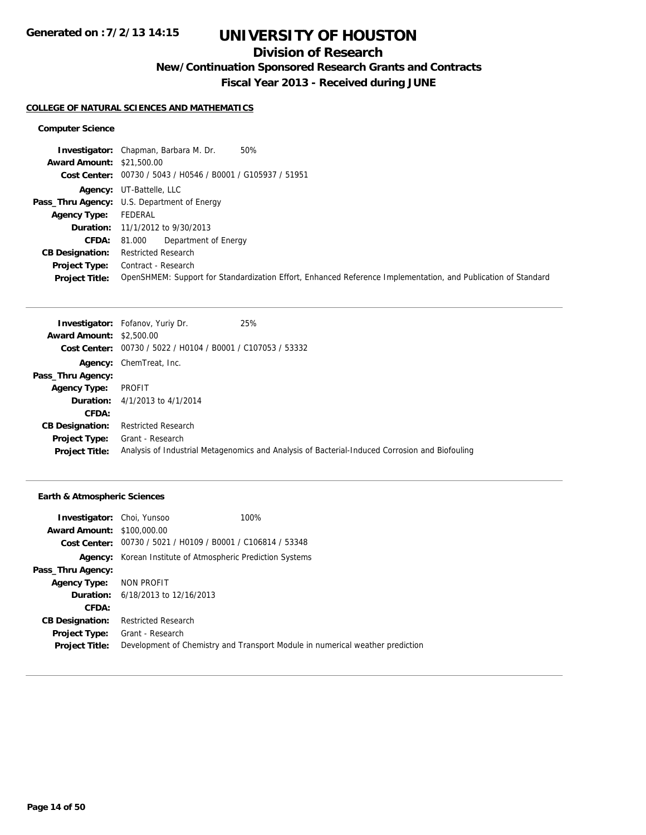## **Division of Research**

**New/Continuation Sponsored Research Grants and Contracts**

**Fiscal Year 2013 - Received during JUNE**

#### **COLLEGE OF NATURAL SCIENCES AND MATHEMATICS**

#### **Computer Science**

| <b>Investigator:</b> Chapman, Barbara M. Dr.<br>50%                                                           |
|---------------------------------------------------------------------------------------------------------------|
| <b>Award Amount: \$21,500.00</b>                                                                              |
| Cost Center: 00730 / 5043 / H0546 / B0001 / G105937 / 51951                                                   |
| <b>Agency:</b> UT-Battelle, LLC                                                                               |
| <b>Pass_Thru Agency:</b> U.S. Department of Energy                                                            |
| FEDERAL                                                                                                       |
| <b>Duration:</b> 11/1/2012 to 9/30/2013                                                                       |
| Department of Energy<br>81.000                                                                                |
| <b>Restricted Research</b>                                                                                    |
| Contract - Research                                                                                           |
| OpenSHMEM: Support for Standardization Effort, Enhanced Reference Implementation, and Publication of Standard |
|                                                                                                               |

|                                 | <b>Investigator:</b> Fofanov, Yuriy Dr.                     | 25%                                                                                            |
|---------------------------------|-------------------------------------------------------------|------------------------------------------------------------------------------------------------|
| <b>Award Amount: \$2,500.00</b> |                                                             |                                                                                                |
|                                 | Cost Center: 00730 / 5022 / H0104 / B0001 / C107053 / 53332 |                                                                                                |
|                                 | <b>Agency:</b> ChemTreat, Inc.                              |                                                                                                |
| Pass_Thru Agency:               |                                                             |                                                                                                |
| <b>Agency Type:</b>             | PROFIT                                                      |                                                                                                |
|                                 | <b>Duration:</b> $4/1/2013$ to $4/1/2014$                   |                                                                                                |
| CFDA:                           |                                                             |                                                                                                |
| <b>CB Designation:</b>          | <b>Restricted Research</b>                                  |                                                                                                |
| <b>Project Type:</b>            | Grant - Research                                            |                                                                                                |
| <b>Project Title:</b>           |                                                             | Analysis of Industrial Metagenomics and Analysis of Bacterial-Induced Corrosion and Biofouling |

### **Earth & Atmospheric Sciences**

| <b>Investigator:</b> Choi, Yunsoo |                                                                      | 100%                                                                          |
|-----------------------------------|----------------------------------------------------------------------|-------------------------------------------------------------------------------|
| <b>Award Amount: \$100,000.00</b> |                                                                      |                                                                               |
|                                   | <b>Cost Center:</b> $00730 / 5021 / 10109 / 80001 / 0106814 / 53348$ |                                                                               |
| Agency:                           | Korean Institute of Atmospheric Prediction Systems                   |                                                                               |
| Pass_Thru Agency:                 |                                                                      |                                                                               |
| <b>Agency Type:</b>               | NON PROFIT                                                           |                                                                               |
|                                   | <b>Duration:</b> 6/18/2013 to 12/16/2013                             |                                                                               |
| CFDA:                             |                                                                      |                                                                               |
| <b>CB Designation:</b>            | <b>Restricted Research</b>                                           |                                                                               |
|                                   | <b>Project Type:</b> Grant - Research                                |                                                                               |
| <b>Project Title:</b>             |                                                                      | Development of Chemistry and Transport Module in numerical weather prediction |
|                                   |                                                                      |                                                                               |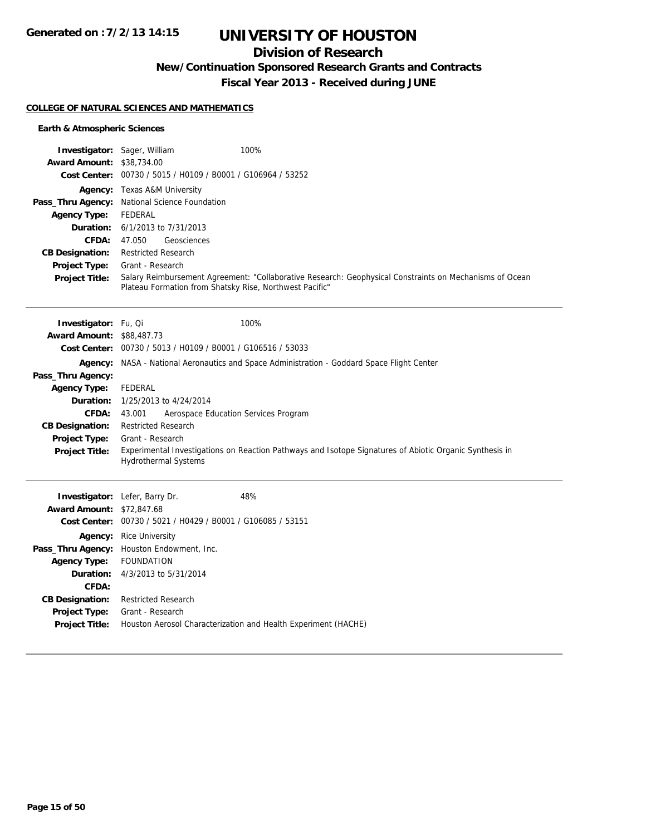## **Division of Research**

**New/Continuation Sponsored Research Grants and Contracts**

**Fiscal Year 2013 - Received during JUNE**

#### **COLLEGE OF NATURAL SCIENCES AND MATHEMATICS**

#### **Earth & Atmospheric Sciences**

| Investigator: Sager, William     | 100%                                                                                                                                                               |
|----------------------------------|--------------------------------------------------------------------------------------------------------------------------------------------------------------------|
| <b>Award Amount: \$38,734.00</b> |                                                                                                                                                                    |
|                                  | Cost Center: 00730 / 5015 / H0109 / B0001 / G106964 / 53252                                                                                                        |
|                                  | Agency: Texas A&M University                                                                                                                                       |
|                                  | Pass_Thru Agency: National Science Foundation                                                                                                                      |
| <b>Agency Type:</b>              | <b>FEDERAL</b>                                                                                                                                                     |
| Duration:                        | 6/1/2013 to 7/31/2013                                                                                                                                              |
| <b>CFDA:</b>                     | Geosciences<br>47.050                                                                                                                                              |
| <b>CB Designation:</b>           | <b>Restricted Research</b>                                                                                                                                         |
| Project Type:                    | Grant - Research                                                                                                                                                   |
| <b>Project Title:</b>            | Salary Reimbursement Agreement: "Collaborative Research: Geophysical Constraints on Mechanisms of Ocean<br>Plateau Formation from Shatsky Rise, Northwest Pacific" |
| Investigator: Fu, Qi             | 100%                                                                                                                                                               |
| <b>Award Amount: \$88,487.73</b> |                                                                                                                                                                    |
|                                  | Cost Center: 00730 / 5013 / H0109 / B0001 / G106516 / 53033                                                                                                        |
| Agency:                          | NASA - National Aeronautics and Space Administration - Goddard Space Flight Center                                                                                 |
| Pass_Thru Agency:                |                                                                                                                                                                    |
| <b>Agency Type:</b>              | <b>FEDERAL</b>                                                                                                                                                     |
| Duration:                        | 1/25/2013 to 4/24/2014                                                                                                                                             |
| CFDA:                            | Aerospace Education Services Program<br>43.001                                                                                                                     |
| <b>CB Designation:</b>           | <b>Restricted Research</b>                                                                                                                                         |
| Project Type:                    | Grant - Research                                                                                                                                                   |
| <b>Project Title:</b>            | Experimental Investigations on Reaction Pathways and Isotope Signatures of Abiotic Organic Synthesis in<br><b>Hydrothermal Systems</b>                             |
|                                  | 48%<br>Investigator: Lefer, Barry Dr.                                                                                                                              |
| <b>Award Amount: \$72,847.68</b> |                                                                                                                                                                    |
|                                  | Cost Center: 00730 / 5021 / H0429 / B0001 / G106085 / 53151                                                                                                        |
|                                  | <b>Agency:</b> Rice University                                                                                                                                     |
| Pass_Thru Agency:                | Houston Endowment, Inc.                                                                                                                                            |
| <b>Agency Type:</b>              | <b>FOUNDATION</b>                                                                                                                                                  |
| Duration:                        | 4/3/2013 to 5/31/2014                                                                                                                                              |
| CFDA:                            |                                                                                                                                                                    |

**CB Designation:** Restricted Research **Project Type:** Grant - Research

**Project Title:** Houston Aerosol Characterization and Health Experiment (HACHE)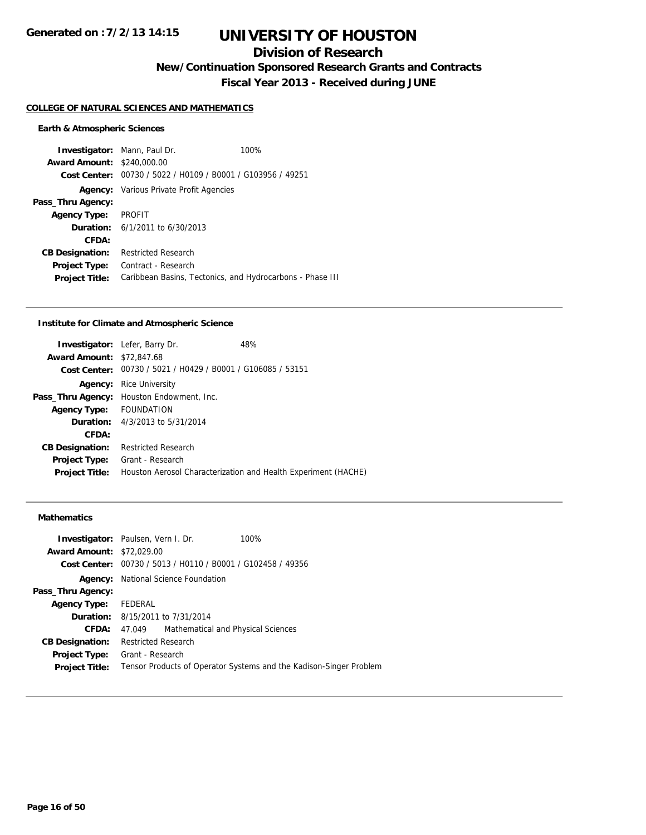## **Division of Research**

**New/Continuation Sponsored Research Grants and Contracts**

**Fiscal Year 2013 - Received during JUNE**

#### **COLLEGE OF NATURAL SCIENCES AND MATHEMATICS**

#### **Earth & Atmospheric Sciences**

**Investigator:** Mann, Paul Dr. 100% **Award Amount:** \$240,000.00 **Cost Center:** 00730 / 5022 / H0109 / B0001 / G103956 / 49251 **Agency:** Various Private Profit Agencies **Pass\_Thru Agency: Agency Type:** PROFIT **Duration:** 6/1/2011 to 6/30/2013 **CFDA: CB Designation:** Restricted Research **Project Type:** Contract - Research **Project Title:** Caribbean Basins, Tectonics, and Hydrocarbons - Phase III

#### **Institute for Climate and Atmospheric Science**

|                                  | <b>Investigator:</b> Lefer, Barry Dr.                       | 48%                                                            |
|----------------------------------|-------------------------------------------------------------|----------------------------------------------------------------|
| <b>Award Amount: \$72,847.68</b> |                                                             |                                                                |
|                                  | Cost Center: 00730 / 5021 / H0429 / B0001 / G106085 / 53151 |                                                                |
| Agency:                          | <b>Rice University</b>                                      |                                                                |
| Pass_Thru Agency:                | Houston Endowment, Inc.                                     |                                                                |
| <b>Agency Type:</b>              | <b>FOUNDATION</b>                                           |                                                                |
|                                  | <b>Duration:</b> 4/3/2013 to 5/31/2014                      |                                                                |
| CFDA:                            |                                                             |                                                                |
| <b>CB Designation:</b>           | Restricted Research                                         |                                                                |
| <b>Project Type:</b>             | Grant - Research                                            |                                                                |
| <b>Project Title:</b>            |                                                             | Houston Aerosol Characterization and Health Experiment (HACHE) |
|                                  |                                                             |                                                                |

#### **Mathematics**

|                                  | <b>Investigator:</b> Paulsen, Vern I. Dr.                   | 100%                                                               |
|----------------------------------|-------------------------------------------------------------|--------------------------------------------------------------------|
| <b>Award Amount: \$72,029.00</b> |                                                             |                                                                    |
|                                  | Cost Center: 00730 / 5013 / H0110 / B0001 / G102458 / 49356 |                                                                    |
|                                  | <b>Agency:</b> National Science Foundation                  |                                                                    |
| Pass_Thru Agency:                |                                                             |                                                                    |
| <b>Agency Type:</b>              | FEDERAL                                                     |                                                                    |
|                                  | <b>Duration:</b> 8/15/2011 to 7/31/2014                     |                                                                    |
| CFDA:                            | Mathematical and Physical Sciences<br>47.049                |                                                                    |
| <b>CB Designation:</b>           | <b>Restricted Research</b>                                  |                                                                    |
| Project Type:                    | Grant - Research                                            |                                                                    |
| <b>Project Title:</b>            |                                                             | Tensor Products of Operator Systems and the Kadison-Singer Problem |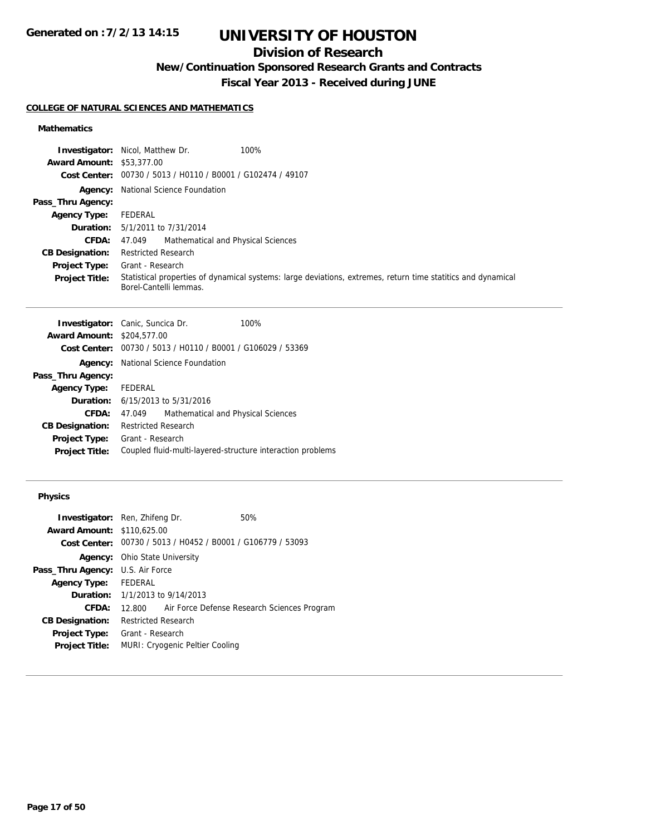# **UNIVERSITY OF HOUSTON**

## **Division of Research**

**New/Continuation Sponsored Research Grants and Contracts**

**Fiscal Year 2013 - Received during JUNE**

### **COLLEGE OF NATURAL SCIENCES AND MATHEMATICS**

### **Mathematics**

|                                  | 100%<br><b>Investigator:</b> Nicol, Matthew Dr.                                                                                        |
|----------------------------------|----------------------------------------------------------------------------------------------------------------------------------------|
| <b>Award Amount: \$53,377.00</b> |                                                                                                                                        |
| <b>Cost Center:</b>              | 00730 / 5013 / H0110 / B0001 / G102474 / 49107                                                                                         |
|                                  | <b>Agency:</b> National Science Foundation                                                                                             |
| Pass_Thru Agency:                |                                                                                                                                        |
| <b>Agency Type:</b>              | FEDERAL                                                                                                                                |
| <b>Duration:</b>                 | 5/1/2011 to 7/31/2014                                                                                                                  |
| <b>CFDA:</b>                     | Mathematical and Physical Sciences<br>47.049                                                                                           |
| <b>CB Designation:</b>           | <b>Restricted Research</b>                                                                                                             |
| Project Type:                    | Grant - Research                                                                                                                       |
| <b>Project Title:</b>            | Statistical properties of dynamical systems: large deviations, extremes, return time statitics and dynamical<br>Borel-Cantelli lemmas. |

|                                   | <b>Investigator:</b> Canic, Suncica Dr.     | 100%                                                        |
|-----------------------------------|---------------------------------------------|-------------------------------------------------------------|
| <b>Award Amount: \$204,577.00</b> |                                             |                                                             |
|                                   |                                             | Cost Center: 00730 / 5013 / H0110 / B0001 / G106029 / 53369 |
|                                   | <b>Agency:</b> National Science Foundation  |                                                             |
| Pass_Thru Agency:                 |                                             |                                                             |
| Agency Type: FEDERAL              |                                             |                                                             |
|                                   | <b>Duration:</b> $6/15/2013$ to $5/31/2016$ |                                                             |
| <b>CFDA:</b>                      | 47.049                                      | Mathematical and Physical Sciences                          |
| <b>CB Designation:</b>            | <b>Restricted Research</b>                  |                                                             |
| Project Type:                     | Grant - Research                            |                                                             |
| <b>Project Title:</b>             |                                             | Coupled fluid-multi-layered-structure interaction problems  |
|                                   |                                             |                                                             |

### **Physics**

|                                         | <b>Investigator:</b> Ren, Zhifeng Dr.                       | 50%                                         |  |
|-----------------------------------------|-------------------------------------------------------------|---------------------------------------------|--|
|                                         |                                                             |                                             |  |
| <b>Award Amount: \$110.625.00</b>       |                                                             |                                             |  |
|                                         | Cost Center: 00730 / 5013 / H0452 / B0001 / G106779 / 53093 |                                             |  |
|                                         | <b>Agency:</b> Ohio State University                        |                                             |  |
| <b>Pass_Thru Agency:</b> U.S. Air Force |                                                             |                                             |  |
| <b>Agency Type:</b>                     | FEDERAL                                                     |                                             |  |
|                                         | <b>Duration:</b> $1/1/2013$ to $9/14/2013$                  |                                             |  |
| CFDA:                                   | 12.800                                                      | Air Force Defense Research Sciences Program |  |
| <b>CB Designation:</b>                  | <b>Restricted Research</b>                                  |                                             |  |
| <b>Project Type:</b>                    | Grant - Research                                            |                                             |  |
| <b>Project Title:</b>                   | MURI: Cryogenic Peltier Cooling                             |                                             |  |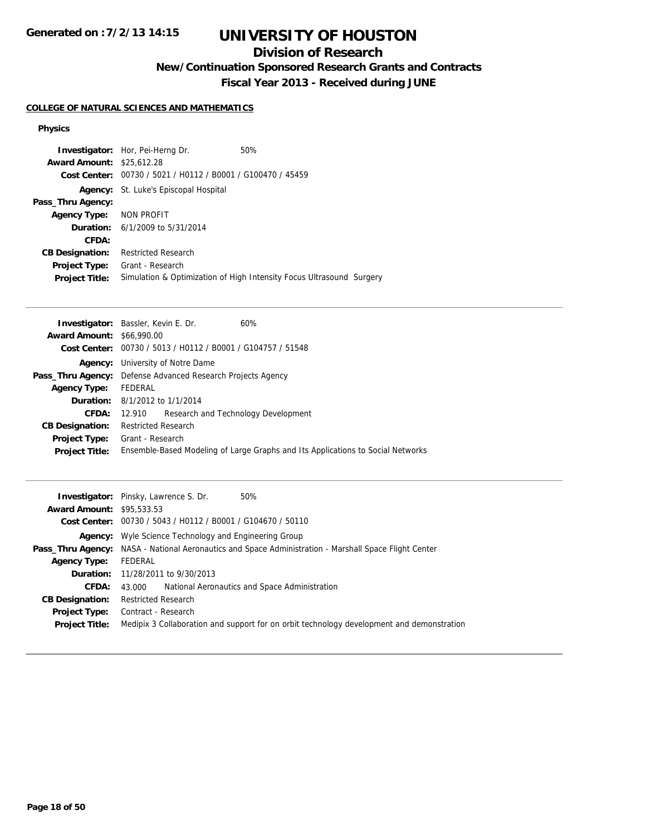# **UNIVERSITY OF HOUSTON**

## **Division of Research**

**New/Continuation Sponsored Research Grants and Contracts**

**Fiscal Year 2013 - Received during JUNE**

### **COLLEGE OF NATURAL SCIENCES AND MATHEMATICS**

#### **Physics**

|                                  | <b>Investigator:</b> Hor, Pei-Herng Dr.                     | 50%                                                                  |
|----------------------------------|-------------------------------------------------------------|----------------------------------------------------------------------|
| <b>Award Amount: \$25,612.28</b> |                                                             |                                                                      |
|                                  | Cost Center: 00730 / 5021 / H0112 / B0001 / G100470 / 45459 |                                                                      |
|                                  | <b>Agency:</b> St. Luke's Episcopal Hospital                |                                                                      |
| Pass_Thru Agency:                |                                                             |                                                                      |
| Agency Type: NON PROFIT          |                                                             |                                                                      |
|                                  | <b>Duration:</b> $6/1/2009$ to $5/31/2014$                  |                                                                      |
| CFDA:                            |                                                             |                                                                      |
| <b>CB Designation:</b>           | <b>Restricted Research</b>                                  |                                                                      |
| Project Type:                    | Grant - Research                                            |                                                                      |
| <b>Project Title:</b>            |                                                             | Simulation & Optimization of High Intensity Focus Ultrasound Surgery |

|                                  | <b>Investigator:</b> Bassler, Kevin E. Dr.                         | 60%                                                                             |
|----------------------------------|--------------------------------------------------------------------|---------------------------------------------------------------------------------|
| <b>Award Amount: \$66,990.00</b> |                                                                    |                                                                                 |
|                                  | Cost Center: $00730 / 5013 / 40112 / 80001 / 6104757 / 51548$      |                                                                                 |
|                                  | <b>Agency:</b> University of Notre Dame                            |                                                                                 |
|                                  | <b>Pass_Thru Agency:</b> Defense Advanced Research Projects Agency |                                                                                 |
| <b>Agency Type:</b>              | FEDERAL                                                            |                                                                                 |
|                                  | <b>Duration:</b> 8/1/2012 to 1/1/2014                              |                                                                                 |
| <b>CFDA:</b>                     | 12.910                                                             | Research and Technology Development                                             |
| <b>CB Designation:</b>           | <b>Restricted Research</b>                                         |                                                                                 |
| <b>Project Type:</b>             | Grant - Research                                                   |                                                                                 |
| <b>Project Title:</b>            |                                                                    | Ensemble-Based Modeling of Large Graphs and Its Applications to Social Networks |
|                                  |                                                                    |                                                                                 |

|                                  | <b>Investigator:</b> Pinsky, Lawrence S. Dr.<br>50%                                                          |
|----------------------------------|--------------------------------------------------------------------------------------------------------------|
| <b>Award Amount: \$95,533,53</b> |                                                                                                              |
|                                  | Cost Center: 00730 / 5043 / H0112 / B0001 / G104670 / 50110                                                  |
|                                  | <b>Agency:</b> Wyle Science Technology and Engineering Group                                                 |
|                                  | <b>Pass_Thru Agency:</b> NASA - National Aeronautics and Space Administration - Marshall Space Flight Center |
| <b>Agency Type:</b>              | FEDERAL                                                                                                      |
|                                  | <b>Duration:</b> 11/28/2011 to 9/30/2013                                                                     |
| CFDA:                            | National Aeronautics and Space Administration<br>43.000                                                      |
| <b>CB Designation:</b>           | <b>Restricted Research</b>                                                                                   |
| <b>Project Type:</b>             | Contract - Research                                                                                          |
| <b>Project Title:</b>            | Medipix 3 Collaboration and support for on orbit technology development and demonstration                    |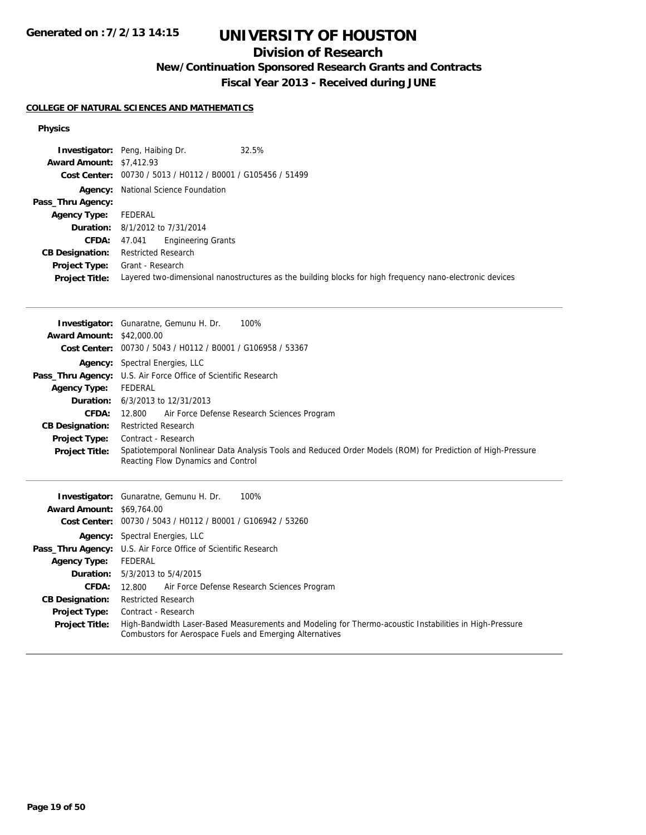# **UNIVERSITY OF HOUSTON**

## **Division of Research**

**New/Continuation Sponsored Research Grants and Contracts**

**Fiscal Year 2013 - Received during JUNE**

#### **COLLEGE OF NATURAL SCIENCES AND MATHEMATICS**

#### **Physics**

|                                 | <b>Investigator:</b> Peng, Haibing Dr.<br>32.5%                                                          |
|---------------------------------|----------------------------------------------------------------------------------------------------------|
| <b>Award Amount: \$7,412.93</b> |                                                                                                          |
|                                 | Cost Center: 00730 / 5013 / H0112 / B0001 / G105456 / 51499                                              |
|                                 | <b>Agency:</b> National Science Foundation                                                               |
| Pass_Thru Agency:               |                                                                                                          |
| <b>Agency Type:</b>             | FEDERAL                                                                                                  |
|                                 | <b>Duration:</b> 8/1/2012 to 7/31/2014                                                                   |
| <b>CFDA:</b>                    | <b>Engineering Grants</b><br>47.041                                                                      |
| <b>CB Designation:</b>          | <b>Restricted Research</b>                                                                               |
| <b>Project Type:</b>            | Grant - Research                                                                                         |
| <b>Project Title:</b>           | Layered two-dimensional nanostructures as the building blocks for high frequency nano-electronic devices |

|                                  | <b>Investigator:</b> Gunaratne, Gemunu H. Dr.<br>100%                                                       |
|----------------------------------|-------------------------------------------------------------------------------------------------------------|
| <b>Award Amount: \$42,000.00</b> |                                                                                                             |
|                                  | Cost Center: 00730 / 5043 / H0112 / B0001 / G106958 / 53367                                                 |
|                                  | <b>Agency:</b> Spectral Energies, LLC                                                                       |
|                                  | <b>Pass_Thru Agency:</b> U.S. Air Force Office of Scientific Research                                       |
| <b>Agency Type:</b>              | FEDERAL                                                                                                     |
|                                  | <b>Duration:</b> 6/3/2013 to 12/31/2013                                                                     |
| CFDA:                            | Air Force Defense Research Sciences Program<br>12.800                                                       |
| <b>CB Designation:</b>           | <b>Restricted Research</b>                                                                                  |
| Project Type:                    | Contract - Research                                                                                         |
| <b>Project Title:</b>            | Spatiotemporal Nonlinear Data Analysis Tools and Reduced Order Models (ROM) for Prediction of High-Pressure |
|                                  | Reacting Flow Dynamics and Control                                                                          |
|                                  |                                                                                                             |
|                                  |                                                                                                             |
|                                  | 100%                                                                                                        |
| <b>Award Amount: \$69,764.00</b> | <b>Investigator:</b> Gunaratne, Gemunu H. Dr.                                                               |
|                                  | Cost Center: 00730 / 5043 / H0112 / B0001 / G106942 / 53260                                                 |
|                                  | <b>Agency:</b> Spectral Energies, LLC                                                                       |
|                                  | <b>Pass_Thru Agency:</b> U.S. Air Force Office of Scientific Research                                       |
| <b>Agency Type:</b>              | <b>FEDERAL</b>                                                                                              |
|                                  | <b>Duration:</b> 5/3/2013 to 5/4/2015                                                                       |
| CFDA:                            | Air Force Defense Research Sciences Program<br>12.800                                                       |

**Project Type:** Contract - Research **Project Title:** High-Bandwidth Laser-Based Measurements and Modeling for Thermo-acoustic Instabilities in High-Pressure Combustors for Aerospace Fuels and Emerging Alternatives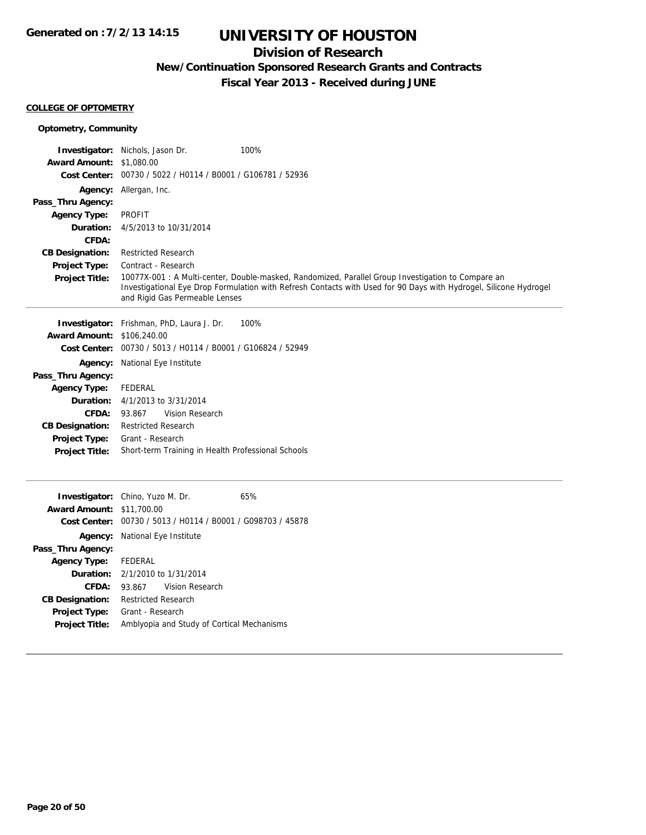## **Division of Research**

**New/Continuation Sponsored Research Grants and Contracts**

**Fiscal Year 2013 - Received during JUNE**

#### **COLLEGE OF OPTOMETRY**

| <b>Optometry, Community</b>       |                                                                                                                                                                                                                                                           |  |
|-----------------------------------|-----------------------------------------------------------------------------------------------------------------------------------------------------------------------------------------------------------------------------------------------------------|--|
|                                   | 100%<br><b>Investigator:</b> Nichols, Jason Dr.                                                                                                                                                                                                           |  |
| <b>Award Amount: \$1,080.00</b>   |                                                                                                                                                                                                                                                           |  |
|                                   | Cost Center: 00730 / 5022 / H0114 / B0001 / G106781 / 52936                                                                                                                                                                                               |  |
|                                   | Agency: Allergan, Inc.                                                                                                                                                                                                                                    |  |
| Pass_Thru Agency:                 |                                                                                                                                                                                                                                                           |  |
| <b>Agency Type:</b>               | <b>PROFIT</b>                                                                                                                                                                                                                                             |  |
| Duration:                         | 4/5/2013 to 10/31/2014                                                                                                                                                                                                                                    |  |
| CFDA:                             |                                                                                                                                                                                                                                                           |  |
| <b>CB Designation:</b>            | <b>Restricted Research</b>                                                                                                                                                                                                                                |  |
| <b>Project Type:</b>              | Contract - Research                                                                                                                                                                                                                                       |  |
| <b>Project Title:</b>             | 10077X-001 : A Multi-center, Double-masked, Randomized, Parallel Group Investigation to Compare an<br>Investigational Eye Drop Formulation with Refresh Contacts with Used for 90 Days with Hydrogel, Silicone Hydrogel<br>and Rigid Gas Permeable Lenses |  |
|                                   | <b>Investigator:</b> Frishman, PhD, Laura J. Dr.<br>100%                                                                                                                                                                                                  |  |
| <b>Award Amount: \$106,240.00</b> |                                                                                                                                                                                                                                                           |  |
|                                   | Cost Center: 00730 / 5013 / H0114 / B0001 / G106824 / 52949                                                                                                                                                                                               |  |
|                                   | Agency: National Eye Institute                                                                                                                                                                                                                            |  |
| Pass_Thru Agency:                 |                                                                                                                                                                                                                                                           |  |
| <b>Agency Type:</b>               | <b>FEDERAL</b>                                                                                                                                                                                                                                            |  |
| Duration:                         | 4/1/2013 to 3/31/2014                                                                                                                                                                                                                                     |  |
| CFDA:                             | Vision Research<br>93.867                                                                                                                                                                                                                                 |  |
| <b>CB Designation:</b>            | <b>Restricted Research</b>                                                                                                                                                                                                                                |  |
| Project Type:                     | Grant - Research                                                                                                                                                                                                                                          |  |
| <b>Project Title:</b>             | Short-term Training in Health Professional Schools                                                                                                                                                                                                        |  |
|                                   |                                                                                                                                                                                                                                                           |  |
|                                   | Investigator: Chino, Yuzo M. Dr.<br>65%                                                                                                                                                                                                                   |  |
| <b>Award Amount: \$11,700.00</b>  |                                                                                                                                                                                                                                                           |  |
|                                   | Cost Center: 00730 / 5013 / H0114 / B0001 / G098703 / 45878                                                                                                                                                                                               |  |
|                                   | Agency: National Eye Institute                                                                                                                                                                                                                            |  |
| Pass_Thru Agency:                 |                                                                                                                                                                                                                                                           |  |
| <b>Agency Type:</b>               | <b>FEDERAL</b>                                                                                                                                                                                                                                            |  |
| Duration:                         | 2/1/2010 to 1/31/2014                                                                                                                                                                                                                                     |  |
| CFDA:                             | 93.867<br>Vision Research                                                                                                                                                                                                                                 |  |
| <b>CB Designation:</b>            | <b>Restricted Research</b>                                                                                                                                                                                                                                |  |
| <b>Project Type:</b>              | Grant - Research                                                                                                                                                                                                                                          |  |
| <b>Project Title:</b>             | Amblyopia and Study of Cortical Mechanisms                                                                                                                                                                                                                |  |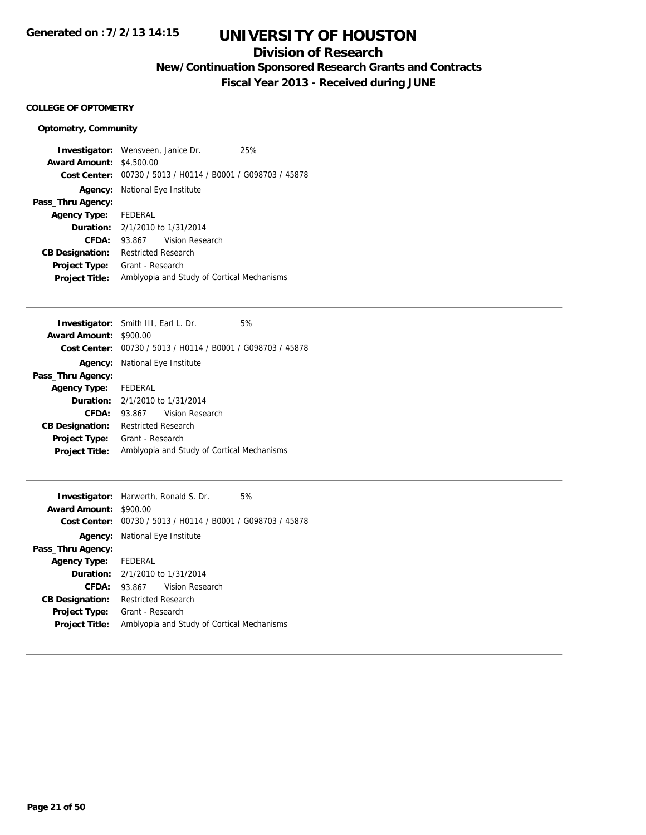## **Division of Research**

**New/Continuation Sponsored Research Grants and Contracts**

**Fiscal Year 2013 - Received during JUNE**

### **COLLEGE OF OPTOMETRY**

### **Optometry, Community**

| <b>Investigator:</b> Wensveen, Janice Dr. |                                            |                                                             | 25% |
|-------------------------------------------|--------------------------------------------|-------------------------------------------------------------|-----|
| <b>Award Amount: \$4,500.00</b>           |                                            |                                                             |     |
|                                           |                                            | Cost Center: 00730 / 5013 / H0114 / B0001 / G098703 / 45878 |     |
|                                           | <b>Agency:</b> National Eye Institute      |                                                             |     |
| Pass_Thru Agency:                         |                                            |                                                             |     |
| <b>Agency Type:</b> FEDERAL               |                                            |                                                             |     |
|                                           | <b>Duration:</b> $2/1/2010$ to $1/31/2014$ |                                                             |     |
| CFDA:                                     |                                            | 93.867 Vision Research                                      |     |
| <b>CB Designation:</b>                    | Restricted Research                        |                                                             |     |
| <b>Project Type:</b>                      | Grant - Research                           |                                                             |     |
| <b>Project Title:</b>                     |                                            | Amblyopia and Study of Cortical Mechanisms                  |     |

| <b>Investigator:</b> Smith III, Earl L. Dr. |                                       |                                                                      | 5% |
|---------------------------------------------|---------------------------------------|----------------------------------------------------------------------|----|
| <b>Award Amount:</b>                        | \$900.00                              |                                                                      |    |
|                                             |                                       | <b>Cost Center:</b> $00730 / 5013 / 40114 / 80001 / 6098703 / 45878$ |    |
|                                             | <b>Agency:</b> National Eye Institute |                                                                      |    |
| Pass_Thru Agency:                           |                                       |                                                                      |    |
| Agency Type: FEDERAL                        |                                       |                                                                      |    |
| <b>Duration:</b> $2/1/2010$ to $1/31/2014$  |                                       |                                                                      |    |
| CFDA:                                       | 93.867                                | Vision Research                                                      |    |
| <b>CB Designation:</b>                      | <b>Restricted Research</b>            |                                                                      |    |
| Project Type:                               | Grant - Research                      |                                                                      |    |
| <b>Project Title:</b>                       |                                       | Amblyopia and Study of Cortical Mechanisms                           |    |
|                                             |                                       |                                                                      |    |

| <b>Investigator:</b> Harwerth, Ronald S. Dr. |                                            |                                                             | 5% |
|----------------------------------------------|--------------------------------------------|-------------------------------------------------------------|----|
| <b>Award Amount:</b>                         | \$900.00                                   |                                                             |    |
|                                              |                                            | Cost Center: 00730 / 5013 / H0114 / B0001 / G098703 / 45878 |    |
|                                              | <b>Agency:</b> National Eye Institute      |                                                             |    |
| Pass_Thru Agency:                            |                                            |                                                             |    |
| Agency Type:                                 | FEDERAL                                    |                                                             |    |
|                                              | <b>Duration:</b> $2/1/2010$ to $1/31/2014$ |                                                             |    |
| CFDA:                                        | 93.867                                     | Vision Research                                             |    |
| <b>CB Designation:</b>                       | Restricted Research                        |                                                             |    |
| <b>Project Type:</b>                         | Grant - Research                           |                                                             |    |
| <b>Project Title:</b>                        |                                            | Amblyopia and Study of Cortical Mechanisms                  |    |
|                                              |                                            |                                                             |    |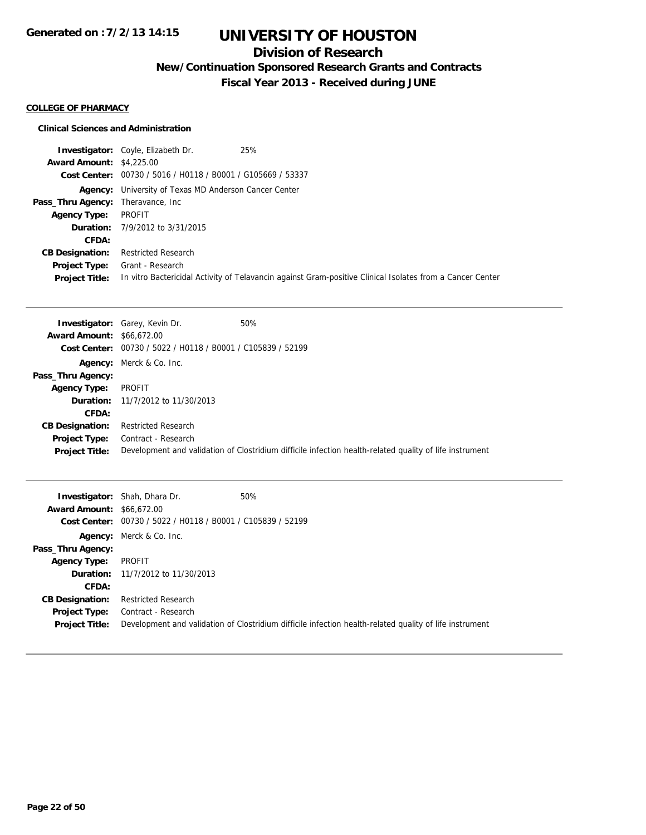## **Division of Research**

**New/Continuation Sponsored Research Grants and Contracts**

**Fiscal Year 2013 - Received during JUNE**

#### **COLLEGE OF PHARMACY**

#### **Clinical Sciences and Administration**

|                                           | 25%<br><b>Investigator:</b> Coyle, Elizabeth Dr.             |                                                                                                           |
|-------------------------------------------|--------------------------------------------------------------|-----------------------------------------------------------------------------------------------------------|
| <b>Award Amount: \$4,225,00</b>           |                                                              |                                                                                                           |
|                                           | Cost Center: 00730 / 5016 / H0118 / B0001 / G105669 / 53337  |                                                                                                           |
|                                           | <b>Agency:</b> University of Texas MD Anderson Cancer Center |                                                                                                           |
| <b>Pass_Thru Agency:</b> Theravance, Inc. |                                                              |                                                                                                           |
| <b>Agency Type:</b>                       | PROFIT                                                       |                                                                                                           |
|                                           | <b>Duration:</b> 7/9/2012 to 3/31/2015                       |                                                                                                           |
| CFDA:                                     |                                                              |                                                                                                           |
| <b>CB Designation:</b>                    | <b>Restricted Research</b>                                   |                                                                                                           |
| <b>Project Type:</b>                      | Grant - Research                                             |                                                                                                           |
| <b>Project Title:</b>                     |                                                              | In vitro Bactericidal Activity of Telavancin against Gram-positive Clinical Isolates from a Cancer Center |

|                                  | <b>Investigator:</b> Garey, Kevin Dr.                       | 50%                                                                                                     |
|----------------------------------|-------------------------------------------------------------|---------------------------------------------------------------------------------------------------------|
| <b>Award Amount: \$66,672.00</b> |                                                             |                                                                                                         |
|                                  | Cost Center: 00730 / 5022 / H0118 / B0001 / C105839 / 52199 |                                                                                                         |
|                                  | Agency: Merck & Co. Inc.                                    |                                                                                                         |
| Pass_Thru Agency:                |                                                             |                                                                                                         |
| <b>Agency Type:</b>              | PROFIT                                                      |                                                                                                         |
|                                  | <b>Duration:</b> 11/7/2012 to 11/30/2013                    |                                                                                                         |
| CFDA:                            |                                                             |                                                                                                         |
| <b>CB Designation:</b>           | <b>Restricted Research</b>                                  |                                                                                                         |
| <b>Project Type:</b>             | Contract - Research                                         |                                                                                                         |
| <b>Project Title:</b>            |                                                             | Development and validation of Clostridium difficile infection health-related quality of life instrument |

| <b>Award Amount: \$66,672.00</b>       | 50%<br><b>Investigator:</b> Shah, Dhara Dr.<br>Cost Center: 00730 / 5022 / H0118 / B0001 / C105839 / 52199 |                                                                                                         |
|----------------------------------------|------------------------------------------------------------------------------------------------------------|---------------------------------------------------------------------------------------------------------|
| Pass_Thru Agency:                      | <b>Agency:</b> Merck & Co. Inc.                                                                            |                                                                                                         |
| <b>Agency Type:</b>                    | PROFIT                                                                                                     |                                                                                                         |
|                                        | <b>Duration:</b> 11/7/2012 to 11/30/2013                                                                   |                                                                                                         |
| CFDA:                                  |                                                                                                            |                                                                                                         |
| <b>CB Designation:</b>                 | <b>Restricted Research</b>                                                                                 |                                                                                                         |
| Project Type:<br><b>Project Title:</b> | Contract - Research                                                                                        | Development and validation of Clostridium difficile infection health-related quality of life instrument |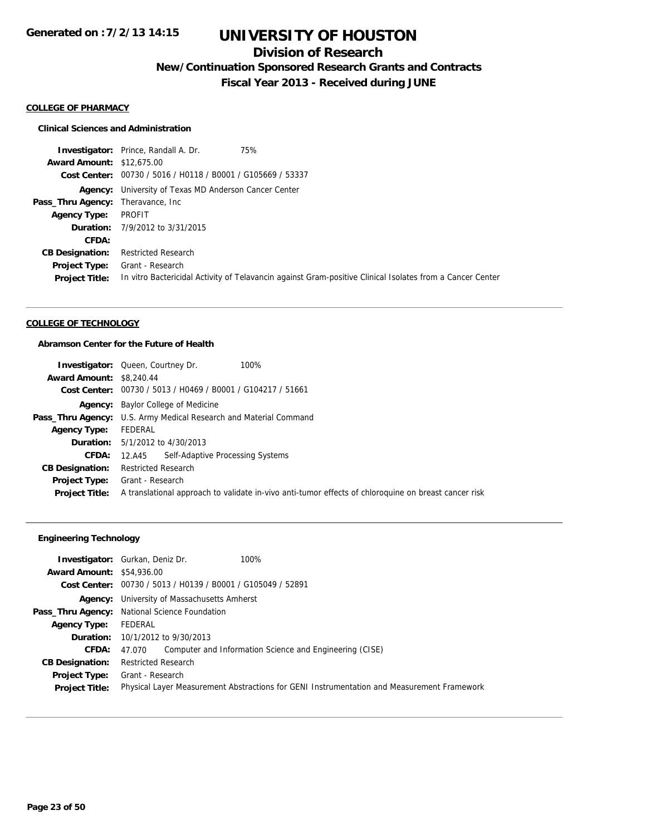## **Division of Research**

**New/Continuation Sponsored Research Grants and Contracts**

**Fiscal Year 2013 - Received during JUNE**

#### **COLLEGE OF PHARMACY**

#### **Clinical Sciences and Administration**

**Investigator:** Prince, Randall A. Dr. 75% **Award Amount:** \$12,675.00 **Cost Center:** 00730 / 5016 / H0118 / B0001 / G105669 / 53337 **Agency:** University of Texas MD Anderson Cancer Center Pass\_Thru Agency: Theravance, Inc **Agency Type:** PROFIT **Duration:** 7/9/2012 to 3/31/2015 **CFDA: CB Designation:** Restricted Research **Project Type:** Grant - Research **Project Title:** In vitro Bactericidal Activity of Telavancin against Gram-positive Clinical Isolates from a Cancer Center

### **COLLEGE OF TECHNOLOGY**

#### **Abramson Center for the Future of Health**

|                                 | <b>Investigator:</b> Queen, Courtney Dr.<br>100%                                                     |
|---------------------------------|------------------------------------------------------------------------------------------------------|
| <b>Award Amount: \$8,240.44</b> |                                                                                                      |
|                                 | Cost Center: 00730 / 5013 / H0469 / B0001 / G104217 / 51661                                          |
|                                 | <b>Agency:</b> Baylor College of Medicine                                                            |
|                                 | Pass_Thru Agency: U.S. Army Medical Research and Material Command                                    |
| <b>Agency Type:</b>             | FEDERAL                                                                                              |
|                                 | <b>Duration:</b> 5/1/2012 to 4/30/2013                                                               |
| CFDA:                           | 12.A45 Self-Adaptive Processing Systems                                                              |
| <b>CB Designation:</b>          | <b>Restricted Research</b>                                                                           |
| <b>Project Type:</b>            | Grant - Research                                                                                     |
| <b>Project Title:</b>           | A translational approach to validate in-vivo anti-tumor effects of chloroguine on breast cancer risk |

### **Engineering Technology**

|                                  | <b>Investigator:</b> Gurkan, Deniz Dr.<br>100%                                             |
|----------------------------------|--------------------------------------------------------------------------------------------|
| <b>Award Amount: \$54,936.00</b> |                                                                                            |
|                                  | Cost Center: 00730 / 5013 / H0139 / B0001 / G105049 / 52891                                |
|                                  | <b>Agency:</b> University of Massachusetts Amherst                                         |
|                                  | Pass_Thru Agency: National Science Foundation                                              |
| <b>Agency Type:</b>              | FEDERAL                                                                                    |
|                                  | <b>Duration:</b> 10/1/2012 to 9/30/2013                                                    |
| CFDA:                            | Computer and Information Science and Engineering (CISE)<br>47.070                          |
| <b>CB Designation:</b>           | <b>Restricted Research</b>                                                                 |
| <b>Project Type:</b>             | Grant - Research                                                                           |
| <b>Project Title:</b>            | Physical Layer Measurement Abstractions for GENI Instrumentation and Measurement Framework |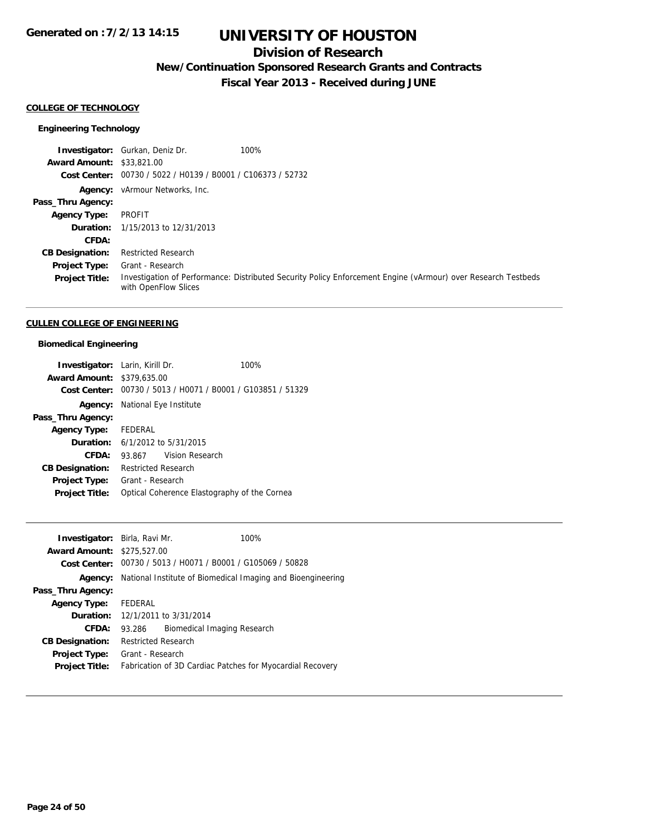## **Division of Research**

**New/Continuation Sponsored Research Grants and Contracts**

**Fiscal Year 2013 - Received during JUNE**

#### **COLLEGE OF TECHNOLOGY**

#### **Engineering Technology**

**Investigator:** Gurkan, Deniz Dr. 100% **Award Amount:** \$33,821.00 **Cost Center:** 00730 / 5022 / H0139 / B0001 / C106373 / 52732 **Agency:** vArmour Networks, Inc. **Pass\_Thru Agency: Agency Type:** PROFIT **Duration:** 1/15/2013 to 12/31/2013 **CFDA: CB Designation:** Restricted Research **Project Type:** Grant - Research **Project Title:** Investigation of Performance: Distributed Security Policy Enforcement Engine (vArmour) over Research Testbeds with OpenFlow Slices

#### **CULLEN COLLEGE OF ENGINEERING**

#### **Biomedical Engineering**

| <b>Investigator:</b> Larin, Kirill Dr. |                                            | 100%                                                        |
|----------------------------------------|--------------------------------------------|-------------------------------------------------------------|
| <b>Award Amount: \$379,635,00</b>      |                                            |                                                             |
|                                        |                                            | Cost Center: 00730 / 5013 / H0071 / B0001 / G103851 / 51329 |
|                                        | <b>Agency:</b> National Eye Institute      |                                                             |
| Pass_Thru Agency:                      |                                            |                                                             |
| Agency Type: FEDERAL                   |                                            |                                                             |
|                                        | <b>Duration:</b> $6/1/2012$ to $5/31/2015$ |                                                             |
| CFDA:                                  | 93.867 Vision Research                     |                                                             |
| <b>CB Designation:</b>                 | <b>Restricted Research</b>                 |                                                             |
| Project Type:                          | Grant - Research                           |                                                             |
| <b>Project Title:</b>                  |                                            | Optical Coherence Elastography of the Cornea                |

| <b>Investigator:</b> Birla, Ravi Mr. | 100%                                                                       |
|--------------------------------------|----------------------------------------------------------------------------|
| <b>Award Amount: \$275,527.00</b>    |                                                                            |
|                                      | Cost Center: $00730 / 5013 / 40071 / 80001 / 6105069 / 50828$              |
|                                      | <b>Agency:</b> National Institute of Biomedical Imaging and Bioengineering |
| Pass_Thru Agency:                    |                                                                            |
| <b>Agency Type:</b>                  | FEDERAL                                                                    |
|                                      | <b>Duration:</b> 12/1/2011 to 3/31/2014                                    |
| <b>CFDA:</b>                         | 93.286 Biomedical Imaging Research                                         |
| <b>CB Designation:</b>               | <b>Restricted Research</b>                                                 |
| <b>Project Type:</b>                 | Grant - Research                                                           |
| <b>Project Title:</b>                | Fabrication of 3D Cardiac Patches for Myocardial Recovery                  |
|                                      |                                                                            |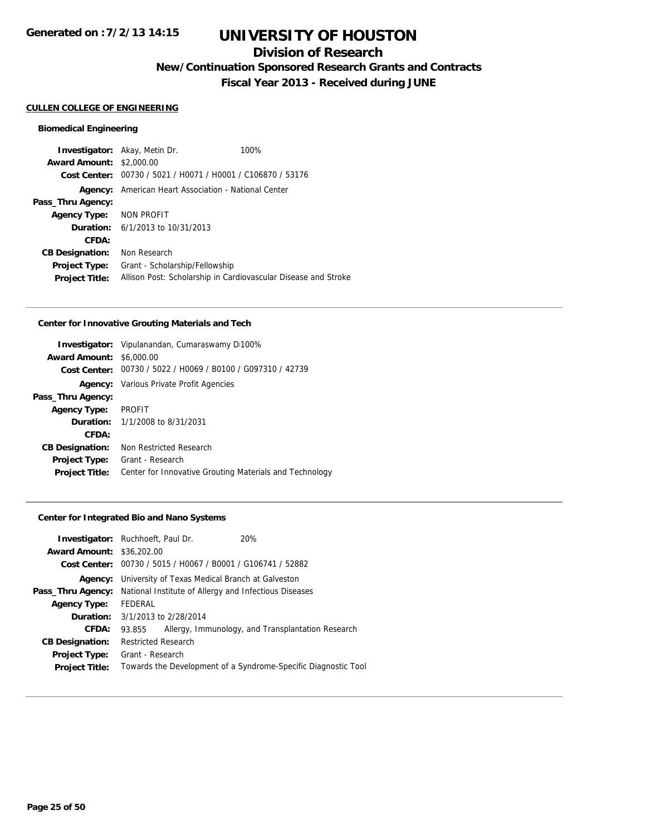## **Division of Research**

**New/Continuation Sponsored Research Grants and Contracts**

**Fiscal Year 2013 - Received during JUNE**

#### **CULLEN COLLEGE OF ENGINEERING**

### **Biomedical Engineering**

|                                 | <b>Investigator:</b> Akay, Metin Dr.                           | 100% |
|---------------------------------|----------------------------------------------------------------|------|
| <b>Award Amount: \$2,000.00</b> |                                                                |      |
| Cost Center:                    | 00730 / 5021 / H0071 / H0001 / C106870 / 53176                 |      |
| Agency:                         | American Heart Association - National Center                   |      |
| Pass_Thru Agency:               |                                                                |      |
| Agency Type:                    | NON PROFIT                                                     |      |
| Duration:                       | 6/1/2013 to 10/31/2013                                         |      |
| CFDA:                           |                                                                |      |
| <b>CB Designation:</b>          | Non Research                                                   |      |
| <b>Project Type:</b>            | Grant - Scholarship/Fellowship                                 |      |
| <b>Project Title:</b>           | Allison Post: Scholarship in Cardiovascular Disease and Stroke |      |

#### **Center for Innovative Grouting Materials and Tech**

|                        | <b>Investigator:</b> Vipulanandan, Cumaraswamy D100%        |  |
|------------------------|-------------------------------------------------------------|--|
| <b>Award Amount:</b>   | \$6,000.00                                                  |  |
|                        | Cost Center: 00730 / 5022 / H0069 / B0100 / G097310 / 42739 |  |
|                        | <b>Agency:</b> Various Private Profit Agencies              |  |
| Pass_Thru Agency:      |                                                             |  |
| <b>Agency Type:</b>    | <b>PROFIT</b>                                               |  |
|                        | <b>Duration:</b> 1/1/2008 to 8/31/2031                      |  |
| CFDA:                  |                                                             |  |
| <b>CB Designation:</b> | Non Restricted Research                                     |  |
| <b>Project Type:</b>   | Grant - Research                                            |  |
| <b>Project Title:</b>  | Center for Innovative Grouting Materials and Technology     |  |

#### **Center for Integrated Bio and Nano Systems**

| <b>Investigator:</b> Ruchhoeft, Paul Dr. |                                                                |                                                | 20%                                               |
|------------------------------------------|----------------------------------------------------------------|------------------------------------------------|---------------------------------------------------|
| <b>Award Amount: \$36,202.00</b>         |                                                                |                                                |                                                   |
| Cost Center:                             |                                                                | 00730 / 5015 / H0067 / B0001 / G106741 / 52882 |                                                   |
| Agency:                                  | University of Texas Medical Branch at Galveston                |                                                |                                                   |
| Pass_Thru Agency:                        | National Institute of Allergy and Infectious Diseases          |                                                |                                                   |
| <b>Agency Type:</b>                      | <b>FEDERAL</b>                                                 |                                                |                                                   |
| Duration:                                |                                                                | 3/1/2013 to 2/28/2014                          |                                                   |
| CFDA:                                    | 93.855                                                         |                                                | Allergy, Immunology, and Transplantation Research |
| <b>CB Designation:</b>                   | <b>Restricted Research</b>                                     |                                                |                                                   |
| <b>Project Type:</b>                     | Grant - Research                                               |                                                |                                                   |
| <b>Project Title:</b>                    | Towards the Development of a Syndrome-Specific Diagnostic Tool |                                                |                                                   |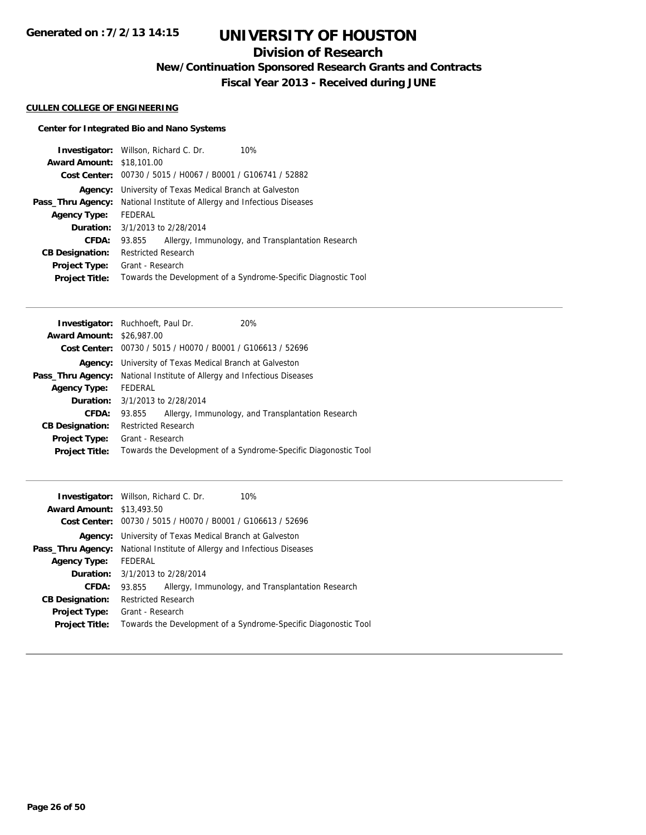## **Division of Research**

**New/Continuation Sponsored Research Grants and Contracts**

**Fiscal Year 2013 - Received during JUNE**

### **CULLEN COLLEGE OF ENGINEERING**

### **Center for Integrated Bio and Nano Systems**

|                                  | <b>Investigator:</b> Willson, Richard C. Dr.<br>10%            |  |  |
|----------------------------------|----------------------------------------------------------------|--|--|
| <b>Award Amount: \$18,101.00</b> |                                                                |  |  |
| <b>Cost Center:</b>              | 00730 / 5015 / H0067 / B0001 / G106741 / 52882                 |  |  |
| Agency:                          | University of Texas Medical Branch at Galveston                |  |  |
| Pass_Thru Agency:                | National Institute of Allergy and Infectious Diseases          |  |  |
| <b>Agency Type:</b>              | FEDERAL                                                        |  |  |
| <b>Duration:</b>                 | 3/1/2013 to 2/28/2014                                          |  |  |
| <b>CFDA:</b>                     | Allergy, Immunology, and Transplantation Research<br>93.855    |  |  |
| <b>CB Designation:</b>           | <b>Restricted Research</b>                                     |  |  |
| <b>Project Type:</b>             | Grant - Research                                               |  |  |
| <b>Project Title:</b>            | Towards the Development of a Syndrome-Specific Diagnostic Tool |  |  |

|                                  | <b>Investigator:</b> Ruchhoeft, Paul Dr.                       | 20%                                                             |  |
|----------------------------------|----------------------------------------------------------------|-----------------------------------------------------------------|--|
| <b>Award Amount: \$26,987.00</b> |                                                                |                                                                 |  |
|                                  | Cost Center: 00730 / 5015 / H0070 / B0001 / G106613 / 52696    |                                                                 |  |
|                                  | <b>Agency:</b> University of Texas Medical Branch at Galveston |                                                                 |  |
| Pass_Thru Agency:                | National Institute of Allergy and Infectious Diseases          |                                                                 |  |
| <b>Agency Type:</b>              | FEDERAL                                                        |                                                                 |  |
|                                  | <b>Duration:</b> $3/1/2013$ to $2/28/2014$                     |                                                                 |  |
| CFDA:                            | 93.855                                                         | Allergy, Immunology, and Transplantation Research               |  |
| <b>CB Designation:</b>           | <b>Restricted Research</b>                                     |                                                                 |  |
| <b>Project Type:</b>             | Grant - Research                                               |                                                                 |  |
| <b>Project Title:</b>            |                                                                | Towards the Development of a Syndrome-Specific Diagonostic Tool |  |
|                                  |                                                                |                                                                 |  |

|                                  | 10%<br><b>Investigator:</b> Willson, Richard C. Dr.             |  |  |
|----------------------------------|-----------------------------------------------------------------|--|--|
| <b>Award Amount: \$13,493.50</b> |                                                                 |  |  |
|                                  | Cost Center: 00730 / 5015 / H0070 / B0001 / G106613 / 52696     |  |  |
| Agency:                          | University of Texas Medical Branch at Galveston                 |  |  |
| Pass_Thru Agency:                | National Institute of Allergy and Infectious Diseases           |  |  |
| <b>Agency Type:</b>              | FEDERAL                                                         |  |  |
|                                  | <b>Duration:</b> 3/1/2013 to 2/28/2014                          |  |  |
| CFDA:                            | Allergy, Immunology, and Transplantation Research<br>93.855     |  |  |
| <b>CB Designation:</b>           | <b>Restricted Research</b>                                      |  |  |
| Project Type:                    | Grant - Research                                                |  |  |
| <b>Project Title:</b>            | Towards the Development of a Syndrome-Specific Diagonostic Tool |  |  |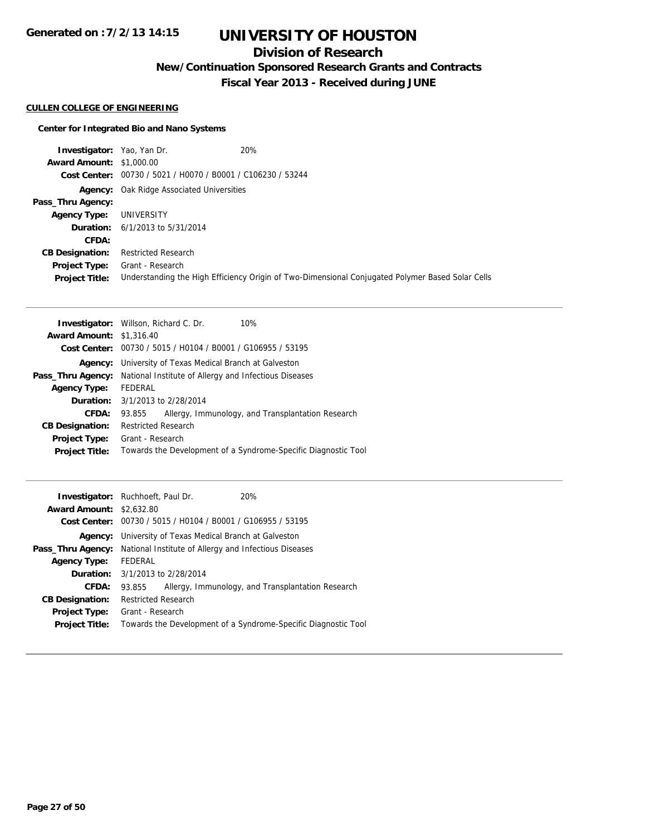# **UNIVERSITY OF HOUSTON**

## **Division of Research**

**New/Continuation Sponsored Research Grants and Contracts**

**Fiscal Year 2013 - Received during JUNE**

### **CULLEN COLLEGE OF ENGINEERING**

### **Center for Integrated Bio and Nano Systems**

| <b>Investigator:</b> Yao, Yan Dr. |                                                             | 20%                                                                                              |
|-----------------------------------|-------------------------------------------------------------|--------------------------------------------------------------------------------------------------|
| <b>Award Amount: \$1,000.00</b>   |                                                             |                                                                                                  |
|                                   | Cost Center: 00730 / 5021 / H0070 / B0001 / C106230 / 53244 |                                                                                                  |
| Agency:                           | Oak Ridge Associated Universities                           |                                                                                                  |
| Pass_Thru Agency:                 |                                                             |                                                                                                  |
| <b>Agency Type:</b>               | UNIVERSITY                                                  |                                                                                                  |
|                                   | <b>Duration:</b> $6/1/2013$ to $5/31/2014$                  |                                                                                                  |
| CFDA:                             |                                                             |                                                                                                  |
| <b>CB Designation:</b>            | <b>Restricted Research</b>                                  |                                                                                                  |
| Project Type:                     | Grant - Research                                            |                                                                                                  |
| <b>Project Title:</b>             |                                                             | Understanding the High Efficiency Origin of Two-Dimensional Conjugated Polymer Based Solar Cells |

|                                 | <b>Investigator:</b> Willson, Richard C. Dr.<br>10%            |  |  |
|---------------------------------|----------------------------------------------------------------|--|--|
| <b>Award Amount: \$1,316.40</b> |                                                                |  |  |
|                                 | Cost Center: 00730 / 5015 / H0104 / B0001 / G106955 / 53195    |  |  |
| Agency:                         | University of Texas Medical Branch at Galveston                |  |  |
| Pass_Thru Agency:               | National Institute of Allergy and Infectious Diseases          |  |  |
| <b>Agency Type:</b>             | FEDERAL                                                        |  |  |
|                                 | <b>Duration:</b> 3/1/2013 to 2/28/2014                         |  |  |
| <b>CFDA:</b>                    | Allergy, Immunology, and Transplantation Research<br>93.855    |  |  |
| <b>CB Designation:</b>          | <b>Restricted Research</b>                                     |  |  |
| <b>Project Type:</b>            | Grant - Research                                               |  |  |
| <b>Project Title:</b>           | Towards the Development of a Syndrome-Specific Diagnostic Tool |  |  |

| <b>Award Amount: \$2,632.80</b> | <b>Investigator:</b> Ruchhoeft, Paul Dr.<br>20%<br>Cost Center: 00730 / 5015 / H0104 / B0001 / G106955 / 53195 |  |  |
|---------------------------------|----------------------------------------------------------------------------------------------------------------|--|--|
| Agency:                         | University of Texas Medical Branch at Galveston                                                                |  |  |
| Pass_Thru Agency:               | National Institute of Allergy and Infectious Diseases                                                          |  |  |
| <b>Agency Type:</b>             | FEDERAL                                                                                                        |  |  |
|                                 | <b>Duration:</b> 3/1/2013 to 2/28/2014                                                                         |  |  |
| CFDA:                           | Allergy, Immunology, and Transplantation Research<br>93.855                                                    |  |  |
| <b>CB Designation:</b>          | <b>Restricted Research</b>                                                                                     |  |  |
| Project Type:                   | Grant - Research                                                                                               |  |  |
| <b>Project Title:</b>           | Towards the Development of a Syndrome-Specific Diagnostic Tool                                                 |  |  |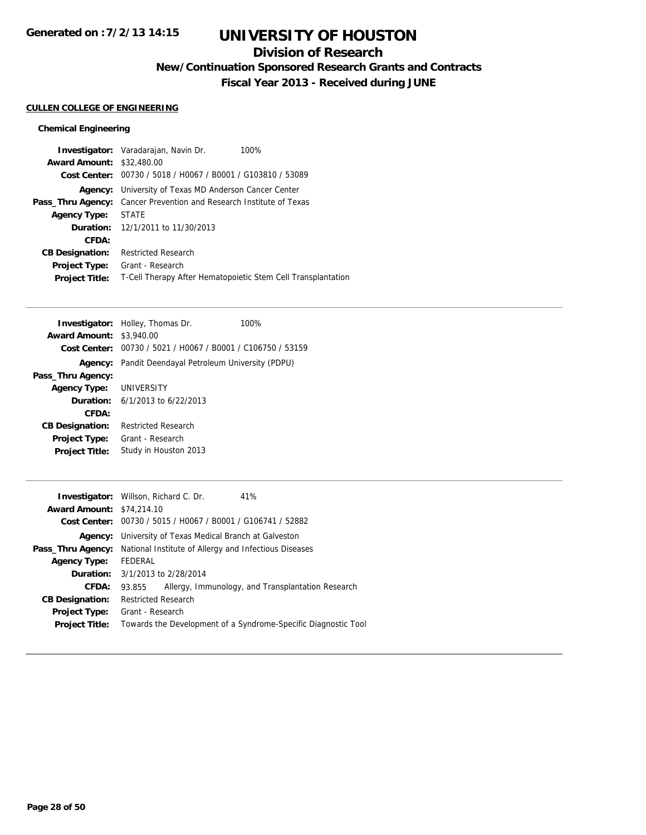## **Division of Research**

**New/Continuation Sponsored Research Grants and Contracts**

**Fiscal Year 2013 - Received during JUNE**

#### **CULLEN COLLEGE OF ENGINEERING**

|                                  | <b>Investigator:</b> Varadarajan, Navin Dr.                  | 100% |
|----------------------------------|--------------------------------------------------------------|------|
| <b>Award Amount: \$32,480.00</b> |                                                              |      |
|                                  | Cost Center: 00730 / 5018 / H0067 / B0001 / G103810 / 53089  |      |
| Agency:                          | University of Texas MD Anderson Cancer Center                |      |
| Pass_Thru Agency:                | Cancer Prevention and Research Institute of Texas            |      |
| <b>Agency Type:</b>              | <b>STATE</b>                                                 |      |
|                                  | <b>Duration:</b> 12/1/2011 to 11/30/2013                     |      |
| CFDA:                            |                                                              |      |
| <b>CB Designation:</b>           | <b>Restricted Research</b>                                   |      |
| <b>Project Type:</b>             | Grant - Research                                             |      |
| <b>Project Title:</b>            | T-Cell Therapy After Hematopoietic Stem Cell Transplantation |      |

|                                 | <b>Investigator:</b> Holley, Thomas Dr.                     | 100% |
|---------------------------------|-------------------------------------------------------------|------|
| <b>Award Amount: \$3,940.00</b> |                                                             |      |
|                                 | Cost Center: 00730 / 5021 / H0067 / B0001 / C106750 / 53159 |      |
| Agency:                         | Pandit Deendayal Petroleum University (PDPU)                |      |
| Pass_Thru Agency:               |                                                             |      |
| Agency Type: UNIVERSITY         |                                                             |      |
|                                 | <b>Duration:</b> $6/1/2013$ to $6/22/2013$                  |      |
| CFDA:                           |                                                             |      |
| <b>CB Designation:</b>          | <b>Restricted Research</b>                                  |      |
| <b>Project Type:</b>            | Grant - Research                                            |      |
| <b>Project Title:</b>           | Study in Houston 2013                                       |      |

|                                                                                | <b>Investigator:</b> Willson, Richard C. Dr.                   |  | 41%                                                            |
|--------------------------------------------------------------------------------|----------------------------------------------------------------|--|----------------------------------------------------------------|
| <b>Award Amount: \$74,214.10</b>                                               |                                                                |  |                                                                |
|                                                                                | Cost Center: 00730 / 5015 / H0067 / B0001 / G106741 / 52882    |  |                                                                |
|                                                                                | <b>Agency:</b> University of Texas Medical Branch at Galveston |  |                                                                |
| <b>Pass_Thru Agency:</b> National Institute of Allergy and Infectious Diseases |                                                                |  |                                                                |
| <b>Agency Type:</b>                                                            | FEDERAL                                                        |  |                                                                |
|                                                                                | <b>Duration:</b> 3/1/2013 to 2/28/2014                         |  |                                                                |
| <b>CFDA:</b>                                                                   | 93.855                                                         |  | Allergy, Immunology, and Transplantation Research              |
| <b>CB Designation:</b>                                                         | <b>Restricted Research</b>                                     |  |                                                                |
| Project Type:                                                                  | Grant - Research                                               |  |                                                                |
| <b>Project Title:</b>                                                          |                                                                |  | Towards the Development of a Syndrome-Specific Diagnostic Tool |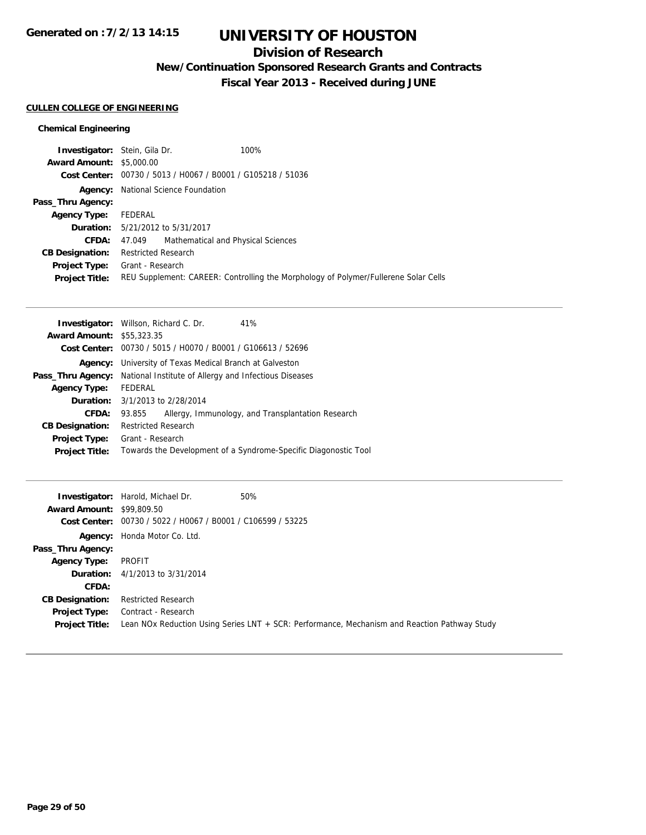## **Division of Research**

**New/Continuation Sponsored Research Grants and Contracts**

**Fiscal Year 2013 - Received during JUNE**

### **CULLEN COLLEGE OF ENGINEERING**

| <b>Investigator:</b> Stein, Gila Dr. |                                                             | 100%                                                                                |
|--------------------------------------|-------------------------------------------------------------|-------------------------------------------------------------------------------------|
| <b>Award Amount: \$5,000.00</b>      |                                                             |                                                                                     |
|                                      | Cost Center: 00730 / 5013 / H0067 / B0001 / G105218 / 51036 |                                                                                     |
|                                      | <b>Agency:</b> National Science Foundation                  |                                                                                     |
| Pass_Thru Agency:                    |                                                             |                                                                                     |
| <b>Agency Type:</b>                  | FEDERAL                                                     |                                                                                     |
|                                      | <b>Duration:</b> 5/21/2012 to 5/31/2017                     |                                                                                     |
|                                      | Mathematical and Physical Sciences<br>CFDA: 47.049          |                                                                                     |
| <b>CB Designation:</b>               | <b>Restricted Research</b>                                  |                                                                                     |
|                                      | <b>Project Type:</b> Grant - Research                       |                                                                                     |
| <b>Project Title:</b>                |                                                             | REU Supplement: CAREER: Controlling the Morphology of Polymer/Fullerene Solar Cells |

| <b>Investigator:</b> Willson, Richard C. Dr.<br>41%             |  |  |
|-----------------------------------------------------------------|--|--|
| <b>Award Amount: \$55,323,35</b>                                |  |  |
| Cost Center: 00730 / 5015 / H0070 / B0001 / G106613 / 52696     |  |  |
| University of Texas Medical Branch at Galveston                 |  |  |
| National Institute of Allergy and Infectious Diseases           |  |  |
| FEDERAL                                                         |  |  |
| <b>Duration:</b> 3/1/2013 to 2/28/2014                          |  |  |
| Allergy, Immunology, and Transplantation Research<br>93.855     |  |  |
| <b>Restricted Research</b>                                      |  |  |
| Grant - Research                                                |  |  |
| Towards the Development of a Syndrome-Specific Diagonostic Tool |  |  |
|                                                                 |  |  |

|                                  | <b>Investigator:</b> Harold, Michael Dr.                    | 50%                                                                                          |
|----------------------------------|-------------------------------------------------------------|----------------------------------------------------------------------------------------------|
| <b>Award Amount: \$99,809.50</b> |                                                             |                                                                                              |
|                                  | Cost Center: 00730 / 5022 / H0067 / B0001 / C106599 / 53225 |                                                                                              |
|                                  | <b>Agency:</b> Honda Motor Co. Ltd.                         |                                                                                              |
| Pass_Thru Agency:                |                                                             |                                                                                              |
| <b>Agency Type:</b>              | PROFIT                                                      |                                                                                              |
|                                  | <b>Duration:</b> $4/1/2013$ to $3/31/2014$                  |                                                                                              |
| CFDA:                            |                                                             |                                                                                              |
| <b>CB Designation:</b>           | <b>Restricted Research</b>                                  |                                                                                              |
| Project Type:                    | Contract - Research                                         |                                                                                              |
| <b>Project Title:</b>            |                                                             | Lean NOx Reduction Using Series LNT + SCR: Performance, Mechanism and Reaction Pathway Study |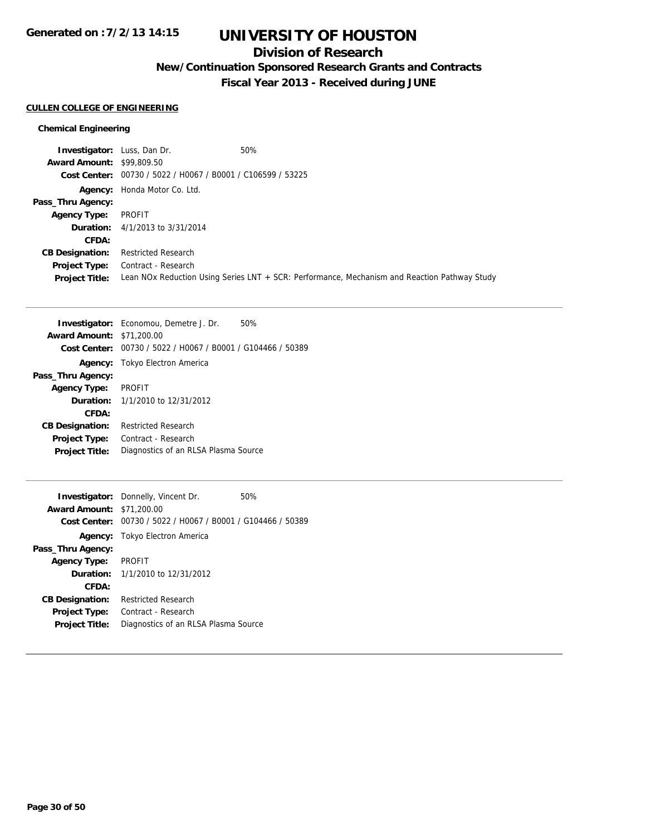# **UNIVERSITY OF HOUSTON**

## **Division of Research**

**New/Continuation Sponsored Research Grants and Contracts**

**Fiscal Year 2013 - Received during JUNE**

#### **CULLEN COLLEGE OF ENGINEERING**

| <b>Investigator:</b> Luss, Dan Dr. |                                                             | 50%                                                                                          |
|------------------------------------|-------------------------------------------------------------|----------------------------------------------------------------------------------------------|
| <b>Award Amount: \$99,809.50</b>   |                                                             |                                                                                              |
|                                    | Cost Center: 00730 / 5022 / H0067 / B0001 / C106599 / 53225 |                                                                                              |
|                                    | <b>Agency:</b> Honda Motor Co. Ltd.                         |                                                                                              |
| Pass_Thru Agency:                  |                                                             |                                                                                              |
| <b>Agency Type:</b>                | PROFIT                                                      |                                                                                              |
|                                    | <b>Duration:</b> 4/1/2013 to 3/31/2014                      |                                                                                              |
| CFDA:                              |                                                             |                                                                                              |
| <b>CB Designation:</b>             | <b>Restricted Research</b>                                  |                                                                                              |
| <b>Project Type:</b>               | Contract - Research                                         |                                                                                              |
| <b>Project Title:</b>              |                                                             | Lean NOx Reduction Using Series LNT + SCR: Performance, Mechanism and Reaction Pathway Study |

|                                  | 50%<br><b>Investigator:</b> Economou, Demetre J. Dr.        |  |
|----------------------------------|-------------------------------------------------------------|--|
| <b>Award Amount: \$71,200.00</b> |                                                             |  |
|                                  | Cost Center: 00730 / 5022 / H0067 / B0001 / G104466 / 50389 |  |
| Agency:                          | Tokyo Electron America                                      |  |
| Pass_Thru Agency:                |                                                             |  |
| <b>Agency Type:</b>              | <b>PROFIT</b>                                               |  |
| Duration:                        | 1/1/2010 to 12/31/2012                                      |  |
| CFDA:                            |                                                             |  |
| <b>CB Designation:</b>           | <b>Restricted Research</b>                                  |  |
| <b>Project Type:</b>             | Contract - Research                                         |  |
| <b>Project Title:</b>            | Diagnostics of an RLSA Plasma Source                        |  |
|                                  |                                                             |  |

|                                  | <b>Investigator:</b> Donnelly, Vincent Dr.<br>50%           |  |
|----------------------------------|-------------------------------------------------------------|--|
| <b>Award Amount: \$71,200.00</b> |                                                             |  |
|                                  | Cost Center: 00730 / 5022 / H0067 / B0001 / G104466 / 50389 |  |
|                                  | <b>Agency:</b> Tokyo Electron America                       |  |
| Pass_Thru Agency:                |                                                             |  |
| <b>Agency Type:</b>              | <b>PROFIT</b>                                               |  |
|                                  | <b>Duration:</b> $1/1/2010$ to $12/31/2012$                 |  |
| CFDA:                            |                                                             |  |
| <b>CB Designation:</b>           | <b>Restricted Research</b>                                  |  |
| <b>Project Type:</b>             | Contract - Research                                         |  |
| <b>Project Title:</b>            | Diagnostics of an RLSA Plasma Source                        |  |
|                                  |                                                             |  |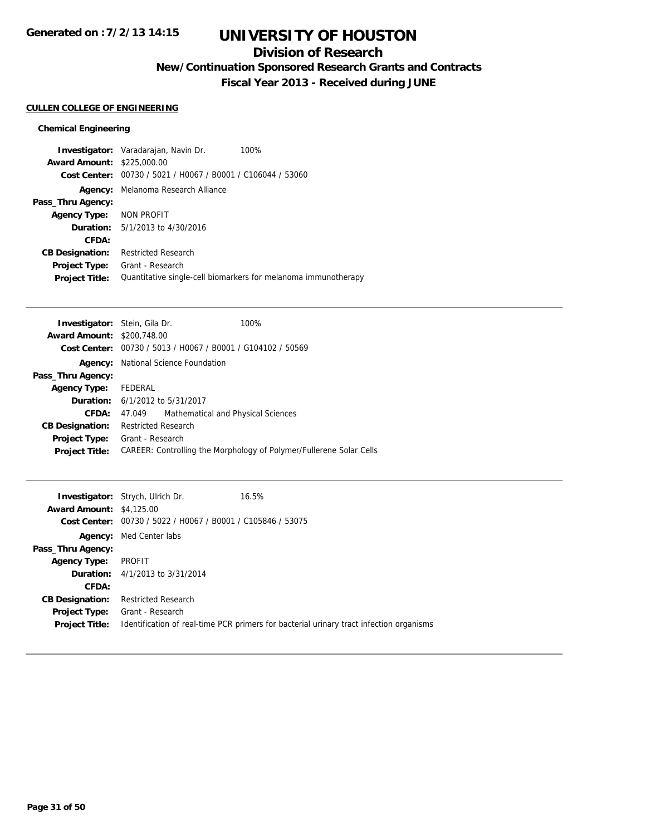## **Division of Research**

**New/Continuation Sponsored Research Grants and Contracts**

**Fiscal Year 2013 - Received during JUNE**

### **CULLEN COLLEGE OF ENGINEERING**

|                                   | <b>Investigator:</b> Varadarajan, Navin Dr.<br>100%            |
|-----------------------------------|----------------------------------------------------------------|
| <b>Award Amount: \$225,000.00</b> |                                                                |
| Cost Center:                      | 00730 / 5021 / H0067 / B0001 / C106044 / 53060                 |
| Agency:                           | Melanoma Research Alliance                                     |
| Pass_Thru Agency:                 |                                                                |
| Agency Type: NON PROFIT           |                                                                |
|                                   | <b>Duration:</b> 5/1/2013 to 4/30/2016                         |
| CFDA:                             |                                                                |
| <b>CB Designation:</b>            | <b>Restricted Research</b>                                     |
| <b>Project Type:</b>              | Grant - Research                                               |
| <b>Project Title:</b>             | Quantitative single-cell biomarkers for melanoma immunotherapy |

| <b>Investigator:</b> Stein, Gila Dr. |                                                             | 100%                                                                |
|--------------------------------------|-------------------------------------------------------------|---------------------------------------------------------------------|
| <b>Award Amount: \$200.748.00</b>    |                                                             |                                                                     |
|                                      | Cost Center: 00730 / 5013 / H0067 / B0001 / G104102 / 50569 |                                                                     |
| Agency:                              | National Science Foundation                                 |                                                                     |
| Pass_Thru Agency:                    |                                                             |                                                                     |
| <b>Agency Type:</b>                  | FEDERAL                                                     |                                                                     |
|                                      | <b>Duration:</b> $6/1/2012$ to $5/31/2017$                  |                                                                     |
| CFDA:                                | Mathematical and Physical Sciences<br>47.049                |                                                                     |
| <b>CB Designation:</b>               | <b>Restricted Research</b>                                  |                                                                     |
| <b>Project Type:</b>                 | Grant - Research                                            |                                                                     |
| <b>Project Title:</b>                |                                                             | CAREER: Controlling the Morphology of Polymer/Fullerene Solar Cells |
|                                      |                                                             |                                                                     |

| <b>Award Amount: \$4,125.00</b><br>Cost Center: | <b>Investigator:</b> Strych, Ulrich Dr.<br>00730 / 5022 / H0067 / B0001 / C105846 / 53075 | 16.5%                                                                                   |
|-------------------------------------------------|-------------------------------------------------------------------------------------------|-----------------------------------------------------------------------------------------|
| Agency:                                         | Med Center labs                                                                           |                                                                                         |
| Pass_Thru Agency:                               |                                                                                           |                                                                                         |
| <b>Agency Type:</b>                             | PROFIT                                                                                    |                                                                                         |
|                                                 | <b>Duration:</b> 4/1/2013 to 3/31/2014                                                    |                                                                                         |
| CFDA:                                           |                                                                                           |                                                                                         |
| <b>CB Designation:</b>                          | <b>Restricted Research</b>                                                                |                                                                                         |
| <b>Project Type:</b><br><b>Project Title:</b>   | Grant - Research                                                                          | Identification of real-time PCR primers for bacterial urinary tract infection organisms |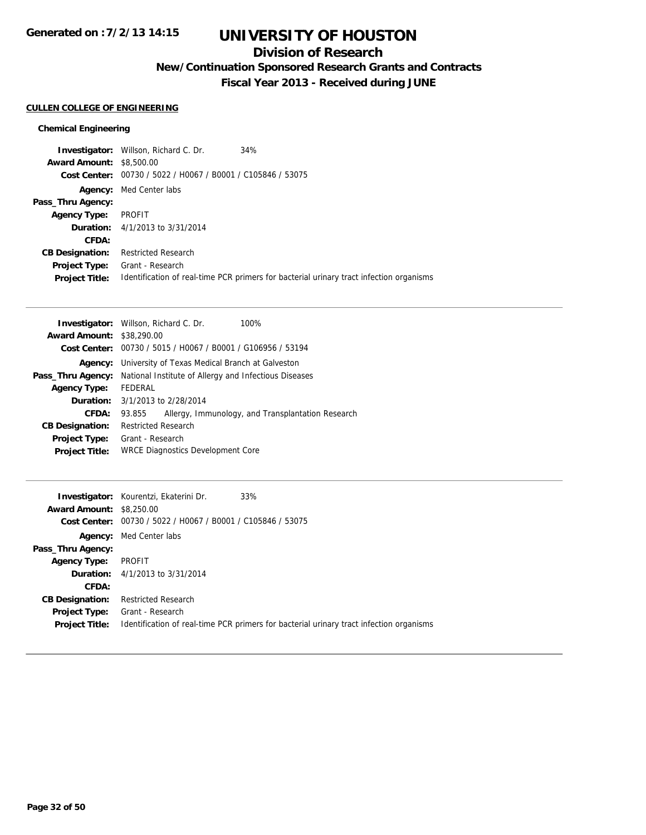## **Division of Research**

**New/Continuation Sponsored Research Grants and Contracts**

**Fiscal Year 2013 - Received during JUNE**

### **CULLEN COLLEGE OF ENGINEERING**

|                                 | <b>Investigator:</b> Willson, Richard C. Dr.   | 34%                                                                                     |
|---------------------------------|------------------------------------------------|-----------------------------------------------------------------------------------------|
| <b>Award Amount: \$8,500.00</b> |                                                |                                                                                         |
| Cost Center:                    | 00730 / 5022 / H0067 / B0001 / C105846 / 53075 |                                                                                         |
| Agency:                         | Med Center labs                                |                                                                                         |
| Pass_Thru Agency:               |                                                |                                                                                         |
| <b>Agency Type:</b>             | PROFIT                                         |                                                                                         |
|                                 | <b>Duration:</b> 4/1/2013 to 3/31/2014         |                                                                                         |
| CFDA:                           |                                                |                                                                                         |
| <b>CB Designation:</b>          | <b>Restricted Research</b>                     |                                                                                         |
| <b>Project Type:</b>            | Grant - Research                               |                                                                                         |
| <b>Project Title:</b>           |                                                | Identification of real-time PCR primers for bacterial urinary tract infection organisms |

| <b>Investigator:</b> Willson, Richard C. Dr.<br>100%        |  |  |
|-------------------------------------------------------------|--|--|
| <b>Award Amount: \$38,290.00</b>                            |  |  |
| Cost Center: 00730 / 5015 / H0067 / B0001 / G106956 / 53194 |  |  |
| University of Texas Medical Branch at Galveston             |  |  |
| National Institute of Allergy and Infectious Diseases       |  |  |
| FEDERAL                                                     |  |  |
| <b>Duration:</b> 3/1/2013 to 2/28/2014                      |  |  |
| Allergy, Immunology, and Transplantation Research<br>93.855 |  |  |
| <b>Restricted Research</b>                                  |  |  |
| Grant - Research                                            |  |  |
| <b>WRCE Diagnostics Development Core</b>                    |  |  |
|                                                             |  |  |

|                                 | <b>Investigator:</b> Kourentzi, Ekaterini Dr.<br>33%        |                                                                                         |
|---------------------------------|-------------------------------------------------------------|-----------------------------------------------------------------------------------------|
| <b>Award Amount: \$8,250.00</b> |                                                             |                                                                                         |
|                                 | Cost Center: 00730 / 5022 / H0067 / B0001 / C105846 / 53075 |                                                                                         |
| Agency:                         | Med Center labs                                             |                                                                                         |
| Pass_Thru Agency:               |                                                             |                                                                                         |
| <b>Agency Type:</b>             | PROFIT                                                      |                                                                                         |
|                                 | <b>Duration:</b> 4/1/2013 to 3/31/2014                      |                                                                                         |
| CFDA:                           |                                                             |                                                                                         |
| <b>CB Designation:</b>          | <b>Restricted Research</b>                                  |                                                                                         |
| <b>Project Type:</b>            | Grant - Research                                            |                                                                                         |
| <b>Project Title:</b>           |                                                             | Identification of real-time PCR primers for bacterial urinary tract infection organisms |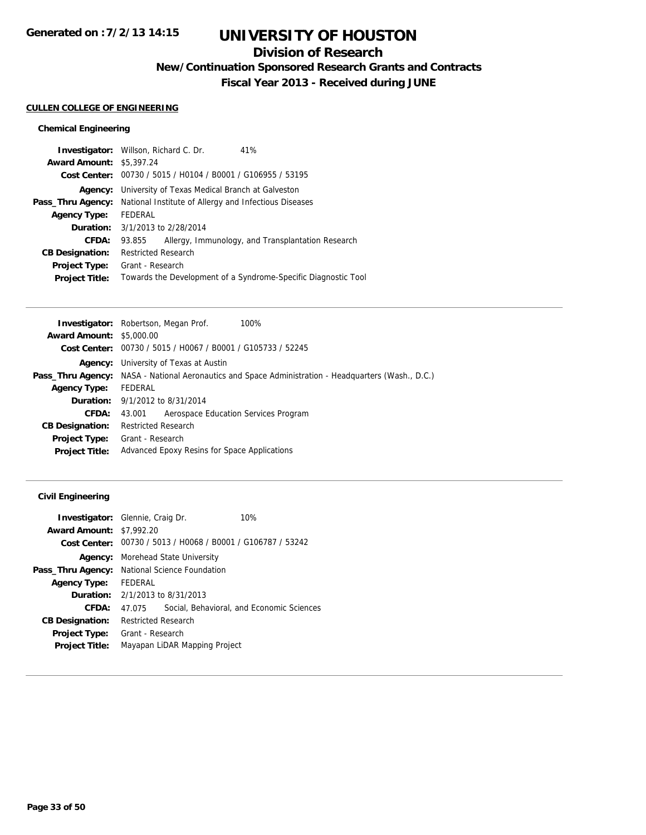## **Division of Research**

**New/Continuation Sponsored Research Grants and Contracts**

**Fiscal Year 2013 - Received during JUNE**

### **CULLEN COLLEGE OF ENGINEERING**

### **Chemical Engineering**

| <b>Award Amount: \$5,397.24</b><br>Cost Center: 00730 / 5015 / H0104 / B0001 / G106955 / 53195<br><b>Agency:</b> University of Texas Medical Branch at Galveston<br><b>Pass_Thru Agency:</b> National Institute of Allergy and Infectious Diseases<br>FEDERAL<br><b>Agency Type:</b><br><b>Duration:</b> 3/1/2013 to 2/28/2014<br>CFDA:<br>Allergy, Immunology, and Transplantation Research<br>93.855<br><b>Restricted Research</b><br><b>CB Designation:</b><br>Grant - Research<br><b>Project Type:</b><br>Towards the Development of a Syndrome-Specific Diagnostic Tool<br><b>Project Title:</b> | <b>Investigator:</b> Willson, Richard C. Dr. |  | 41% |
|-------------------------------------------------------------------------------------------------------------------------------------------------------------------------------------------------------------------------------------------------------------------------------------------------------------------------------------------------------------------------------------------------------------------------------------------------------------------------------------------------------------------------------------------------------------------------------------------------------|----------------------------------------------|--|-----|
|                                                                                                                                                                                                                                                                                                                                                                                                                                                                                                                                                                                                       |                                              |  |     |
|                                                                                                                                                                                                                                                                                                                                                                                                                                                                                                                                                                                                       |                                              |  |     |
|                                                                                                                                                                                                                                                                                                                                                                                                                                                                                                                                                                                                       |                                              |  |     |
|                                                                                                                                                                                                                                                                                                                                                                                                                                                                                                                                                                                                       |                                              |  |     |
|                                                                                                                                                                                                                                                                                                                                                                                                                                                                                                                                                                                                       |                                              |  |     |
|                                                                                                                                                                                                                                                                                                                                                                                                                                                                                                                                                                                                       |                                              |  |     |
|                                                                                                                                                                                                                                                                                                                                                                                                                                                                                                                                                                                                       |                                              |  |     |
|                                                                                                                                                                                                                                                                                                                                                                                                                                                                                                                                                                                                       |                                              |  |     |
|                                                                                                                                                                                                                                                                                                                                                                                                                                                                                                                                                                                                       |                                              |  |     |
|                                                                                                                                                                                                                                                                                                                                                                                                                                                                                                                                                                                                       |                                              |  |     |

|                                 | 100%<br><b>Investigator:</b> Robertson, Megan Prof.                                                        |
|---------------------------------|------------------------------------------------------------------------------------------------------------|
| <b>Award Amount: \$5,000.00</b> |                                                                                                            |
|                                 | <b>Cost Center:</b> $00730 / 5015 / 10067 / 80001 / 6105733 / 52245$                                       |
| Agency:                         | University of Texas at Austin                                                                              |
|                                 | <b>Pass_Thru Agency:</b> NASA - National Aeronautics and Space Administration - Headquarters (Wash., D.C.) |
| <b>Agency Type:</b>             | FEDERAL                                                                                                    |
|                                 | <b>Duration:</b> 9/1/2012 to 8/31/2014                                                                     |
| CFDA:                           | Aerospace Education Services Program<br>43.001                                                             |
| <b>CB Designation:</b>          | <b>Restricted Research</b>                                                                                 |
| Project Type:                   | Grant - Research                                                                                           |
| <b>Project Title:</b>           | Advanced Epoxy Resins for Space Applications                                                               |
|                                 |                                                                                                            |

### **Civil Engineering**

| <b>Investigator:</b> Glennie, Craig Dr. |                                          |                               | 10%                                                         |
|-----------------------------------------|------------------------------------------|-------------------------------|-------------------------------------------------------------|
| <b>Award Amount: \$7,992.20</b>         |                                          |                               |                                                             |
|                                         |                                          |                               | Cost Center: 00730 / 5013 / H0068 / B0001 / G106787 / 53242 |
|                                         | <b>Agency:</b> Morehead State University |                               |                                                             |
| Pass_Thru Agency:                       | National Science Foundation              |                               |                                                             |
| <b>Agency Type:</b>                     | FFDFRAL                                  |                               |                                                             |
| Duration:                               | 2/1/2013 to 8/31/2013                    |                               |                                                             |
| CFDA:                                   | 47 075                                   |                               | Social, Behavioral, and Economic Sciences                   |
| <b>CB Designation:</b>                  | <b>Restricted Research</b>               |                               |                                                             |
| Project Type:                           | Grant - Research                         |                               |                                                             |
| <b>Project Title:</b>                   |                                          | Mayapan LiDAR Mapping Project |                                                             |
|                                         |                                          |                               |                                                             |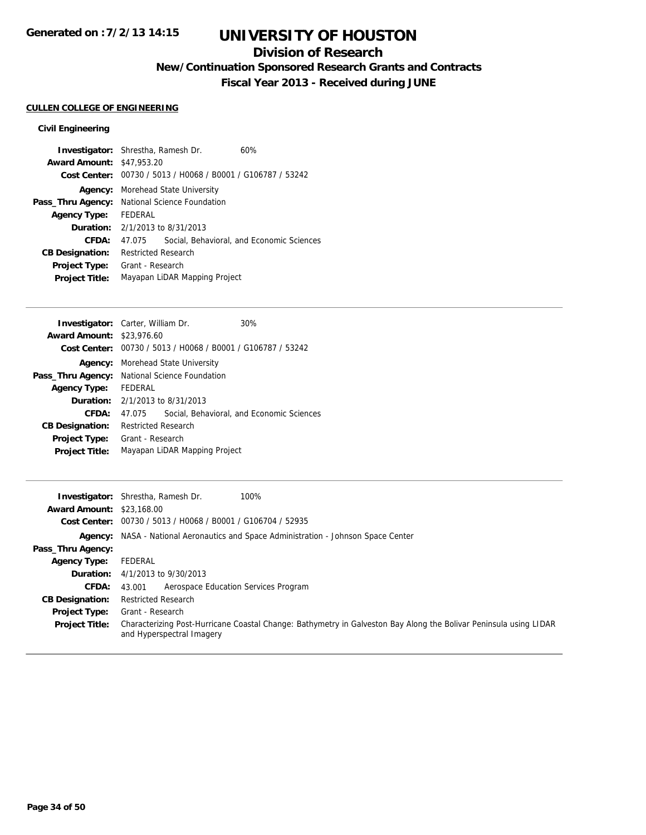## **Division of Research**

**New/Continuation Sponsored Research Grants and Contracts**

**Fiscal Year 2013 - Received during JUNE**

## **CULLEN COLLEGE OF ENGINEERING**

### **Civil Engineering**

|                                  | <b>Investigator:</b> Shrestha, Ramesh Dr.     | 60%                                                         |  |
|----------------------------------|-----------------------------------------------|-------------------------------------------------------------|--|
| <b>Award Amount: \$47,953.20</b> |                                               |                                                             |  |
|                                  |                                               | Cost Center: 00730 / 5013 / H0068 / B0001 / G106787 / 53242 |  |
|                                  | <b>Agency:</b> Morehead State University      |                                                             |  |
|                                  | Pass_Thru Agency: National Science Foundation |                                                             |  |
| <b>Agency Type:</b>              | FEDERAL                                       |                                                             |  |
|                                  | <b>Duration:</b> $2/1/2013$ to $8/31/2013$    |                                                             |  |
| CFDA:                            | 47.075                                        | Social, Behavioral, and Economic Sciences                   |  |
| <b>CB Designation:</b>           | <b>Restricted Research</b>                    |                                                             |  |
| <b>Project Type:</b>             | Grant - Research                              |                                                             |  |
| <b>Project Title:</b>            | Mayapan LiDAR Mapping Project                 |                                                             |  |
|                                  |                                               |                                                             |  |

|                                                      |  | 30%                                                                                                                                                                                                                                   |
|------------------------------------------------------|--|---------------------------------------------------------------------------------------------------------------------------------------------------------------------------------------------------------------------------------------|
|                                                      |  |                                                                                                                                                                                                                                       |
|                                                      |  |                                                                                                                                                                                                                                       |
|                                                      |  |                                                                                                                                                                                                                                       |
| <b>Pass_Thru Agency:</b> National Science Foundation |  |                                                                                                                                                                                                                                       |
| FEDERAL                                              |  |                                                                                                                                                                                                                                       |
|                                                      |  |                                                                                                                                                                                                                                       |
| 47 075                                               |  | Social, Behavioral, and Economic Sciences                                                                                                                                                                                             |
| <b>Restricted Research</b>                           |  |                                                                                                                                                                                                                                       |
| Grant - Research                                     |  |                                                                                                                                                                                                                                       |
| Mayapan LiDAR Mapping Project                        |  |                                                                                                                                                                                                                                       |
|                                                      |  | <b>Investigator:</b> Carter, William Dr.<br><b>Award Amount: \$23,976.60</b><br>Cost Center: 00730 / 5013 / H0068 / B0001 / G106787 / 53242<br><b>Agency:</b> Morehead State University<br><b>Duration:</b> $2/1/2013$ to $8/31/2013$ |

|                                  | 100%<br><b>Investigator:</b> Shrestha, Ramesh Dr.                                                                                              |
|----------------------------------|------------------------------------------------------------------------------------------------------------------------------------------------|
| <b>Award Amount: \$23,168.00</b> |                                                                                                                                                |
|                                  | Cost Center: 00730 / 5013 / H0068 / B0001 / G106704 / 52935                                                                                    |
|                                  | Agency: NASA - National Aeronautics and Space Administration - Johnson Space Center                                                            |
| Pass_Thru Agency:                |                                                                                                                                                |
| <b>Agency Type:</b>              | FEDERAL                                                                                                                                        |
|                                  | <b>Duration:</b> 4/1/2013 to 9/30/2013                                                                                                         |
| <b>CFDA:</b>                     | Aerospace Education Services Program<br>43.001                                                                                                 |
| <b>CB Designation:</b>           | <b>Restricted Research</b>                                                                                                                     |
| <b>Project Type:</b>             | Grant - Research                                                                                                                               |
| <b>Project Title:</b>            | Characterizing Post-Hurricane Coastal Change: Bathymetry in Galveston Bay Along the Bolivar Peninsula using LIDAR<br>and Hyperspectral Imagery |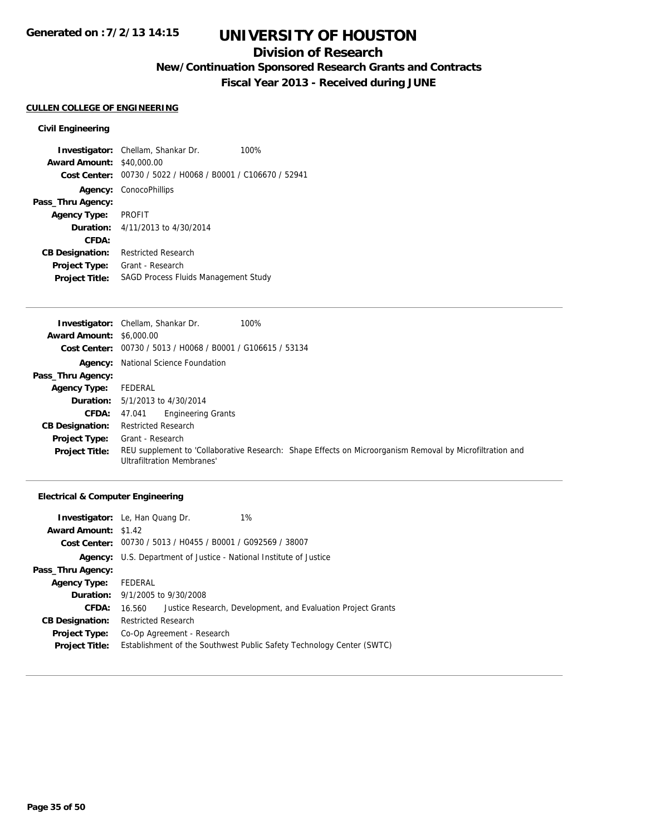## **Division of Research**

**New/Continuation Sponsored Research Grants and Contracts**

**Fiscal Year 2013 - Received during JUNE**

### **CULLEN COLLEGE OF ENGINEERING**

#### **Civil Engineering**

**Investigator:** Chellam, Shankar Dr. 100% **Award Amount:** \$40,000.00 **Cost Center:** 00730 / 5022 / H0068 / B0001 / C106670 / 52941 **Agency:** ConocoPhillips **Pass\_Thru Agency: Agency Type:** PROFIT **Duration:** 4/11/2013 to 4/30/2014 **CFDA: CB Designation:** Restricted Research **Project Type:** Grant - Research **Project Title:** SAGD Process Fluids Management Study

|                                 | <b>Investigator:</b> Chellam, Shankar Dr.<br>100%                                                                                             |
|---------------------------------|-----------------------------------------------------------------------------------------------------------------------------------------------|
| <b>Award Amount: \$6,000.00</b> |                                                                                                                                               |
|                                 | Cost Center: $00730 / 5013 / 40068 / 80001 / 6106615 / 53134$                                                                                 |
|                                 | <b>Agency:</b> National Science Foundation                                                                                                    |
| Pass_Thru Agency:               |                                                                                                                                               |
| <b>Agency Type:</b>             | FEDERAL                                                                                                                                       |
|                                 | <b>Duration:</b> $5/1/2013$ to $4/30/2014$                                                                                                    |
| <b>CFDA:</b>                    | <b>Engineering Grants</b><br>47.041                                                                                                           |
| <b>CB Designation:</b>          | <b>Restricted Research</b>                                                                                                                    |
| <b>Project Type:</b>            | Grant - Research                                                                                                                              |
| <b>Project Title:</b>           | REU supplement to 'Collaborative Research: Shape Effects on Microorganism Removal by Microfiltration and<br><b>Ultrafiltration Membranes'</b> |

|                             | 1%<br><b>Investigator:</b> Le, Han Quang Dr.                           |  |  |  |
|-----------------------------|------------------------------------------------------------------------|--|--|--|
| <b>Award Amount: \$1.42</b> |                                                                        |  |  |  |
|                             | Cost Center: 00730 / 5013 / H0455 / B0001 / G092569 / 38007            |  |  |  |
| Agency:                     | U.S. Department of Justice - National Institute of Justice             |  |  |  |
| Pass_Thru Agency:           |                                                                        |  |  |  |
| <b>Agency Type:</b>         | FEDERAL                                                                |  |  |  |
|                             | <b>Duration:</b> 9/1/2005 to 9/30/2008                                 |  |  |  |
| CFDA:                       | Justice Research, Development, and Evaluation Project Grants<br>16.560 |  |  |  |
| <b>CB Designation:</b>      | <b>Restricted Research</b>                                             |  |  |  |
| Project Type:               | Co-Op Agreement - Research                                             |  |  |  |
| <b>Project Title:</b>       | Establishment of the Southwest Public Safety Technology Center (SWTC)  |  |  |  |
|                             |                                                                        |  |  |  |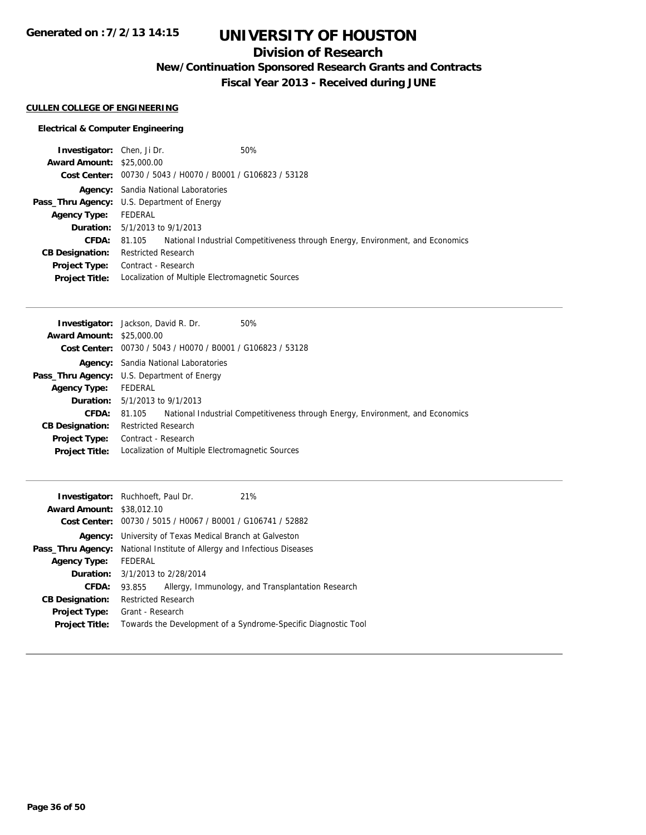# **UNIVERSITY OF HOUSTON**

## **Division of Research**

**New/Continuation Sponsored Research Grants and Contracts**

**Fiscal Year 2013 - Received during JUNE**

### **CULLEN COLLEGE OF ENGINEERING**

| <b>Investigator:</b> Chen, Ji Dr. |                                                             | 50%                                                                            |
|-----------------------------------|-------------------------------------------------------------|--------------------------------------------------------------------------------|
| <b>Award Amount: \$25,000.00</b>  |                                                             |                                                                                |
|                                   | Cost Center: 00730 / 5043 / H0070 / B0001 / G106823 / 53128 |                                                                                |
|                                   | <b>Agency:</b> Sandia National Laboratories                 |                                                                                |
|                                   | Pass_Thru Agency: U.S. Department of Energy                 |                                                                                |
| <b>Agency Type:</b>               | FEDERAL                                                     |                                                                                |
|                                   | <b>Duration:</b> $5/1/2013$ to $9/1/2013$                   |                                                                                |
| <b>CFDA:</b>                      | 81.105                                                      | National Industrial Competitiveness through Energy, Environment, and Economics |
| <b>CB Designation:</b>            | <b>Restricted Research</b>                                  |                                                                                |
| Project Type:                     | Contract - Research                                         |                                                                                |
| <b>Project Title:</b>             | Localization of Multiple Electromagnetic Sources            |                                                                                |

| <b>Award Amount: \$25,000.00</b><br>Cost Center: 00730 / 5043 / H0070 / B0001 / G106823 / 53128<br><b>Agency:</b> Sandia National Laboratories<br><b>Pass_Thru Agency:</b> U.S. Department of Energy<br>FEDERAL<br><b>Agency Type:</b><br><b>Duration:</b> $5/1/2013$ to $9/1/2013$<br>National Industrial Competitiveness through Energy, Environment, and Economics<br><b>CFDA:</b><br>81.105<br><b>Restricted Research</b><br><b>CB Designation:</b><br><b>Project Type:</b> Contract - Research<br>Localization of Multiple Electromagnetic Sources<br><b>Project Title:</b> | 50%<br><b>Investigator:</b> Jackson, David R. Dr. |
|----------------------------------------------------------------------------------------------------------------------------------------------------------------------------------------------------------------------------------------------------------------------------------------------------------------------------------------------------------------------------------------------------------------------------------------------------------------------------------------------------------------------------------------------------------------------------------|---------------------------------------------------|
|                                                                                                                                                                                                                                                                                                                                                                                                                                                                                                                                                                                  |                                                   |
|                                                                                                                                                                                                                                                                                                                                                                                                                                                                                                                                                                                  |                                                   |
|                                                                                                                                                                                                                                                                                                                                                                                                                                                                                                                                                                                  |                                                   |
|                                                                                                                                                                                                                                                                                                                                                                                                                                                                                                                                                                                  |                                                   |
|                                                                                                                                                                                                                                                                                                                                                                                                                                                                                                                                                                                  |                                                   |
|                                                                                                                                                                                                                                                                                                                                                                                                                                                                                                                                                                                  |                                                   |
|                                                                                                                                                                                                                                                                                                                                                                                                                                                                                                                                                                                  |                                                   |
|                                                                                                                                                                                                                                                                                                                                                                                                                                                                                                                                                                                  |                                                   |
|                                                                                                                                                                                                                                                                                                                                                                                                                                                                                                                                                                                  |                                                   |
|                                                                                                                                                                                                                                                                                                                                                                                                                                                                                                                                                                                  |                                                   |

| 21%<br><b>Investigator:</b> Ruchhoeft, Paul Dr.                                |  |
|--------------------------------------------------------------------------------|--|
| <b>Award Amount: \$38,012.10</b>                                               |  |
| Cost Center: 00730 / 5015 / H0067 / B0001 / G106741 / 52882                    |  |
| <b>Agency:</b> University of Texas Medical Branch at Galveston                 |  |
| <b>Pass_Thru Agency:</b> National Institute of Allergy and Infectious Diseases |  |
| FEDERAL                                                                        |  |
| <b>Duration:</b> 3/1/2013 to 2/28/2014                                         |  |
| Allergy, Immunology, and Transplantation Research<br>93.855                    |  |
| <b>Restricted Research</b>                                                     |  |
| Grant - Research                                                               |  |
| Towards the Development of a Syndrome-Specific Diagnostic Tool                 |  |
|                                                                                |  |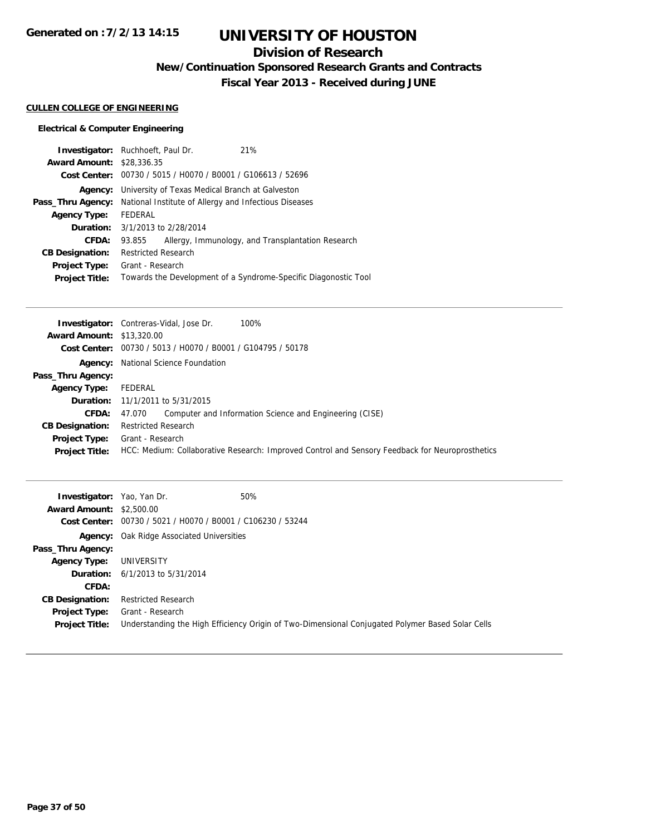# **UNIVERSITY OF HOUSTON**

## **Division of Research**

**New/Continuation Sponsored Research Grants and Contracts**

**Fiscal Year 2013 - Received during JUNE**

#### **CULLEN COLLEGE OF ENGINEERING**

| <b>Investigator:</b> Ruchhoeft, Paul Dr. |                                                       |                                                 | 21%                                                             |
|------------------------------------------|-------------------------------------------------------|-------------------------------------------------|-----------------------------------------------------------------|
| <b>Award Amount: \$28,336,35</b>         |                                                       |                                                 |                                                                 |
|                                          |                                                       |                                                 | Cost Center: 00730 / 5015 / H0070 / B0001 / G106613 / 52696     |
| Agency:                                  |                                                       | University of Texas Medical Branch at Galveston |                                                                 |
| Pass_Thru Agency:                        | National Institute of Allergy and Infectious Diseases |                                                 |                                                                 |
| <b>Agency Type:</b>                      | FEDERAL                                               |                                                 |                                                                 |
|                                          | <b>Duration:</b> 3/1/2013 to 2/28/2014                |                                                 |                                                                 |
| CFDA:                                    | 93.855                                                |                                                 | Allergy, Immunology, and Transplantation Research               |
| <b>CB Designation:</b>                   | <b>Restricted Research</b>                            |                                                 |                                                                 |
| <b>Project Type:</b>                     | Grant - Research                                      |                                                 |                                                                 |
| <b>Project Title:</b>                    |                                                       |                                                 | Towards the Development of a Syndrome-Specific Diagonostic Tool |

|                                  | <b>Investigator:</b> Contreras-Vidal, Jose Dr.<br>100%                                          |
|----------------------------------|-------------------------------------------------------------------------------------------------|
| <b>Award Amount: \$13,320.00</b> |                                                                                                 |
|                                  | Cost Center: 00730 / 5013 / H0070 / B0001 / G104795 / 50178                                     |
|                                  | <b>Agency:</b> National Science Foundation                                                      |
| Pass_Thru Agency:                |                                                                                                 |
| <b>Agency Type:</b>              | FEDERAL                                                                                         |
|                                  | <b>Duration:</b> 11/1/2011 to 5/31/2015                                                         |
| <b>CFDA:</b>                     | Computer and Information Science and Engineering (CISE)<br>47.070                               |
| <b>CB Designation:</b>           | <b>Restricted Research</b>                                                                      |
| Project Type:                    | Grant - Research                                                                                |
| <b>Project Title:</b>            | HCC: Medium: Collaborative Research: Improved Control and Sensory Feedback for Neuroprosthetics |

| <b>Investigator:</b> Yao, Yan Dr.<br><b>Award Amount: \$2,500.00</b> | Cost Center: 00730 / 5021 / H0070 / B0001 / C106230 / 53244 | 50%                                                                                              |
|----------------------------------------------------------------------|-------------------------------------------------------------|--------------------------------------------------------------------------------------------------|
|                                                                      | <b>Agency:</b> Oak Ridge Associated Universities            |                                                                                                  |
| Pass_Thru Agency:                                                    |                                                             |                                                                                                  |
| <b>Agency Type:</b>                                                  | UNIVERSITY                                                  |                                                                                                  |
|                                                                      | <b>Duration:</b> $6/1/2013$ to $5/31/2014$                  |                                                                                                  |
| <b>CFDA:</b>                                                         |                                                             |                                                                                                  |
| <b>CB Designation:</b>                                               | <b>Restricted Research</b>                                  |                                                                                                  |
| Project Type:<br><b>Project Title:</b>                               | Grant - Research                                            | Understanding the High Efficiency Origin of Two-Dimensional Conjugated Polymer Based Solar Cells |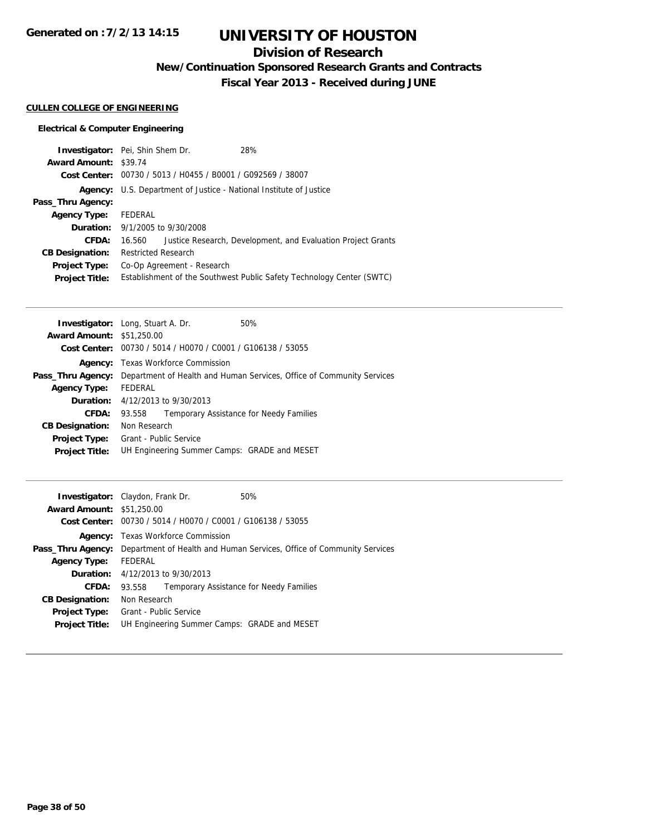# **UNIVERSITY OF HOUSTON**

## **Division of Research**

**New/Continuation Sponsored Research Grants and Contracts**

**Fiscal Year 2013 - Received during JUNE**

### **CULLEN COLLEGE OF ENGINEERING**

| <b>Investigator:</b> Pei, Shin Shem Dr.                                   | 28%                                                                   |
|---------------------------------------------------------------------------|-----------------------------------------------------------------------|
| <b>Award Amount: \$39.74</b>                                              |                                                                       |
| Cost Center: 00730 / 5013 / H0455 / B0001 / G092569 / 38007               |                                                                       |
| <b>Agency:</b> U.S. Department of Justice - National Institute of Justice |                                                                       |
|                                                                           |                                                                       |
| FEDERAL                                                                   |                                                                       |
| <b>Duration:</b> 9/1/2005 to 9/30/2008                                    |                                                                       |
| 16.560                                                                    | Justice Research, Development, and Evaluation Project Grants          |
| <b>Restricted Research</b>                                                |                                                                       |
| Co-Op Agreement - Research                                                |                                                                       |
|                                                                           | Establishment of the Southwest Public Safety Technology Center (SWTC) |
|                                                                           |                                                                       |

| <b>Investigator:</b> Long, Stuart A. Dr. |                                                                       |                                                             | 50%                                          |  |
|------------------------------------------|-----------------------------------------------------------------------|-------------------------------------------------------------|----------------------------------------------|--|
| <b>Award Amount: \$51,250.00</b>         |                                                                       |                                                             |                                              |  |
|                                          |                                                                       | Cost Center: 00730 / 5014 / H0070 / C0001 / G106138 / 53055 |                                              |  |
|                                          | <b>Agency:</b> Texas Workforce Commission                             |                                                             |                                              |  |
| Pass_Thru Agency:                        | Department of Health and Human Services, Office of Community Services |                                                             |                                              |  |
| <b>Agency Type:</b>                      | FEDERAL                                                               |                                                             |                                              |  |
|                                          |                                                                       | <b>Duration:</b> 4/12/2013 to 9/30/2013                     |                                              |  |
| CFDA:                                    | 93.558                                                                |                                                             | Temporary Assistance for Needy Families      |  |
| <b>CB Designation:</b>                   | Non Research                                                          |                                                             |                                              |  |
| <b>Project Type:</b>                     | Grant - Public Service                                                |                                                             |                                              |  |
| <b>Project Title:</b>                    |                                                                       |                                                             | UH Engineering Summer Camps: GRADE and MESET |  |

|                                  | <b>Investigator:</b> Claydon, Frank Dr.                               | 50%                                     |  |
|----------------------------------|-----------------------------------------------------------------------|-----------------------------------------|--|
| <b>Award Amount: \$51,250.00</b> |                                                                       |                                         |  |
|                                  | Cost Center: 00730 / 5014 / H0070 / C0001 / G106138 / 53055           |                                         |  |
|                                  | <b>Agency:</b> Texas Workforce Commission                             |                                         |  |
| Pass_Thru Agency:                | Department of Health and Human Services, Office of Community Services |                                         |  |
| <b>Agency Type:</b>              | FEDERAL                                                               |                                         |  |
|                                  | <b>Duration:</b> $4/12/2013$ to $9/30/2013$                           |                                         |  |
| <b>CFDA:</b>                     | 93.558                                                                | Temporary Assistance for Needy Families |  |
| <b>CB Designation:</b>           | Non Research                                                          |                                         |  |
| <b>Project Type:</b>             | Grant - Public Service                                                |                                         |  |
| <b>Project Title:</b>            | UH Engineering Summer Camps: GRADE and MESET                          |                                         |  |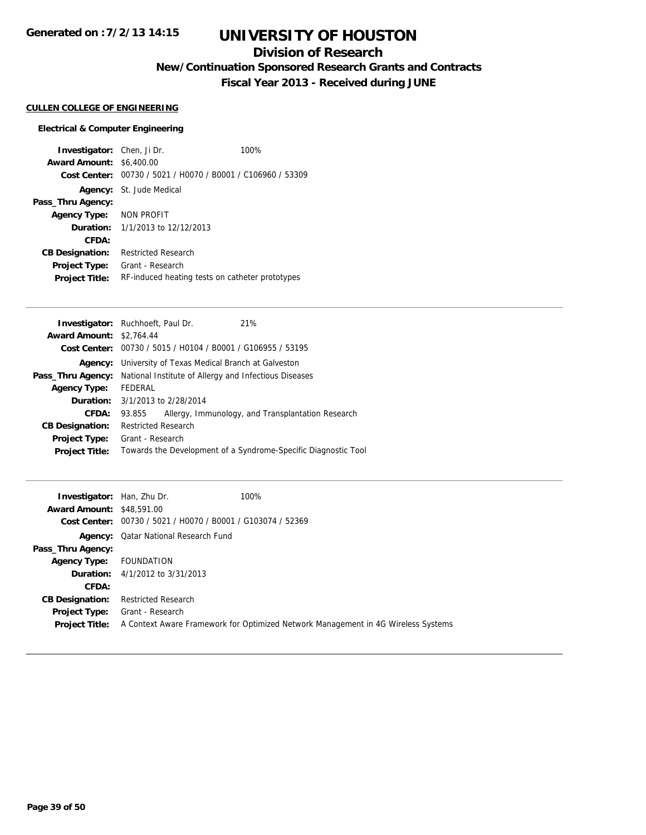## **Division of Research**

**New/Continuation Sponsored Research Grants and Contracts**

**Fiscal Year 2013 - Received during JUNE**

#### **CULLEN COLLEGE OF ENGINEERING**

#### **Electrical & Computer Engineering**

**Investigator:** Chen, Ji Dr. 100% **Award Amount:** \$6,400.00 **Cost Center:** 00730 / 5021 / H0070 / B0001 / C106960 / 53309 **Agency:** St. Jude Medical **Pass\_Thru Agency: Agency Type:** NON PROFIT **Duration:** 1/1/2013 to 12/12/2013 **CFDA: CB Designation:** Restricted Research **Project Type:** Grant - Research **Project Title:** RF-induced heating tests on catheter prototypes

|                                                                |                   |                                                                                                                               | 21%                                                                                                                                                            |
|----------------------------------------------------------------|-------------------|-------------------------------------------------------------------------------------------------------------------------------|----------------------------------------------------------------------------------------------------------------------------------------------------------------|
|                                                                |                   |                                                                                                                               |                                                                                                                                                                |
|                                                                |                   |                                                                                                                               |                                                                                                                                                                |
| <b>Agency:</b> University of Texas Medical Branch at Galveston |                   |                                                                                                                               |                                                                                                                                                                |
|                                                                |                   |                                                                                                                               |                                                                                                                                                                |
| FEDERAL                                                        |                   |                                                                                                                               |                                                                                                                                                                |
|                                                                |                   |                                                                                                                               |                                                                                                                                                                |
| 93.855                                                         |                   |                                                                                                                               | Allergy, Immunology, and Transplantation Research                                                                                                              |
|                                                                |                   |                                                                                                                               |                                                                                                                                                                |
|                                                                |                   |                                                                                                                               |                                                                                                                                                                |
|                                                                |                   |                                                                                                                               | Towards the Development of a Syndrome-Specific Diagnostic Tool                                                                                                 |
|                                                                | Pass_Thru Agency: | <b>Investigator:</b> Ruchhoeft, Paul Dr.<br><b>Award Amount: \$2,764.44</b><br><b>Restricted Research</b><br>Grant - Research | Cost Center: 00730 / 5015 / H0104 / B0001 / G106955 / 53195<br>National Institute of Allergy and Infectious Diseases<br><b>Duration:</b> 3/1/2013 to 2/28/2014 |

| <b>Investigator:</b> Han, Zhu Dr. |                                                             | 100%                                                                              |
|-----------------------------------|-------------------------------------------------------------|-----------------------------------------------------------------------------------|
| <b>Award Amount: \$48,591,00</b>  |                                                             |                                                                                   |
|                                   | Cost Center: 00730 / 5021 / H0070 / B0001 / G103074 / 52369 |                                                                                   |
|                                   | <b>Agency:</b> Qatar National Research Fund                 |                                                                                   |
| Pass_Thru Agency:                 |                                                             |                                                                                   |
| <b>Agency Type:</b>               | FOUNDATION                                                  |                                                                                   |
|                                   | <b>Duration:</b> $4/1/2012$ to $3/31/2013$                  |                                                                                   |
| CFDA:                             |                                                             |                                                                                   |
| <b>CB Designation:</b>            | <b>Restricted Research</b>                                  |                                                                                   |
| Project Type:                     | Grant - Research                                            |                                                                                   |
| <b>Project Title:</b>             |                                                             | A Context Aware Framework for Optimized Network Management in 4G Wireless Systems |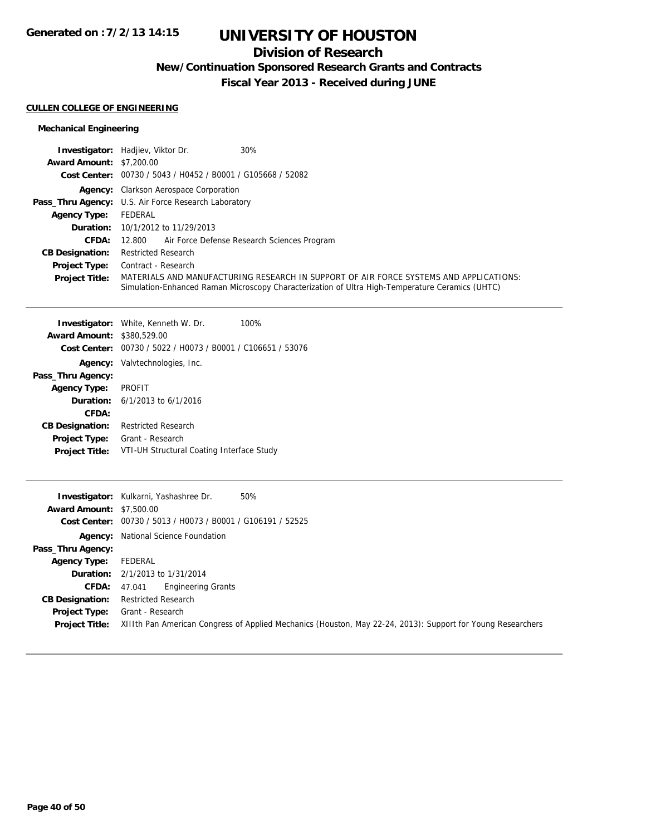## **Division of Research**

**New/Continuation Sponsored Research Grants and Contracts**

**Fiscal Year 2013 - Received during JUNE**

### **CULLEN COLLEGE OF ENGINEERING**

### **Mechanical Engineering**

|                                 | 30%<br><b>Investigator:</b> Hadjiev, Viktor Dr.                                                                                                                                           |
|---------------------------------|-------------------------------------------------------------------------------------------------------------------------------------------------------------------------------------------|
| <b>Award Amount: \$7,200.00</b> |                                                                                                                                                                                           |
|                                 | Cost Center: 00730 / 5043 / H0452 / B0001 / G105668 / 52082                                                                                                                               |
|                                 | <b>Agency:</b> Clarkson Aerospace Corporation                                                                                                                                             |
|                                 | <b>Pass_Thru Agency:</b> U.S. Air Force Research Laboratory                                                                                                                               |
| <b>Agency Type:</b>             | FEDERAL                                                                                                                                                                                   |
|                                 | <b>Duration:</b> 10/1/2012 to 11/29/2013                                                                                                                                                  |
| CFDA:                           | Air Force Defense Research Sciences Program<br>12.800                                                                                                                                     |
| <b>CB Designation:</b>          | <b>Restricted Research</b>                                                                                                                                                                |
| <b>Project Type:</b>            | Contract - Research                                                                                                                                                                       |
| <b>Project Title:</b>           | MATERIALS AND MANUFACTURING RESEARCH IN SUPPORT OF AIR FORCE SYSTEMS AND APPLICATIONS:<br>Simulation-Enhanced Raman Microscopy Characterization of Ultra High-Temperature Ceramics (UHTC) |

|                        | <b>Investigator:</b> White, Kenneth W. Dr.                  | 100% |
|------------------------|-------------------------------------------------------------|------|
| <b>Award Amount:</b>   | \$380,529.00                                                |      |
|                        | Cost Center: 00730 / 5022 / H0073 / B0001 / C106651 / 53076 |      |
|                        | <b>Agency:</b> Valytechnologies, Inc.                       |      |
| Pass_Thru Agency:      |                                                             |      |
| <b>Agency Type:</b>    | PROFIT                                                      |      |
|                        | <b>Duration:</b> $6/1/2013$ to $6/1/2016$                   |      |
| CFDA:                  |                                                             |      |
| <b>CB Designation:</b> | <b>Restricted Research</b>                                  |      |
| <b>Project Type:</b>   | Grant - Research                                            |      |
| <b>Project Title:</b>  | VTI-UH Structural Coating Interface Study                   |      |
|                        |                                                             |      |

|                                 | 50%<br><b>Investigator:</b> Kulkarni, Yashashree Dr.                                                        |
|---------------------------------|-------------------------------------------------------------------------------------------------------------|
| <b>Award Amount: \$7,500.00</b> |                                                                                                             |
|                                 | Cost Center: 00730 / 5013 / H0073 / B0001 / G106191 / 52525                                                 |
|                                 | <b>Agency:</b> National Science Foundation                                                                  |
| Pass_Thru Agency:               |                                                                                                             |
| <b>Agency Type:</b>             | FEDERAL                                                                                                     |
|                                 | <b>Duration:</b> 2/1/2013 to 1/31/2014                                                                      |
| <b>CFDA:</b>                    | <b>Engineering Grants</b><br>47.041                                                                         |
| <b>CB Designation:</b>          | <b>Restricted Research</b>                                                                                  |
| <b>Project Type:</b>            | Grant - Research                                                                                            |
| <b>Project Title:</b>           | XIIIth Pan American Congress of Applied Mechanics (Houston, May 22-24, 2013): Support for Young Researchers |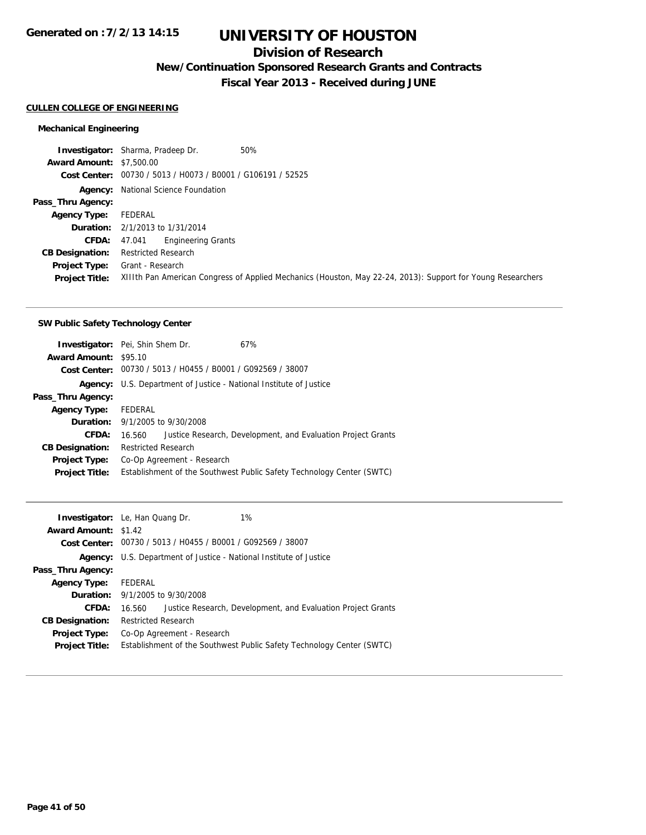## **Division of Research**

**New/Continuation Sponsored Research Grants and Contracts**

**Fiscal Year 2013 - Received during JUNE**

### **CULLEN COLLEGE OF ENGINEERING**

#### **Mechanical Engineering**

**Investigator:** Sharma, Pradeep Dr. 50% **Award Amount:** \$7,500.00 **Cost Center:** 00730 / 5013 / H0073 / B0001 / G106191 / 52525 **Agency:** National Science Foundation **Pass\_Thru Agency: Agency Type:** FEDERAL **Duration:** 2/1/2013 to 1/31/2014 **CFDA:** 47.041 Engineering Grants **CB Designation:** Restricted Research **Project Type:** Grant - Research **Project Title:** XIIIth Pan American Congress of Applied Mechanics (Houston, May 22-24, 2013): Support for Young Researchers

#### **SW Public Safety Technology Center**

|                              | 67%                                                                                                                                                                                                                                                                        |
|------------------------------|----------------------------------------------------------------------------------------------------------------------------------------------------------------------------------------------------------------------------------------------------------------------------|
| <b>Award Amount: \$95.10</b> |                                                                                                                                                                                                                                                                            |
|                              |                                                                                                                                                                                                                                                                            |
| Agency:                      |                                                                                                                                                                                                                                                                            |
|                              |                                                                                                                                                                                                                                                                            |
| FEDERAL                      |                                                                                                                                                                                                                                                                            |
|                              |                                                                                                                                                                                                                                                                            |
| 16.560                       | Justice Research, Development, and Evaluation Project Grants                                                                                                                                                                                                               |
|                              |                                                                                                                                                                                                                                                                            |
|                              |                                                                                                                                                                                                                                                                            |
|                              | Establishment of the Southwest Public Safety Technology Center (SWTC)                                                                                                                                                                                                      |
|                              | <b>Investigator:</b> Pei, Shin Shem Dr.<br>Cost Center: 00730 / 5013 / H0455 / B0001 / G092569 / 38007<br>U.S. Department of Justice - National Institute of Justice<br><b>Duration:</b> 9/1/2005 to 9/30/2008<br><b>Restricted Research</b><br>Co-Op Agreement - Research |

|                             | 1%<br><b>Investigator:</b> Le, Han Quang Dr.                           |  |
|-----------------------------|------------------------------------------------------------------------|--|
| <b>Award Amount: \$1.42</b> |                                                                        |  |
|                             | Cost Center: 00730 / 5013 / H0455 / B0001 / G092569 / 38007            |  |
| Agency:                     | U.S. Department of Justice - National Institute of Justice             |  |
| Pass_Thru Agency:           |                                                                        |  |
| <b>Agency Type:</b>         | FEDERAL                                                                |  |
|                             | <b>Duration:</b> 9/1/2005 to 9/30/2008                                 |  |
| CFDA:                       | Justice Research, Development, and Evaluation Project Grants<br>16.560 |  |
| <b>CB Designation:</b>      | <b>Restricted Research</b>                                             |  |
| <b>Project Type:</b>        | Co-Op Agreement - Research                                             |  |
| <b>Project Title:</b>       | Establishment of the Southwest Public Safety Technology Center (SWTC)  |  |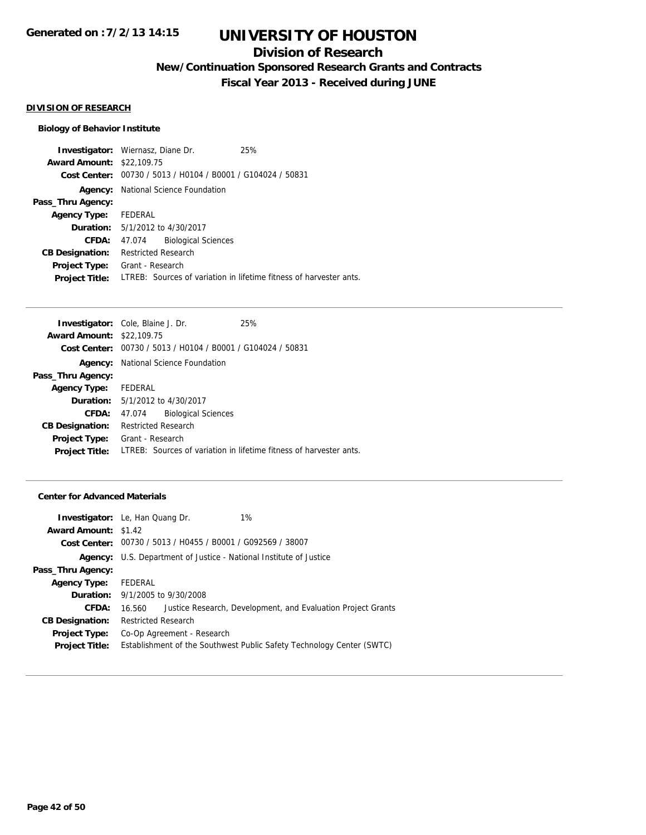## **Division of Research**

**New/Continuation Sponsored Research Grants and Contracts**

**Fiscal Year 2013 - Received during JUNE**

#### **DIVISION OF RESEARCH**

#### **Biology of Behavior Institute**

**Investigator:** Wiernasz, Diane Dr. 25% **Award Amount:** \$22,109.75 **Cost Center:** 00730 / 5013 / H0104 / B0001 / G104024 / 50831 **Agency:** National Science Foundation **Pass\_Thru Agency: Agency Type:** FEDERAL **Duration:** 5/1/2012 to 4/30/2017 **CFDA:** 47.074 Biological Sciences **CB Designation:** Restricted Research **Project Type:** Grant - Research **Project Title:** LTREB: Sources of variation in lifetime fitness of harvester ants.

|                      |                            | 25%                                                                                                                                                                                                                                                                                       |
|----------------------|----------------------------|-------------------------------------------------------------------------------------------------------------------------------------------------------------------------------------------------------------------------------------------------------------------------------------------|
|                      |                            |                                                                                                                                                                                                                                                                                           |
|                      |                            |                                                                                                                                                                                                                                                                                           |
|                      |                            |                                                                                                                                                                                                                                                                                           |
|                      |                            |                                                                                                                                                                                                                                                                                           |
| Agency Type: FEDERAL |                            |                                                                                                                                                                                                                                                                                           |
|                      |                            |                                                                                                                                                                                                                                                                                           |
|                      | <b>Biological Sciences</b> |                                                                                                                                                                                                                                                                                           |
|                      |                            |                                                                                                                                                                                                                                                                                           |
|                      |                            |                                                                                                                                                                                                                                                                                           |
|                      |                            | LTREB: Sources of variation in lifetime fitness of harvester ants.                                                                                                                                                                                                                        |
|                      |                            | <b>Investigator:</b> Cole, Blaine J. Dr.<br><b>Award Amount: \$22,109.75</b><br><b>Cost Center:</b> $00730 / 5013 / 40104 / 80001 / 6104024 / 50831$<br>National Science Foundation<br><b>Duration:</b> 5/1/2012 to 4/30/2017<br>47.074<br><b>Restricted Research</b><br>Grant - Research |

#### **Center for Advanced Materials**

|                             | 1%<br><b>Investigator:</b> Le, Han Quang Dr.                           |  |  |
|-----------------------------|------------------------------------------------------------------------|--|--|
| <b>Award Amount: \$1.42</b> |                                                                        |  |  |
|                             | Cost Center: 00730 / 5013 / H0455 / B0001 / G092569 / 38007            |  |  |
| Agency:                     | U.S. Department of Justice - National Institute of Justice             |  |  |
| Pass_Thru Agency:           |                                                                        |  |  |
| <b>Agency Type:</b>         | FEDERAL                                                                |  |  |
|                             | <b>Duration:</b> 9/1/2005 to 9/30/2008                                 |  |  |
| CFDA:                       | Justice Research, Development, and Evaluation Project Grants<br>16.560 |  |  |
| <b>CB Designation:</b>      | <b>Restricted Research</b>                                             |  |  |
| Project Type:               | Co-Op Agreement - Research                                             |  |  |
| <b>Project Title:</b>       | Establishment of the Southwest Public Safety Technology Center (SWTC)  |  |  |
|                             |                                                                        |  |  |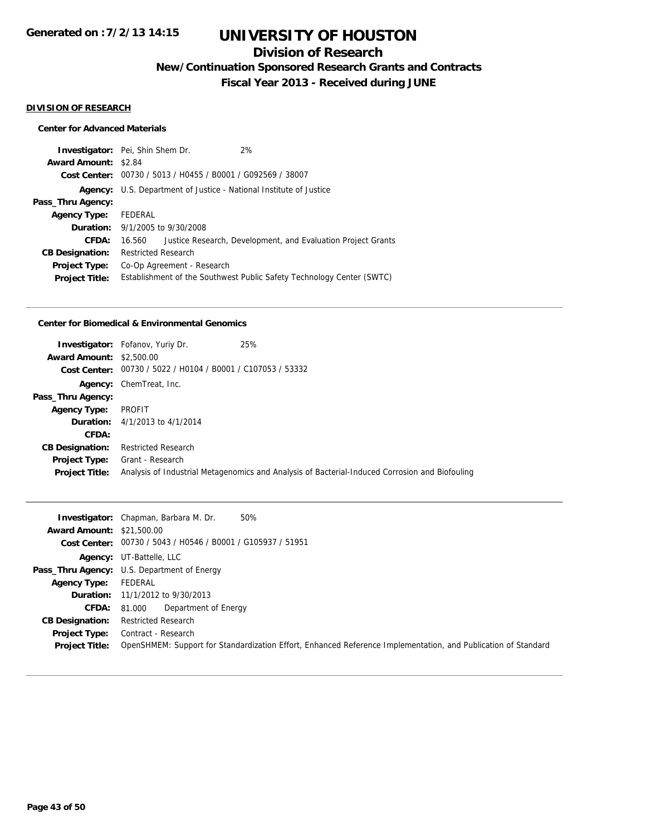## **Division of Research**

**New/Continuation Sponsored Research Grants and Contracts**

**Fiscal Year 2013 - Received during JUNE**

#### **DIVISION OF RESEARCH**

#### **Center for Advanced Materials**

|                             | <b>Investigator:</b> Pei, Shin Shem Dr.                    |  | 2%                                                                    |
|-----------------------------|------------------------------------------------------------|--|-----------------------------------------------------------------------|
| <b>Award Amount: \$2.84</b> |                                                            |  |                                                                       |
|                             |                                                            |  | Cost Center: 00730 / 5013 / H0455 / B0001 / G092569 / 38007           |
| Agency:                     | U.S. Department of Justice - National Institute of Justice |  |                                                                       |
| Pass_Thru Agency:           |                                                            |  |                                                                       |
| <b>Agency Type:</b>         | FEDERAL                                                    |  |                                                                       |
|                             | <b>Duration:</b> $9/1/2005$ to $9/30/2008$                 |  |                                                                       |
| CFDA:                       | 16.560                                                     |  | Justice Research, Development, and Evaluation Project Grants          |
| <b>CB Designation:</b>      | <b>Restricted Research</b>                                 |  |                                                                       |
| <b>Project Type:</b>        | Co-Op Agreement - Research                                 |  |                                                                       |
| <b>Project Title:</b>       |                                                            |  | Establishment of the Southwest Public Safety Technology Center (SWTC) |

#### **Center for Biomedical & Environmental Genomics**

| <b>Award Amount: \$2,500.00</b><br>Cost Center: | <b>Investigator:</b> Fofanov, Yuriy Dr.<br>00730 / 5022 / H0104 / B0001 / C107053 / 53332 | 25%                                                                                            |
|-------------------------------------------------|-------------------------------------------------------------------------------------------|------------------------------------------------------------------------------------------------|
| Agency:                                         | ChemTreat, Inc.                                                                           |                                                                                                |
| Pass_Thru Agency:                               |                                                                                           |                                                                                                |
| <b>Agency Type:</b>                             | PROFIT                                                                                    |                                                                                                |
|                                                 | <b>Duration:</b> $4/1/2013$ to $4/1/2014$                                                 |                                                                                                |
| CFDA:                                           |                                                                                           |                                                                                                |
| <b>CB Designation:</b>                          | <b>Restricted Research</b>                                                                |                                                                                                |
| <b>Project Type:</b><br><b>Project Title:</b>   | Grant - Research                                                                          | Analysis of Industrial Metagenomics and Analysis of Bacterial-Induced Corrosion and Biofouling |

|                                  | 50%<br><b>Investigator:</b> Chapman, Barbara M. Dr.                                                           |
|----------------------------------|---------------------------------------------------------------------------------------------------------------|
| <b>Award Amount: \$21,500.00</b> |                                                                                                               |
|                                  | Cost Center: 00730 / 5043 / H0546 / B0001 / G105937 / 51951                                                   |
|                                  | <b>Agency: UT-Battelle, LLC</b>                                                                               |
|                                  | <b>Pass_Thru Agency:</b> U.S. Department of Energy                                                            |
| <b>Agency Type:</b>              | FEDERAL                                                                                                       |
|                                  | <b>Duration:</b> 11/1/2012 to 9/30/2013                                                                       |
| CFDA:                            | Department of Energy<br>81.000                                                                                |
| <b>CB Designation:</b>           | <b>Restricted Research</b>                                                                                    |
| <b>Project Type:</b>             | Contract - Research                                                                                           |
| <b>Project Title:</b>            | OpenSHMEM: Support for Standardization Effort, Enhanced Reference Implementation, and Publication of Standard |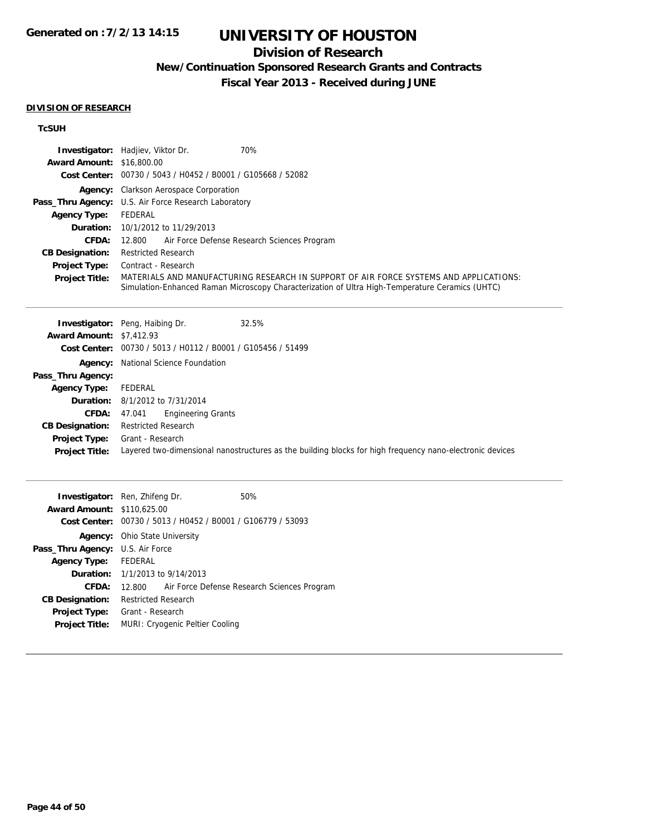## **Division of Research**

**New/Continuation Sponsored Research Grants and Contracts**

**Fiscal Year 2013 - Received during JUNE**

#### **DIVISION OF RESEARCH**

### **TcSUH**

|                                  | 70%<br><b>Investigator:</b> Hadjiev, Viktor Dr.                                                                                                                                           |
|----------------------------------|-------------------------------------------------------------------------------------------------------------------------------------------------------------------------------------------|
| <b>Award Amount: \$16,800.00</b> |                                                                                                                                                                                           |
|                                  | Cost Center: 00730 / 5043 / H0452 / B0001 / G105668 / 52082                                                                                                                               |
|                                  | <b>Agency:</b> Clarkson Aerospace Corporation                                                                                                                                             |
|                                  | <b>Pass_Thru Agency:</b> U.S. Air Force Research Laboratory                                                                                                                               |
| <b>Agency Type:</b>              | FEDERAL                                                                                                                                                                                   |
|                                  | <b>Duration:</b> 10/1/2012 to 11/29/2013                                                                                                                                                  |
| <b>CFDA:</b>                     | Air Force Defense Research Sciences Program<br>12.800                                                                                                                                     |
| <b>CB Designation:</b>           | <b>Restricted Research</b>                                                                                                                                                                |
| <b>Project Type:</b>             | Contract - Research                                                                                                                                                                       |
| <b>Project Title:</b>            | MATERIALS AND MANUFACTURING RESEARCH IN SUPPORT OF AIR FORCE SYSTEMS AND APPLICATIONS:<br>Simulation-Enhanced Raman Microscopy Characterization of Ultra High-Temperature Ceramics (UHTC) |

|                                 | 32.5%<br><b>Investigator:</b> Peng, Haibing Dr.                                                          |
|---------------------------------|----------------------------------------------------------------------------------------------------------|
| <b>Award Amount: \$7,412.93</b> |                                                                                                          |
|                                 | Cost Center: 00730 / 5013 / H0112 / B0001 / G105456 / 51499                                              |
|                                 | <b>Agency:</b> National Science Foundation                                                               |
| Pass_Thru Agency:               |                                                                                                          |
| <b>Agency Type:</b>             | FEDERAL                                                                                                  |
|                                 | <b>Duration:</b> 8/1/2012 to 7/31/2014                                                                   |
| CFDA:                           | <b>Engineering Grants</b><br>47.041                                                                      |
| <b>CB Designation:</b>          | <b>Restricted Research</b>                                                                               |
| <b>Project Type:</b>            | Grant - Research                                                                                         |
| <b>Project Title:</b>           | Layered two-dimensional nanostructures as the building blocks for high frequency nano-electronic devices |
|                                 |                                                                                                          |

| <b>Investigator:</b> Ren, Zhifeng Dr.   |                                        |                                                             | 50%                                                |
|-----------------------------------------|----------------------------------------|-------------------------------------------------------------|----------------------------------------------------|
| <b>Award Amount: \$110.625.00</b>       |                                        |                                                             |                                                    |
|                                         |                                        | Cost Center: 00730 / 5013 / H0452 / B0001 / G106779 / 53093 |                                                    |
|                                         | <b>Agency:</b> Ohio State University   |                                                             |                                                    |
| <b>Pass_Thru Agency:</b> U.S. Air Force |                                        |                                                             |                                                    |
| Agency Type: FEDERAL                    |                                        |                                                             |                                                    |
|                                         | <b>Duration:</b> 1/1/2013 to 9/14/2013 |                                                             |                                                    |
| CFDA:                                   |                                        |                                                             | 12.800 Air Force Defense Research Sciences Program |
| <b>CB Designation:</b>                  | Restricted Research                    |                                                             |                                                    |
| <b>Project Type:</b>                    | Grant - Research                       |                                                             |                                                    |
| <b>Project Title:</b>                   |                                        | MURI: Cryogenic Peltier Cooling                             |                                                    |
|                                         |                                        |                                                             |                                                    |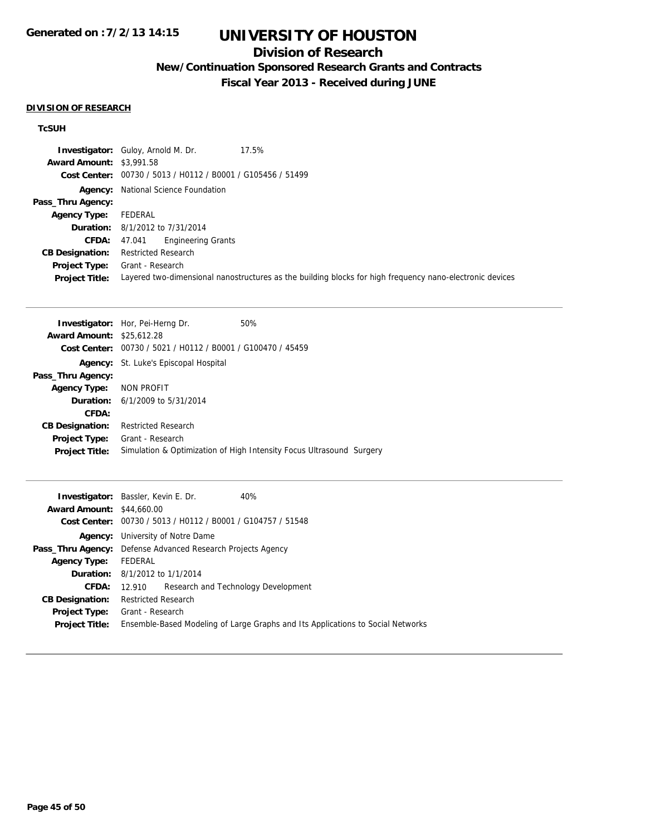# **UNIVERSITY OF HOUSTON**

## **Division of Research**

**New/Continuation Sponsored Research Grants and Contracts**

**Fiscal Year 2013 - Received during JUNE**

#### **DIVISION OF RESEARCH**

### **TcSUH**

|                                 | 17.5%<br><b>Investigator:</b> Guloy, Arnold M. Dr.                                                       |
|---------------------------------|----------------------------------------------------------------------------------------------------------|
| <b>Award Amount: \$3,991.58</b> |                                                                                                          |
| <b>Cost Center:</b>             | 00730 / 5013 / H0112 / B0001 / G105456 / 51499                                                           |
|                                 | <b>Agency:</b> National Science Foundation                                                               |
| Pass_Thru Agency:               |                                                                                                          |
| <b>Agency Type:</b>             | FEDERAL                                                                                                  |
|                                 | <b>Duration:</b> 8/1/2012 to 7/31/2014                                                                   |
| CFDA:                           | Engineering Grants<br>47.041                                                                             |
| <b>CB Designation:</b>          | <b>Restricted Research</b>                                                                               |
| <b>Project Type:</b>            | Grant - Research                                                                                         |
| <b>Project Title:</b>           | Layered two-dimensional nanostructures as the building blocks for high frequency nano-electronic devices |

|                               | 50%                                                                                                                                                                                                                         |
|-------------------------------|-----------------------------------------------------------------------------------------------------------------------------------------------------------------------------------------------------------------------------|
|                               |                                                                                                                                                                                                                             |
|                               |                                                                                                                                                                                                                             |
| St. Luke's Episcopal Hospital |                                                                                                                                                                                                                             |
|                               |                                                                                                                                                                                                                             |
| NON PROFIT                    |                                                                                                                                                                                                                             |
|                               |                                                                                                                                                                                                                             |
|                               |                                                                                                                                                                                                                             |
| <b>Restricted Research</b>    |                                                                                                                                                                                                                             |
| Grant - Research              |                                                                                                                                                                                                                             |
|                               | Simulation & Optimization of High Intensity Focus Ultrasound Surgery                                                                                                                                                        |
|                               | <b>Investigator:</b> Hor, Pei-Herng Dr.<br><b>Award Amount: \$25,612.28</b><br>00730 / 5021 / H0112 / B0001 / G100470 / 45459<br>Cost Center:<br>Agency:<br>Pass_Thru Agency:<br><b>Duration:</b> $6/1/2009$ to $5/31/2014$ |

|                                  | <b>Investigator:</b> Bassler, Kevin E. Dr.<br>40%                               |
|----------------------------------|---------------------------------------------------------------------------------|
| <b>Award Amount: \$44,660.00</b> |                                                                                 |
|                                  | Cost Center: 00730 / 5013 / H0112 / B0001 / G104757 / 51548                     |
|                                  | <b>Agency:</b> University of Notre Dame                                         |
|                                  | <b>Pass_Thru Agency:</b> Defense Advanced Research Projects Agency              |
| <b>Agency Type:</b>              | FEDERAL                                                                         |
|                                  | <b>Duration:</b> 8/1/2012 to 1/1/2014                                           |
| <b>CFDA:</b>                     | 12.910 Research and Technology Development                                      |
| <b>CB Designation:</b>           | Restricted Research                                                             |
| Project Type:                    | Grant - Research                                                                |
| <b>Project Title:</b>            | Ensemble-Based Modeling of Large Graphs and Its Applications to Social Networks |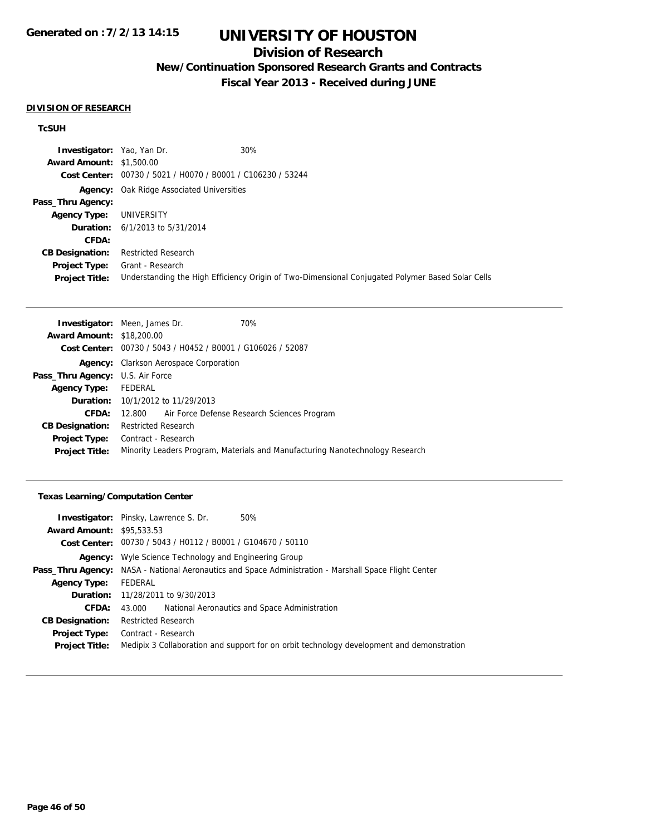## **Division of Research**

**New/Continuation Sponsored Research Grants and Contracts**

**Fiscal Year 2013 - Received during JUNE**

#### **DIVISION OF RESEARCH**

#### **TcSUH**

| <b>Investigator:</b> Yao, Yan Dr. |                                                             | 30%                                                                                              |
|-----------------------------------|-------------------------------------------------------------|--------------------------------------------------------------------------------------------------|
| <b>Award Amount: \$1,500.00</b>   |                                                             |                                                                                                  |
|                                   | Cost Center: 00730 / 5021 / H0070 / B0001 / C106230 / 53244 |                                                                                                  |
|                                   | <b>Agency:</b> Oak Ridge Associated Universities            |                                                                                                  |
| Pass_Thru Agency:                 |                                                             |                                                                                                  |
| <b>Agency Type:</b>               | UNIVERSITY                                                  |                                                                                                  |
|                                   | <b>Duration:</b> 6/1/2013 to 5/31/2014                      |                                                                                                  |
| CFDA:                             |                                                             |                                                                                                  |
| <b>CB Designation:</b>            | <b>Restricted Research</b>                                  |                                                                                                  |
| <b>Project Type:</b>              | Grant - Research                                            |                                                                                                  |
| <b>Project Title:</b>             |                                                             | Understanding the High Efficiency Origin of Two-Dimensional Conjugated Polymer Based Solar Cells |

| <b>Investigator:</b> Meen, James Dr.<br>70%                                   |
|-------------------------------------------------------------------------------|
| <b>Award Amount: \$18,200.00</b>                                              |
| Cost Center: 00730 / 5043 / H0452 / B0001 / G106026 / 52087                   |
| <b>Agency:</b> Clarkson Aerospace Corporation                                 |
| <b>Pass_Thru Agency:</b> U.S. Air Force                                       |
| FEDERAL                                                                       |
| <b>Duration:</b> 10/1/2012 to 11/29/2013                                      |
| 12,800 Air Force Defense Research Sciences Program                            |
| <b>Restricted Research</b>                                                    |
| Contract - Research                                                           |
| Minority Leaders Program, Materials and Manufacturing Nanotechnology Research |
|                                                                               |

### **Texas Learning/Computation Center**

|                                  | <b>Investigator:</b> Pinsky, Lawrence S. Dr.<br>50%                                                   |
|----------------------------------|-------------------------------------------------------------------------------------------------------|
| <b>Award Amount: \$95,533,53</b> |                                                                                                       |
|                                  | Cost Center: 00730 / 5043 / H0112 / B0001 / G104670 / 50110                                           |
|                                  | <b>Agency:</b> Wyle Science Technology and Engineering Group                                          |
|                                  | Pass_Thru Agency: NASA - National Aeronautics and Space Administration - Marshall Space Flight Center |
| <b>Agency Type:</b>              | FEDERAL                                                                                               |
|                                  | <b>Duration:</b> 11/28/2011 to 9/30/2013                                                              |
| CFDA:                            | National Aeronautics and Space Administration<br>43.000                                               |
| <b>CB Designation:</b>           | <b>Restricted Research</b>                                                                            |
| Project Type:                    | Contract - Research                                                                                   |
| <b>Project Title:</b>            | Medipix 3 Collaboration and support for on orbit technology development and demonstration             |
|                                  |                                                                                                       |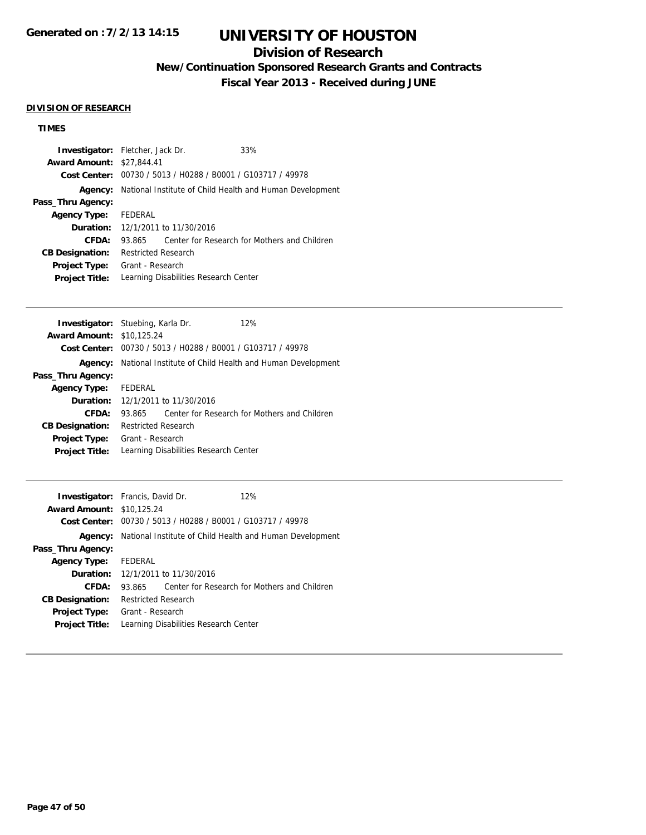## **Division of Research**

**New/Continuation Sponsored Research Grants and Contracts**

**Fiscal Year 2013 - Received during JUNE**

#### **DIVISION OF RESEARCH**

## **TIMES**

| <b>Investigator:</b> Fletcher, Jack Dr. |                     |                                          | 33%                                                                     |  |
|-----------------------------------------|---------------------|------------------------------------------|-------------------------------------------------------------------------|--|
| <b>Award Amount: \$27,844.41</b>        |                     |                                          |                                                                         |  |
|                                         |                     |                                          | Cost Center: 00730 / 5013 / H0288 / B0001 / G103717 / 49978             |  |
|                                         |                     |                                          | <b>Agency:</b> National Institute of Child Health and Human Development |  |
| Pass_Thru Agency:                       |                     |                                          |                                                                         |  |
| <b>Agency Type:</b>                     | FEDERAL             |                                          |                                                                         |  |
|                                         |                     | <b>Duration:</b> 12/1/2011 to 11/30/2016 |                                                                         |  |
| CFDA:                                   | 93.865              |                                          | Center for Research for Mothers and Children                            |  |
| <b>CB Designation:</b>                  | Restricted Research |                                          |                                                                         |  |
| <b>Project Type:</b>                    | Grant - Research    |                                          |                                                                         |  |
| <b>Project Title:</b>                   |                     |                                          | Learning Disabilities Research Center                                   |  |
|                                         |                     |                                          |                                                                         |  |

|                                  | <b>Investigator:</b> Stuebing, Karla Dr. | 12%                                                                     |
|----------------------------------|------------------------------------------|-------------------------------------------------------------------------|
| <b>Award Amount: \$10.125.24</b> |                                          |                                                                         |
|                                  |                                          | Cost Center: 00730 / 5013 / H0288 / B0001 / G103717 / 49978             |
|                                  |                                          | <b>Agency:</b> National Institute of Child Health and Human Development |
| Pass_Thru Agency:                |                                          |                                                                         |
| Agency Type: FEDERAL             |                                          |                                                                         |
|                                  | <b>Duration:</b> 12/1/2011 to 11/30/2016 |                                                                         |
| CFDA:                            | 93.865                                   | Center for Research for Mothers and Children                            |
| <b>CB Designation:</b>           | <b>Restricted Research</b>               |                                                                         |
| <b>Project Type:</b>             | Grant - Research                         |                                                                         |
| <b>Project Title:</b>            | Learning Disabilities Research Center    |                                                                         |

| <b>Investigator:</b> Francis, David Dr.<br><b>Award Amount:</b> | \$10,125.24                | Cost Center: 00730 / 5013 / H0288 / B0001 / G103717 / 49978 | 12%                                                      |
|-----------------------------------------------------------------|----------------------------|-------------------------------------------------------------|----------------------------------------------------------|
| Agency:                                                         |                            |                                                             | National Institute of Child Health and Human Development |
| Pass_Thru Agency:                                               |                            |                                                             |                                                          |
| <b>Agency Type:</b>                                             | FEDERAL                    |                                                             |                                                          |
|                                                                 |                            | <b>Duration:</b> 12/1/2011 to 11/30/2016                    |                                                          |
| CFDA:                                                           | 93.865                     |                                                             | Center for Research for Mothers and Children             |
| <b>CB Designation:</b>                                          | <b>Restricted Research</b> |                                                             |                                                          |
| <b>Project Type:</b><br><b>Project Title:</b>                   | Grant - Research           | Learning Disabilities Research Center                       |                                                          |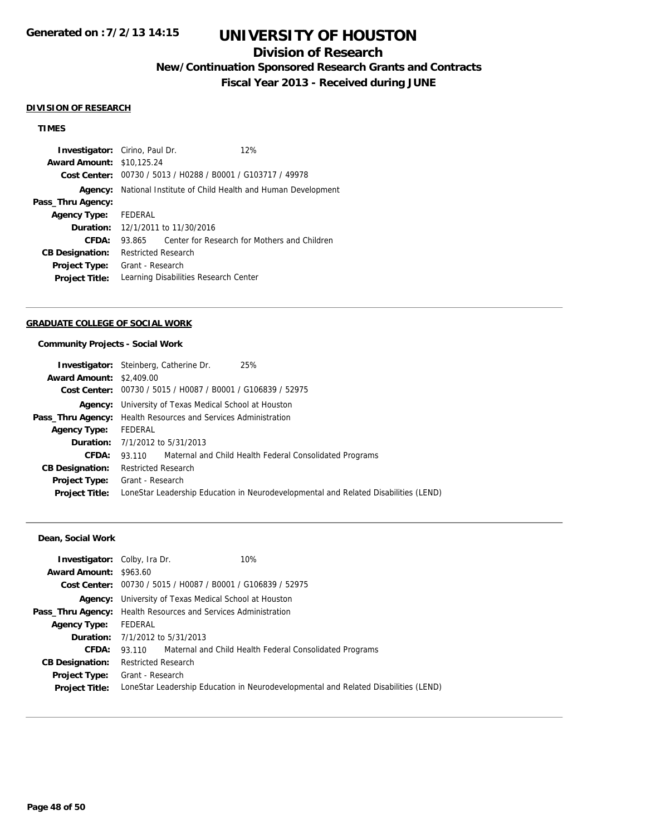## **Division of Research**

**New/Continuation Sponsored Research Grants and Contracts**

**Fiscal Year 2013 - Received during JUNE**

#### **DIVISION OF RESEARCH**

### **TIMES**

|         | 12%                                                                                                                         |                                                                                                                                                                                                                                                                             |
|---------|-----------------------------------------------------------------------------------------------------------------------------|-----------------------------------------------------------------------------------------------------------------------------------------------------------------------------------------------------------------------------------------------------------------------------|
|         |                                                                                                                             |                                                                                                                                                                                                                                                                             |
|         |                                                                                                                             |                                                                                                                                                                                                                                                                             |
|         |                                                                                                                             |                                                                                                                                                                                                                                                                             |
|         |                                                                                                                             |                                                                                                                                                                                                                                                                             |
| FEDERAL |                                                                                                                             |                                                                                                                                                                                                                                                                             |
|         |                                                                                                                             |                                                                                                                                                                                                                                                                             |
| 93.865  |                                                                                                                             |                                                                                                                                                                                                                                                                             |
|         |                                                                                                                             |                                                                                                                                                                                                                                                                             |
|         |                                                                                                                             |                                                                                                                                                                                                                                                                             |
|         |                                                                                                                             |                                                                                                                                                                                                                                                                             |
|         | <b>Investigator:</b> Cirino, Paul Dr.<br><b>Award Amount: \$10.125.24</b><br><b>Restricted Research</b><br>Grant - Research | Cost Center: 00730 / 5013 / H0288 / B0001 / G103717 / 49978<br><b>Agency:</b> National Institute of Child Health and Human Development<br><b>Duration:</b> 12/1/2011 to 11/30/2016<br>Center for Research for Mothers and Children<br>Learning Disabilities Research Center |

#### **GRADUATE COLLEGE OF SOCIAL WORK**

### **Community Projects - Social Work**

| <b>Investigator:</b> Steinberg, Catherine Dr.                         | 25%                                                                                 |
|-----------------------------------------------------------------------|-------------------------------------------------------------------------------------|
| <b>Award Amount: \$2,409.00</b>                                       |                                                                                     |
| Cost Center: 00730 / 5015 / H0087 / B0001 / G106839 / 52975           |                                                                                     |
| <b>Agency:</b> University of Texas Medical School at Houston          |                                                                                     |
| <b>Pass_Thru Agency:</b> Health Resources and Services Administration |                                                                                     |
| FEDERAL                                                               |                                                                                     |
| <b>Duration:</b> 7/1/2012 to 5/31/2013                                |                                                                                     |
|                                                                       | 93.110 Maternal and Child Health Federal Consolidated Programs                      |
| <b>Restricted Research</b>                                            |                                                                                     |
| Grant - Research                                                      |                                                                                     |
|                                                                       | LoneStar Leadership Education in Neurodevelopmental and Related Disabilities (LEND) |
|                                                                       |                                                                                     |

### **Dean, Social Work**

| <b>Investigator:</b> Colby, Ira Dr. |                                                                       | 10%                                                                                 |
|-------------------------------------|-----------------------------------------------------------------------|-------------------------------------------------------------------------------------|
| <b>Award Amount: \$963.60</b>       |                                                                       |                                                                                     |
|                                     |                                                                       | Cost Center: 00730 / 5015 / H0087 / B0001 / G106839 / 52975                         |
|                                     | <b>Agency:</b> University of Texas Medical School at Houston          |                                                                                     |
|                                     | <b>Pass_Thru Agency:</b> Health Resources and Services Administration |                                                                                     |
| <b>Agency Type:</b>                 | FEDERAL                                                               |                                                                                     |
|                                     | <b>Duration:</b> 7/1/2012 to 5/31/2013                                |                                                                                     |
| CFDA:                               |                                                                       | 93.110 Maternal and Child Health Federal Consolidated Programs                      |
| <b>CB Designation:</b>              | <b>Restricted Research</b>                                            |                                                                                     |
| <b>Project Type:</b>                | Grant - Research                                                      |                                                                                     |
| <b>Project Title:</b>               |                                                                       | LoneStar Leadership Education in Neurodevelopmental and Related Disabilities (LEND) |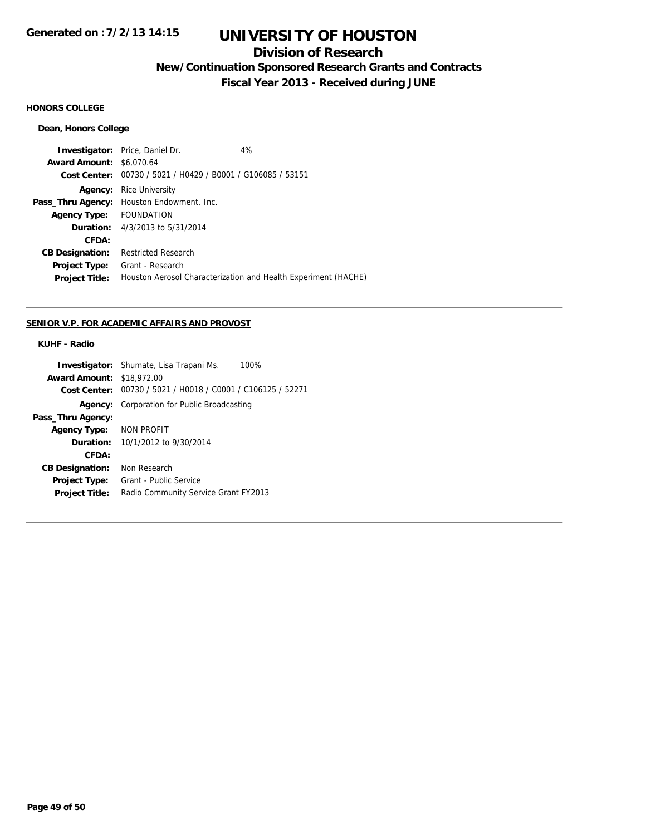## **Division of Research**

**New/Continuation Sponsored Research Grants and Contracts**

**Fiscal Year 2013 - Received during JUNE**

## **HONORS COLLEGE**

### **Dean, Honors College**

|                                 | <b>Investigator:</b> Price, Daniel Dr.         | 4%                                                             |
|---------------------------------|------------------------------------------------|----------------------------------------------------------------|
| <b>Award Amount: \$6,070.64</b> |                                                |                                                                |
| Cost Center:                    | 00730 / 5021 / H0429 / B0001 / G106085 / 53151 |                                                                |
| Agency:                         | <b>Rice University</b>                         |                                                                |
| Pass_Thru Agency:               | Houston Endowment, Inc.                        |                                                                |
| <b>Agency Type:</b>             | <b>FOUNDATION</b>                              |                                                                |
|                                 | <b>Duration:</b> 4/3/2013 to 5/31/2014         |                                                                |
| CFDA:                           |                                                |                                                                |
| <b>CB Designation:</b>          | Restricted Research                            |                                                                |
| <b>Project Type:</b>            | Grant - Research                               |                                                                |
| <b>Project Title:</b>           |                                                | Houston Aerosol Characterization and Health Experiment (HACHE) |

### **SENIOR V.P. FOR ACADEMIC AFFAIRS AND PROVOST**

### **KUHF - Radio**

|                                  | <b>Investigator:</b> Shumate, Lisa Trapani Ms.<br>100%      |
|----------------------------------|-------------------------------------------------------------|
| <b>Award Amount: \$18,972.00</b> |                                                             |
|                                  | Cost Center: 00730 / 5021 / H0018 / C0001 / C106125 / 52271 |
| Agency:                          | Corporation for Public Broadcasting                         |
| Pass_Thru Agency:                |                                                             |
| Agency Type:                     | NON PROFIT                                                  |
|                                  | <b>Duration:</b> $10/1/2012$ to $9/30/2014$                 |
| CFDA:                            |                                                             |
| <b>CB Designation:</b>           | Non Research                                                |
| <b>Project Type:</b>             | Grant - Public Service                                      |
| <b>Project Title:</b>            | Radio Community Service Grant FY2013                        |
|                                  |                                                             |